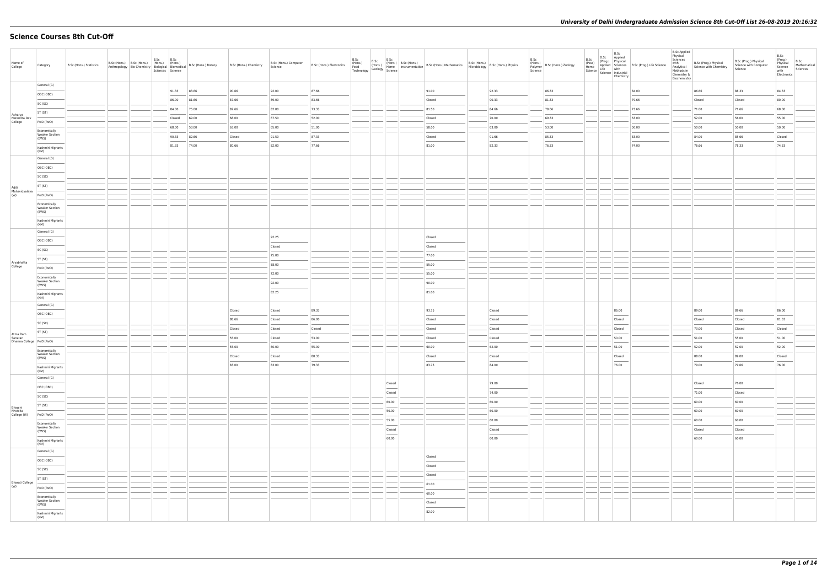# **Science Courses 8th Cut-Off**

| Name of<br>College                 | Category                                       | B.Sc (Hons.) Statistics |  | B.Sc<br>Sciences Science | B.Sc   | B.Sc (Hons.) B.Sc (Hons.) (Hons.) (Hons.) B.Sc (Hons.) Botany<br>Anthropology Bio-Chemistry Biological Biomedical B.Sc (Hons.) Botany | B.Sc (Hons.) Chemistry | B.Sc (Hons.) Computer<br>Science | B.Sc (Hons.) Electronics | B.Sc<br>(Hons.)<br>Food<br>Technology | B.Sc | B.Sc                               | B.S.C (Hons.) B.S.C (Hons.) B.S.C (Hons.) Anathematics B.S.C (Hons.) B.S.C (Hons.) Physics (Hons.) (Hons.) Physics (Hons.) Physics (Hons.) Physics (Hons.) Physics (Premis (Hons.) Physics (Premis (Premis (Premis (Premis (Pr |        | B.Sc<br>(Hons.)<br>Polymer B.Sc (Hons.) Zoology<br>Science | B.Sc<br>(Pass) | B.Sc<br>$\begin{array}{ l c c c }\n\hline\n\text{Home} & \text{Appu--} \\ \text{Home} & \text{Life} & \text{with} \\ \text{Science} & \text{Industrial} & \text{The image} \\ \hline\n\end{array}$<br>Chemistry | B.Sc Applied<br>(Prog.) Physical<br>Applied Sciences B.Sc (Prog.) Life Science<br>Life with | <b>B.Sc Applied</b><br>Physical<br>Sciences<br>with<br>Analytical<br>Methods in<br>Chemistry &<br>Biochemistry | B.Sc (Prog.) Physical<br>Science with Chemistry | B.Sc (Prog.) Physical<br>Science with Computer<br>Science | B.Sc<br>(Prog.)<br>Physical<br>Science<br>with<br>Electronics | B.Sc<br>Mathematical<br>Sciences |
|------------------------------------|------------------------------------------------|-------------------------|--|--------------------------|--------|---------------------------------------------------------------------------------------------------------------------------------------|------------------------|----------------------------------|--------------------------|---------------------------------------|------|------------------------------------|--------------------------------------------------------------------------------------------------------------------------------------------------------------------------------------------------------------------------------|--------|------------------------------------------------------------|----------------|-----------------------------------------------------------------------------------------------------------------------------------------------------------------------------------------------------------------|---------------------------------------------------------------------------------------------|----------------------------------------------------------------------------------------------------------------|-------------------------------------------------|-----------------------------------------------------------|---------------------------------------------------------------|----------------------------------|
|                                    | General (G)                                    |                         |  |                          | 91.33  | 83.66                                                                                                                                 | 90.66                  | 92.00                            | 87.66                    |                                       |      |                                    | 91.00                                                                                                                                                                                                                          | 92.33  | 86.33                                                      |                |                                                                                                                                                                                                                 | 84.00                                                                                       |                                                                                                                | 86.66                                           | 88.33                                                     | 84.33                                                         |                                  |
|                                    | OBC (OBC)                                      |                         |  |                          | 86.00  | 81.66                                                                                                                                 | 87.66                  | 89.00                            | 83.66                    |                                       |      |                                    | Closed                                                                                                                                                                                                                         | 90.33  | 81.33                                                      |                |                                                                                                                                                                                                                 | 79.66                                                                                       |                                                                                                                | Closed                                          | Closed                                                    | 80.00                                                         |                                  |
|                                    | SC (SC)                                        |                         |  |                          | 84.00  | 75.00                                                                                                                                 | 82.66                  | 82.00                            | 73.33                    |                                       |      |                                    | 81.50                                                                                                                                                                                                                          | 84.66  | 78.66                                                      |                |                                                                                                                                                                                                                 | 73.66                                                                                       |                                                                                                                | 71.00                                           | 71.66                                                     | 68.00                                                         |                                  |
| Acharya<br>Narendra Dev            | ST (ST)                                        |                         |  |                          | Closed | 69.00                                                                                                                                 | 68.00                  | 67.50                            | 52.00                    |                                       |      |                                    | Closed                                                                                                                                                                                                                         | 70.00  | 69.33                                                      |                |                                                                                                                                                                                                                 | 63.00                                                                                       |                                                                                                                | 52.00                                           | 56.00                                                     | 55.00                                                         |                                  |
| College                            | PwD (PwD)                                      |                         |  |                          | 68.00  | 53.00                                                                                                                                 | 63.00                  | 65.00                            | 51.00                    |                                       |      |                                    | 58.00                                                                                                                                                                                                                          | 63.00  | 53.00                                                      |                |                                                                                                                                                                                                                 | 50.00                                                                                       |                                                                                                                | 50.00                                           | 50.00                                                     | 50.00                                                         |                                  |
|                                    | Economically<br><b>Weaker Section</b><br>(EWS) |                         |  |                          | 90.33  | 82.66                                                                                                                                 | Closed                 | 91.50                            | 87.33                    |                                       |      |                                    | Closed                                                                                                                                                                                                                         | 91.66  | 85.33                                                      |                |                                                                                                                                                                                                                 | 83.00                                                                                       |                                                                                                                | 84.00                                           | 85.66                                                     | Closed                                                        |                                  |
|                                    | Kashmiri Migrants                              |                         |  |                          | 81.33  | 74.00                                                                                                                                 | 80.66                  | 82.00                            | 77.66                    |                                       |      |                                    | 81.00                                                                                                                                                                                                                          | 82.33  | 76.33                                                      |                |                                                                                                                                                                                                                 | 74.00                                                                                       |                                                                                                                | 76.66                                           | 78.33                                                     | 74.33                                                         |                                  |
|                                    | (KM)<br>General (G)                            |                         |  |                          |        |                                                                                                                                       |                        |                                  |                          |                                       |      |                                    |                                                                                                                                                                                                                                |        |                                                            |                |                                                                                                                                                                                                                 |                                                                                             |                                                                                                                |                                                 |                                                           |                                                               |                                  |
|                                    | OBC (OBC)                                      |                         |  |                          |        |                                                                                                                                       |                        |                                  |                          |                                       |      |                                    |                                                                                                                                                                                                                                |        |                                                            |                |                                                                                                                                                                                                                 |                                                                                             |                                                                                                                |                                                 |                                                           |                                                               |                                  |
|                                    | SC (SC)                                        |                         |  |                          |        |                                                                                                                                       |                        |                                  |                          |                                       |      |                                    |                                                                                                                                                                                                                                |        |                                                            |                |                                                                                                                                                                                                                 |                                                                                             |                                                                                                                |                                                 |                                                           |                                                               |                                  |
| Aditi                              | ST (ST)                                        |                         |  |                          |        |                                                                                                                                       |                        |                                  |                          |                                       |      |                                    |                                                                                                                                                                                                                                |        |                                                            |                |                                                                                                                                                                                                                 |                                                                                             |                                                                                                                |                                                 |                                                           |                                                               |                                  |
| Mahavidyalaya<br>(W)               | PwD (PwD)                                      |                         |  |                          |        |                                                                                                                                       |                        |                                  |                          |                                       |      |                                    |                                                                                                                                                                                                                                |        |                                                            |                |                                                                                                                                                                                                                 |                                                                                             |                                                                                                                |                                                 |                                                           |                                                               |                                  |
|                                    | Economically                                   |                         |  |                          |        |                                                                                                                                       |                        |                                  |                          |                                       |      |                                    |                                                                                                                                                                                                                                |        |                                                            |                |                                                                                                                                                                                                                 |                                                                                             |                                                                                                                |                                                 |                                                           |                                                               |                                  |
|                                    | <b>Weaker Section</b><br>(EWS)                 |                         |  |                          |        |                                                                                                                                       |                        |                                  |                          |                                       |      |                                    |                                                                                                                                                                                                                                |        |                                                            |                |                                                                                                                                                                                                                 |                                                                                             |                                                                                                                |                                                 |                                                           |                                                               |                                  |
|                                    | Kashmiri Migrants<br>(KM)                      |                         |  |                          |        |                                                                                                                                       |                        |                                  |                          |                                       |      |                                    |                                                                                                                                                                                                                                |        |                                                            |                |                                                                                                                                                                                                                 |                                                                                             |                                                                                                                |                                                 |                                                           |                                                               |                                  |
|                                    | General (G)                                    |                         |  |                          |        |                                                                                                                                       |                        |                                  |                          |                                       |      |                                    |                                                                                                                                                                                                                                |        |                                                            |                |                                                                                                                                                                                                                 |                                                                                             |                                                                                                                |                                                 |                                                           |                                                               |                                  |
|                                    | OBC (OBC)                                      |                         |  |                          |        |                                                                                                                                       |                        | 92.25                            |                          |                                       |      |                                    | Closed                                                                                                                                                                                                                         |        |                                                            |                |                                                                                                                                                                                                                 |                                                                                             |                                                                                                                |                                                 |                                                           |                                                               |                                  |
|                                    | SC (SC)                                        |                         |  |                          |        |                                                                                                                                       |                        | Closed                           |                          |                                       |      |                                    | Closed                                                                                                                                                                                                                         |        |                                                            |                |                                                                                                                                                                                                                 |                                                                                             |                                                                                                                |                                                 |                                                           |                                                               |                                  |
| Aryabhatta                         | ST (ST)                                        |                         |  |                          |        |                                                                                                                                       |                        | 75.00                            |                          |                                       |      |                                    | 77.00                                                                                                                                                                                                                          |        |                                                            |                |                                                                                                                                                                                                                 |                                                                                             |                                                                                                                |                                                 |                                                           |                                                               |                                  |
| College                            | PwD (PwD)                                      |                         |  |                          |        |                                                                                                                                       |                        | 58.00                            |                          |                                       |      |                                    | 55.00                                                                                                                                                                                                                          |        |                                                            |                |                                                                                                                                                                                                                 |                                                                                             |                                                                                                                |                                                 |                                                           |                                                               |                                  |
|                                    | Economically<br><b>Weaker Section</b>          |                         |  |                          |        |                                                                                                                                       |                        | 72.00<br>92.00                   |                          |                                       |      |                                    | 55.00<br>90.00                                                                                                                                                                                                                 |        |                                                            |                |                                                                                                                                                                                                                 |                                                                                             |                                                                                                                |                                                 |                                                           |                                                               |                                  |
|                                    | (EWS)                                          |                         |  |                          |        |                                                                                                                                       |                        | 82.25                            |                          |                                       |      |                                    | 81.00                                                                                                                                                                                                                          |        |                                                            |                |                                                                                                                                                                                                                 |                                                                                             |                                                                                                                |                                                 |                                                           |                                                               |                                  |
|                                    | Kashmiri Migrants<br>(KM)                      |                         |  |                          |        |                                                                                                                                       |                        |                                  |                          |                                       |      |                                    |                                                                                                                                                                                                                                |        |                                                            |                |                                                                                                                                                                                                                 |                                                                                             |                                                                                                                |                                                 |                                                           |                                                               |                                  |
|                                    | General (G)                                    |                         |  |                          |        |                                                                                                                                       | Closed                 | Closed                           | 89.33                    |                                       |      |                                    | 93.75                                                                                                                                                                                                                          | Closed |                                                            |                | 86.00                                                                                                                                                                                                           |                                                                                             |                                                                                                                | 89.00                                           | 89.66                                                     | 86.00                                                         |                                  |
|                                    | OBC (OBC)                                      |                         |  |                          |        |                                                                                                                                       | 88.66                  | Closed                           | 86.00                    |                                       |      |                                    | Closed                                                                                                                                                                                                                         | Closed |                                                            |                | Closed                                                                                                                                                                                                          |                                                                                             |                                                                                                                | Closed                                          | Closed                                                    | 81.33                                                         |                                  |
|                                    | SC (SC)                                        |                         |  |                          |        |                                                                                                                                       | Closed                 | Closed                           | Closed                   |                                       |      |                                    | Closed                                                                                                                                                                                                                         | Closed |                                                            |                | Closed                                                                                                                                                                                                          |                                                                                             |                                                                                                                | 73.00                                           | Closed                                                    | Closed                                                        |                                  |
| Atma Ram<br>Sanatan                | ST (ST)                                        |                         |  |                          |        |                                                                                                                                       | 55.00                  | Closed                           | 53.00                    |                                       |      |                                    | Closed                                                                                                                                                                                                                         | Closed |                                                            |                | 50.00                                                                                                                                                                                                           |                                                                                             |                                                                                                                | 51.00                                           | 55.00                                                     | 51.00                                                         |                                  |
| Dharma College   PwD (PwD)         |                                                |                         |  |                          |        |                                                                                                                                       | 55.00                  | 60.00                            | 55.00                    |                                       |      |                                    | 60.00                                                                                                                                                                                                                          | 62.00  |                                                            |                | 51.00                                                                                                                                                                                                           |                                                                                             |                                                                                                                | 52.00                                           | 52.00                                                     | 52.00                                                         |                                  |
|                                    | Economically<br><b>Weaker Section</b><br>(EWS) |                         |  |                          |        |                                                                                                                                       | Closed                 | Closed                           | 88.33                    |                                       |      |                                    | Closed                                                                                                                                                                                                                         | Closed |                                                            |                | Closed                                                                                                                                                                                                          |                                                                                             |                                                                                                                | 88.00                                           | 89.00                                                     | Closed                                                        |                                  |
|                                    | Kashmiri Migrants                              |                         |  |                          |        |                                                                                                                                       | 83.00                  | 83.00                            | 79.33                    |                                       |      |                                    | 83.75                                                                                                                                                                                                                          | 84.00  |                                                            |                | 76.00                                                                                                                                                                                                           |                                                                                             |                                                                                                                | 79.00                                           | 79.66                                                     | 76.00                                                         |                                  |
|                                    | (KM)<br>General (G)                            |                         |  |                          |        |                                                                                                                                       |                        |                                  |                          |                                       |      |                                    |                                                                                                                                                                                                                                |        |                                                            |                |                                                                                                                                                                                                                 |                                                                                             |                                                                                                                |                                                 |                                                           |                                                               |                                  |
|                                    | OBC (OBC)                                      |                         |  |                          |        |                                                                                                                                       |                        |                                  |                          |                                       |      | Closed<br>$\overline{\phantom{a}}$ |                                                                                                                                                                                                                                | 79.00  |                                                            |                |                                                                                                                                                                                                                 |                                                                                             |                                                                                                                | Closed                                          | 76.00                                                     |                                                               |                                  |
|                                    | SC (SC)                                        |                         |  |                          |        |                                                                                                                                       |                        |                                  |                          |                                       |      | Closed                             |                                                                                                                                                                                                                                | 74.00  |                                                            |                |                                                                                                                                                                                                                 |                                                                                             |                                                                                                                | 71.00                                           | Closed                                                    |                                                               |                                  |
|                                    | ST (ST)                                        |                         |  |                          |        |                                                                                                                                       |                        |                                  |                          |                                       |      | 60.00                              |                                                                                                                                                                                                                                | 60.00  |                                                            |                |                                                                                                                                                                                                                 |                                                                                             |                                                                                                                | 60.00                                           | 60.00                                                     |                                                               |                                  |
| Bhagini<br>Nivedita<br>College (W) | PwD (PwD)                                      |                         |  |                          |        |                                                                                                                                       |                        |                                  |                          |                                       |      | 50.00                              |                                                                                                                                                                                                                                | 60.00  |                                                            |                |                                                                                                                                                                                                                 |                                                                                             |                                                                                                                | 60.00                                           | 60.00                                                     |                                                               |                                  |
|                                    | Economically                                   |                         |  |                          |        |                                                                                                                                       |                        |                                  |                          |                                       |      | 55.00                              |                                                                                                                                                                                                                                | 60.00  |                                                            |                |                                                                                                                                                                                                                 |                                                                                             |                                                                                                                | 60.00                                           | 60.00                                                     |                                                               |                                  |
|                                    | <b>Weaker Section</b><br>(EWS)                 |                         |  |                          |        |                                                                                                                                       |                        |                                  |                          |                                       |      | Closed<br>$\overline{\phantom{a}}$ |                                                                                                                                                                                                                                | Closed |                                                            |                |                                                                                                                                                                                                                 |                                                                                             |                                                                                                                | Closed<br>--                                    | Closed                                                    |                                                               |                                  |
|                                    | Kashmiri Migrants<br>(KM)                      |                         |  |                          |        |                                                                                                                                       |                        |                                  |                          |                                       |      | 60.00                              |                                                                                                                                                                                                                                | 60.00  |                                                            |                |                                                                                                                                                                                                                 |                                                                                             |                                                                                                                | 60.00                                           | 60.00                                                     |                                                               |                                  |
|                                    | General (G)                                    |                         |  |                          |        |                                                                                                                                       |                        |                                  |                          |                                       |      |                                    |                                                                                                                                                                                                                                |        |                                                            |                |                                                                                                                                                                                                                 |                                                                                             |                                                                                                                |                                                 |                                                           |                                                               |                                  |
|                                    | OBC (OBC)                                      |                         |  |                          |        |                                                                                                                                       |                        |                                  |                          |                                       |      |                                    | Closed                                                                                                                                                                                                                         |        |                                                            |                |                                                                                                                                                                                                                 |                                                                                             |                                                                                                                |                                                 |                                                           |                                                               |                                  |
|                                    | SC (SC)                                        |                         |  |                          |        |                                                                                                                                       |                        |                                  |                          |                                       |      |                                    | Closed                                                                                                                                                                                                                         |        |                                                            |                |                                                                                                                                                                                                                 |                                                                                             |                                                                                                                |                                                 |                                                           |                                                               |                                  |
| <b>Bharati College</b>             | ST (ST)                                        |                         |  |                          |        |                                                                                                                                       |                        |                                  |                          |                                       |      |                                    | Closed                                                                                                                                                                                                                         |        |                                                            |                |                                                                                                                                                                                                                 |                                                                                             |                                                                                                                |                                                 |                                                           |                                                               |                                  |
| (W)                                | PwD (PwD)                                      |                         |  |                          |        |                                                                                                                                       |                        |                                  |                          |                                       |      |                                    | 61.00<br>60.00                                                                                                                                                                                                                 |        |                                                            |                |                                                                                                                                                                                                                 |                                                                                             |                                                                                                                |                                                 |                                                           |                                                               |                                  |
|                                    | Economically<br><b>Weaker Section</b>          |                         |  |                          |        |                                                                                                                                       |                        |                                  |                          |                                       |      |                                    | Closed                                                                                                                                                                                                                         |        |                                                            |                |                                                                                                                                                                                                                 |                                                                                             |                                                                                                                |                                                 |                                                           |                                                               |                                  |
|                                    | (EWS)                                          |                         |  |                          |        |                                                                                                                                       |                        |                                  |                          |                                       |      |                                    | 82.00                                                                                                                                                                                                                          |        |                                                            |                |                                                                                                                                                                                                                 |                                                                                             |                                                                                                                |                                                 |                                                           |                                                               |                                  |
|                                    | Kashmiri Migrants<br>(KM)                      |                         |  |                          |        |                                                                                                                                       |                        |                                  |                          |                                       |      |                                    |                                                                                                                                                                                                                                |        |                                                            |                |                                                                                                                                                                                                                 |                                                                                             |                                                                                                                |                                                 |                                                           |                                                               |                                  |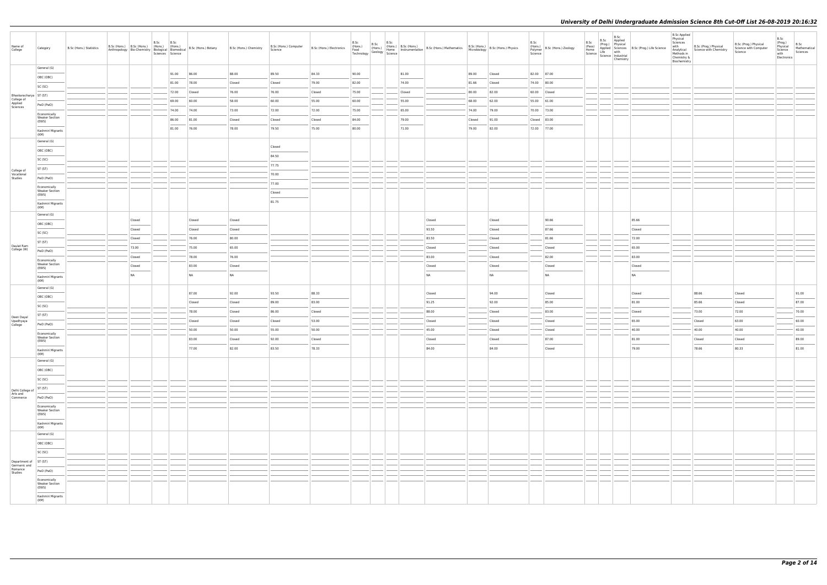| Name of<br>College                 | Category                              | B.Sc (Hons.) Statistics | B.Sc (Hons.) B.Sc (Hons.) (Hons.) (Hons.)<br>Anthropology Bio-Chemistry Biological Biomedical | B.Sc | B.Sc<br>Sciences Science | B.Sc (Hons.) Botany | B.Sc (Hons.) Chemistry | B.Sc (Hons.) Computer<br>Science | B.Sc (Hons.) Electronics |                |  |                | B.Sc (Hons.) B.Sc (Hons.) B.Sc (Hons.) B.Sc (Hons.) (Hons.) B.Sc (Hons.) B.Sc (Hons.) Mathematics Technology Geology Science |                 | B.Sc (Hons.)<br>Microbiology B.Sc (Hons.) Physics | B.Sc<br>Science | (Hons.)<br>Polymer B.Sc (Hons.) Zoology | B.Sc | B.Sc<br>B.Sc Applied<br>(Prog.) Physical<br>Chemistry | (Pass)<br>Home Applied Sciences B.Sc (Prog.) Life Science<br>Science Life Industrial<br>Science Industrial | B.Sc Applied<br>Physical<br>Sciences<br>with<br>Analytical<br>Methods in<br>Chemistry &<br>Biochemistry | B.Sc (Prog.) Physical<br>Science with Chemistry | B.Sc (Prog.) Physical<br>Science with Computer<br>Science | B.Sc<br>(Prog.)<br>Physical<br>Science<br>with<br>Electronics | B.Sc<br>Mathematical<br>Sciences |
|------------------------------------|---------------------------------------|-------------------------|-----------------------------------------------------------------------------------------------|------|--------------------------|---------------------|------------------------|----------------------------------|--------------------------|----------------|--|----------------|------------------------------------------------------------------------------------------------------------------------------|-----------------|---------------------------------------------------|-----------------|-----------------------------------------|------|-------------------------------------------------------|------------------------------------------------------------------------------------------------------------|---------------------------------------------------------------------------------------------------------|-------------------------------------------------|-----------------------------------------------------------|---------------------------------------------------------------|----------------------------------|
|                                    | General (G)                           |                         |                                                                                               |      | 91.00                    | 86.00               | 88.00                  | 89.50                            | 84.33                    | 90.00          |  | 81.00          |                                                                                                                              | 89.00           | Closed                                            |                 | 82.00 87.00                             |      |                                                       |                                                                                                            |                                                                                                         |                                                 |                                                           |                                                               |                                  |
|                                    | OBC (OBC)                             |                         |                                                                                               |      | 81.00                    | 78.00               | Closed                 | Closed                           | 79.00                    | 82.00          |  | 74.00          |                                                                                                                              | 81.66           | Closed                                            |                 | 74.00 80.00                             |      |                                                       |                                                                                                            |                                                                                                         |                                                 |                                                           |                                                               |                                  |
|                                    | SC (SC)                               |                         |                                                                                               |      |                          |                     |                        |                                  |                          |                |  |                |                                                                                                                              |                 |                                                   |                 |                                         |      |                                                       |                                                                                                            |                                                                                                         |                                                 |                                                           |                                                               |                                  |
| Bhaskaracharya   ST (ST)           |                                       |                         |                                                                                               |      | 72.00                    | Closed              | 76.00                  | 76.00                            | Closed                   | 75.00          |  | Closed         |                                                                                                                              | 80.00           | 82.00                                             |                 | 60.00 Closed                            |      |                                                       |                                                                                                            |                                                                                                         |                                                 |                                                           |                                                               |                                  |
| College of<br>Applied<br>Sciences  | PwD (PwD)                             |                         |                                                                                               |      | 69.00                    | 60.00               | 58.00                  | 60.00                            | 55.00                    | 60.00          |  | 55.00          |                                                                                                                              | 68.00           | 62.00                                             |                 | 55.00 61.00                             |      |                                                       |                                                                                                            |                                                                                                         |                                                 |                                                           |                                                               |                                  |
|                                    | Economically                          |                         |                                                                                               |      | 74.00                    | 74.00               | 73.00                  | 72.00                            | 72.00                    | 75.00          |  | 65.00          |                                                                                                                              | 74.00           | 79.00                                             |                 | 70.00 73.00                             |      |                                                       |                                                                                                            |                                                                                                         |                                                 |                                                           |                                                               |                                  |
|                                    | <b>Weaker Section</b><br>(EWS)        |                         |                                                                                               |      | 86.00<br>81.00           | 81.00<br>76.00      | Closed<br>78.00        | Closed<br>79.50                  | Closed<br>75.00          | 84.00<br>80.00 |  | 79.00<br>71.00 |                                                                                                                              | Closed<br>79.00 | 91.00<br>82.00                                    |                 | Closed 83.00<br>72.00 77.00             |      |                                                       |                                                                                                            |                                                                                                         |                                                 |                                                           |                                                               |                                  |
|                                    | Kashmiri Migrants<br>(KM)             |                         |                                                                                               |      |                          |                     |                        |                                  |                          |                |  |                |                                                                                                                              |                 |                                                   |                 |                                         |      |                                                       |                                                                                                            |                                                                                                         |                                                 |                                                           |                                                               |                                  |
|                                    | General (G)                           |                         |                                                                                               |      |                          |                     |                        | Closed                           |                          |                |  |                |                                                                                                                              |                 |                                                   |                 |                                         |      |                                                       |                                                                                                            |                                                                                                         |                                                 |                                                           |                                                               |                                  |
|                                    | OBC (OBC)                             |                         |                                                                                               |      |                          |                     |                        | 84.50                            |                          |                |  |                |                                                                                                                              |                 |                                                   |                 |                                         |      |                                                       |                                                                                                            |                                                                                                         |                                                 |                                                           |                                                               |                                  |
|                                    | SC (SC)                               |                         |                                                                                               |      |                          |                     |                        |                                  |                          |                |  |                |                                                                                                                              |                 |                                                   |                 |                                         |      |                                                       |                                                                                                            |                                                                                                         |                                                 |                                                           |                                                               |                                  |
| College of                         | ST (ST)                               |                         |                                                                                               |      |                          |                     |                        | 77.75                            |                          |                |  |                |                                                                                                                              |                 |                                                   |                 |                                         |      |                                                       |                                                                                                            |                                                                                                         |                                                 |                                                           |                                                               |                                  |
| Vocational<br>Studies              | PwD (PwD)                             |                         |                                                                                               |      |                          |                     |                        | 70.00                            |                          |                |  |                |                                                                                                                              |                 |                                                   |                 |                                         |      |                                                       |                                                                                                            |                                                                                                         |                                                 |                                                           |                                                               |                                  |
|                                    | Economically<br><b>Weaker Section</b> |                         |                                                                                               |      |                          |                     |                        | 77.00                            |                          |                |  |                |                                                                                                                              |                 |                                                   |                 |                                         |      |                                                       |                                                                                                            |                                                                                                         |                                                 |                                                           |                                                               |                                  |
|                                    | (EWS)                                 |                         |                                                                                               |      |                          |                     |                        | Closed                           |                          |                |  |                |                                                                                                                              |                 |                                                   |                 |                                         |      |                                                       |                                                                                                            |                                                                                                         |                                                 |                                                           |                                                               |                                  |
|                                    | Kashmiri Migrants<br>(KM)             |                         |                                                                                               |      |                          |                     |                        | 81.75                            |                          |                |  |                |                                                                                                                              |                 |                                                   |                 |                                         |      |                                                       |                                                                                                            |                                                                                                         |                                                 |                                                           |                                                               |                                  |
|                                    | General (G)                           |                         |                                                                                               |      |                          |                     | Closed                 |                                  |                          |                |  |                |                                                                                                                              |                 |                                                   |                 | 90.66                                   |      |                                                       | 85.66                                                                                                      |                                                                                                         |                                                 |                                                           |                                                               |                                  |
|                                    | OBC (OBC)                             |                         | Closed                                                                                        |      |                          | Closed              |                        |                                  |                          |                |  |                | Closed                                                                                                                       |                 | Closed                                            |                 |                                         |      |                                                       |                                                                                                            |                                                                                                         |                                                 |                                                           |                                                               |                                  |
|                                    | SC (SC)                               |                         | Closed                                                                                        |      |                          | Closed              | Closed                 |                                  |                          |                |  |                | 93.50                                                                                                                        |                 | Closed                                            |                 | 87.66                                   |      |                                                       | Closed                                                                                                     |                                                                                                         |                                                 |                                                           |                                                               |                                  |
| Daulat Ram                         | ST (ST)                               |                         | Closed                                                                                        |      |                          | 76.00               | 80.00                  |                                  |                          |                |  |                | 83.50                                                                                                                        |                 | Closed                                            |                 | 81.66                                   |      |                                                       | 72.00                                                                                                      |                                                                                                         |                                                 |                                                           |                                                               |                                  |
| College (W)                        | PwD (PwD)                             |                         | 73.00                                                                                         |      |                          | 75.00               | 65.00                  |                                  |                          |                |  |                | Closed                                                                                                                       |                 | Closed                                            |                 | Closed                                  |      |                                                       | 65.00                                                                                                      |                                                                                                         |                                                 |                                                           |                                                               |                                  |
|                                    | Economically<br><b>Weaker Section</b> |                         | Closed                                                                                        |      |                          | 78.00               | 76.00                  |                                  |                          |                |  |                | 83.00                                                                                                                        |                 | Closed                                            |                 | 82.00                                   |      |                                                       | 83.00                                                                                                      |                                                                                                         |                                                 |                                                           |                                                               |                                  |
|                                    | (EWS)                                 |                         | Closed<br>NA                                                                                  |      |                          | 83.00<br><b>NA</b>  | Closed<br>NA           |                                  |                          |                |  |                | Closed<br><b>NA</b>                                                                                                          |                 | Closed<br>NA                                      |                 | Closed<br>NA                            |      |                                                       | Closed<br><b>NA</b>                                                                                        |                                                                                                         |                                                 |                                                           |                                                               |                                  |
|                                    | Kashmiri Migrants<br>(KM)             |                         |                                                                                               |      |                          |                     |                        |                                  |                          |                |  |                |                                                                                                                              |                 |                                                   |                 |                                         |      |                                                       |                                                                                                            |                                                                                                         |                                                 |                                                           |                                                               |                                  |
|                                    | General (G)                           |                         |                                                                                               |      |                          | 87.00               | 92.00                  | 93.50                            | 88.33                    |                |  |                | Closed                                                                                                                       |                 | 94.00                                             |                 | Closed                                  |      |                                                       | Closed                                                                                                     |                                                                                                         | 88.66                                           | Closed                                                    |                                                               | 91.00                            |
|                                    | OBC (OBC)                             |                         |                                                                                               |      |                          | Closed              | Closed                 | 89.00                            | 83.00                    |                |  |                | 91.25                                                                                                                        |                 | 92.00                                             |                 | 85.00                                   |      |                                                       | 81.00                                                                                                      |                                                                                                         | 85.66                                           | Closed                                                    |                                                               | 87.00                            |
|                                    | SC (SC)                               |                         |                                                                                               |      |                          | 78.00               | Closed                 | 86.00                            | Closed                   |                |  |                | 88.00                                                                                                                        |                 | Closed                                            |                 | 83.00                                   |      |                                                       | Closed                                                                                                     |                                                                                                         | 73.00                                           | 72.00                                                     |                                                               | 70.00                            |
| Deen Dayal<br>Upadhyaya<br>College | ST (ST)                               |                         |                                                                                               |      |                          | Closed              | Closed                 | Closed                           | 53.00                    |                |  |                | Closed                                                                                                                       |                 | Closed                                            |                 | Closed                                  |      |                                                       | 65.00                                                                                                      |                                                                                                         | Closed                                          | 63.00                                                     |                                                               | 60.00                            |
|                                    | PwD (PwD)                             |                         |                                                                                               |      |                          | 50.00               | 50.00                  | 55.00                            | 50.00                    |                |  |                | 45.00                                                                                                                        |                 | Closed                                            |                 | Closed                                  |      |                                                       | 40.00                                                                                                      |                                                                                                         | 40.00                                           | 40.00                                                     |                                                               | 40.00                            |
|                                    | Economically<br><b>Weaker Section</b> |                         |                                                                                               |      |                          | 83.00               | Closed                 | 92.00                            | Closed                   |                |  |                | Closed                                                                                                                       |                 | Closed                                            |                 | 87.00                                   |      |                                                       | 81.00                                                                                                      |                                                                                                         | Closed                                          | Closed                                                    |                                                               | 89.00                            |
|                                    | (EWS)                                 |                         |                                                                                               |      |                          | 77.00               | 82.00                  | 83.50                            | 78.33                    |                |  |                | 84.00                                                                                                                        |                 | 84.00                                             |                 | Closed                                  |      |                                                       | 79.00                                                                                                      |                                                                                                         | 78.66                                           | 80.33                                                     |                                                               | 81.00                            |
|                                    | Kashmiri Migrants<br>(KM)             |                         |                                                                                               |      |                          |                     |                        |                                  |                          |                |  |                |                                                                                                                              |                 |                                                   |                 |                                         |      |                                                       |                                                                                                            |                                                                                                         |                                                 |                                                           |                                                               |                                  |
|                                    | General (G)                           |                         |                                                                                               |      |                          |                     |                        |                                  |                          |                |  |                |                                                                                                                              |                 |                                                   |                 |                                         |      |                                                       |                                                                                                            |                                                                                                         |                                                 |                                                           |                                                               |                                  |
|                                    | OBC (OBC)                             |                         |                                                                                               |      |                          |                     |                        |                                  |                          |                |  |                |                                                                                                                              |                 |                                                   |                 |                                         |      |                                                       |                                                                                                            |                                                                                                         |                                                 |                                                           |                                                               |                                  |
|                                    | SC (SC)                               |                         |                                                                                               |      |                          |                     |                        |                                  |                          |                |  |                |                                                                                                                              |                 |                                                   |                 |                                         |      |                                                       |                                                                                                            |                                                                                                         |                                                 |                                                           |                                                               |                                  |
| Delhi College of                   | ST (ST)                               |                         |                                                                                               |      |                          |                     |                        |                                  |                          |                |  |                |                                                                                                                              |                 |                                                   |                 |                                         |      |                                                       |                                                                                                            |                                                                                                         |                                                 |                                                           |                                                               |                                  |
| Arts and<br>Commerce               | PwD (PwD)                             |                         |                                                                                               |      |                          |                     |                        |                                  |                          |                |  |                |                                                                                                                              |                 |                                                   |                 |                                         |      |                                                       |                                                                                                            |                                                                                                         |                                                 |                                                           |                                                               |                                  |
|                                    | Economically<br><b>Weaker Section</b> |                         |                                                                                               |      |                          |                     |                        |                                  |                          |                |  |                |                                                                                                                              |                 |                                                   |                 |                                         |      |                                                       |                                                                                                            |                                                                                                         |                                                 |                                                           |                                                               |                                  |
|                                    | (EWS)                                 |                         |                                                                                               |      |                          |                     |                        |                                  |                          |                |  |                |                                                                                                                              |                 |                                                   |                 |                                         |      |                                                       |                                                                                                            |                                                                                                         |                                                 |                                                           |                                                               |                                  |
|                                    | Kashmiri Migrants<br>(KM)             |                         |                                                                                               |      |                          |                     |                        |                                  |                          |                |  |                |                                                                                                                              |                 |                                                   |                 |                                         |      |                                                       |                                                                                                            |                                                                                                         |                                                 |                                                           |                                                               |                                  |
|                                    | General (G)                           |                         |                                                                                               |      |                          |                     |                        |                                  |                          |                |  |                |                                                                                                                              |                 |                                                   |                 |                                         |      |                                                       |                                                                                                            |                                                                                                         |                                                 |                                                           |                                                               |                                  |
|                                    | OBC (OBC)                             |                         |                                                                                               |      |                          |                     |                        |                                  |                          |                |  |                |                                                                                                                              |                 |                                                   |                 |                                         |      |                                                       |                                                                                                            |                                                                                                         |                                                 |                                                           |                                                               |                                  |
|                                    | SC (SC)                               |                         |                                                                                               |      |                          |                     |                        |                                  |                          |                |  |                |                                                                                                                              |                 |                                                   |                 |                                         |      |                                                       |                                                                                                            |                                                                                                         |                                                 |                                                           |                                                               |                                  |
| Department of<br>Germanic and      | ST (ST)                               |                         |                                                                                               |      |                          |                     |                        |                                  |                          |                |  |                |                                                                                                                              |                 |                                                   |                 |                                         |      |                                                       |                                                                                                            |                                                                                                         |                                                 |                                                           |                                                               |                                  |
| Romance<br>Studies                 | PwD (PwD)                             |                         |                                                                                               |      |                          |                     |                        |                                  |                          |                |  |                |                                                                                                                              |                 |                                                   |                 |                                         |      |                                                       |                                                                                                            |                                                                                                         |                                                 |                                                           |                                                               |                                  |
|                                    | Economically<br><b>Weaker Section</b> |                         |                                                                                               |      |                          |                     |                        |                                  |                          |                |  |                |                                                                                                                              |                 |                                                   |                 |                                         |      |                                                       |                                                                                                            |                                                                                                         |                                                 |                                                           |                                                               |                                  |
|                                    | (EWS)<br>$\sim$                       |                         |                                                                                               |      |                          |                     |                        |                                  |                          |                |  |                |                                                                                                                              |                 |                                                   |                 |                                         |      |                                                       |                                                                                                            |                                                                                                         |                                                 |                                                           |                                                               |                                  |
|                                    | Kashmiri Migrants<br>(KM)             |                         |                                                                                               |      |                          |                     |                        |                                  |                          |                |  |                |                                                                                                                              |                 |                                                   |                 |                                         |      |                                                       |                                                                                                            |                                                                                                         |                                                 |                                                           |                                                               |                                  |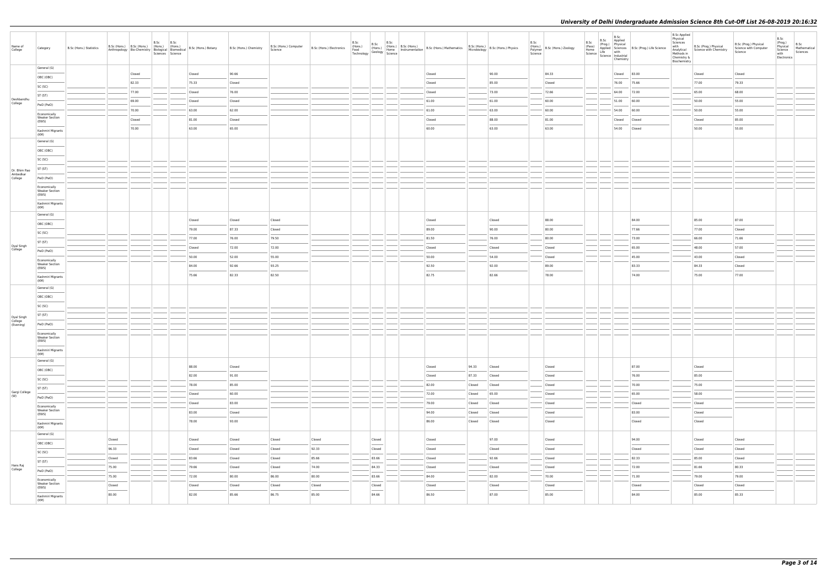| Name of<br>College    | Category                                       | B.Sc (Hons.) Statistics |                                                                                                                                                                                                                                                                                                                                                                                                                                                                                      | B.Sc (Hons.) B.Sc (Hons.) (Hons.) (Hons.) | B.Sc | B.Sc<br>Sciences Science | Anthropology Bio-Chemistry Biological Biomedical B.Sc (Hons.) Botany | B.Sc (Hons.) Chemistry | B.Sc (Hons.) Computer<br>Science | B.Sc (Hons.) Electronics | B.Sc | B.Sc                       | B.Sc | The B.Sc (Hons.) B.Sc (Hons.)<br>(Hons.) (Hons.) B.Sc (Hons.) B.Sc (Hons.) Mathematics B.Sc (Hons.)<br>Technology Geology Science<br>Technology Science |        | B.Sc (Hons.) B.Sc (Hons.) Physics | B.Sc<br>Polymer<br>Science | (Hons.) B.Sc (Hons.) Zoology | B.Sc<br>(Prog.)<br>(Pass)<br>Home<br>Science dife science with<br>Science different different different different different different different different different different different different different different different different different different dif | B.Sc<br>B.Sc Applied<br>Physical<br>Chemistry | Applied Sciences   B.Sc (Prog.) Life Science                                                                                                                                                                                                                                                                                                                                                                                                                                         | <b>B.Sc Applied</b><br>Physical<br>Sciences<br>with<br>Analytical<br>Methods in<br>Chemistry &<br>Biochemistry | B.Sc (Prog.) Physical<br>Science with Chemistry | B.Sc (Prog.) Physical<br>Science with Computer<br>Science | B.Sc<br>(Prog.)<br>Physical<br>Science<br>with<br>Electronics | B.Sc<br>Mathematical<br>Sciences |
|-----------------------|------------------------------------------------|-------------------------|--------------------------------------------------------------------------------------------------------------------------------------------------------------------------------------------------------------------------------------------------------------------------------------------------------------------------------------------------------------------------------------------------------------------------------------------------------------------------------------|-------------------------------------------|------|--------------------------|----------------------------------------------------------------------|------------------------|----------------------------------|--------------------------|------|----------------------------|------|---------------------------------------------------------------------------------------------------------------------------------------------------------|--------|-----------------------------------|----------------------------|------------------------------|-------------------------------------------------------------------------------------------------------------------------------------------------------------------------------------------------------------------------------------------------------------------|-----------------------------------------------|--------------------------------------------------------------------------------------------------------------------------------------------------------------------------------------------------------------------------------------------------------------------------------------------------------------------------------------------------------------------------------------------------------------------------------------------------------------------------------------|----------------------------------------------------------------------------------------------------------------|-------------------------------------------------|-----------------------------------------------------------|---------------------------------------------------------------|----------------------------------|
|                       | General (G)                                    |                         |                                                                                                                                                                                                                                                                                                                                                                                                                                                                                      | Closed                                    |      |                          | Closed                                                               | 90.66                  |                                  |                          |      |                            |      | Closed                                                                                                                                                  |        | 90.00                             |                            | 84.33                        |                                                                                                                                                                                                                                                                   | Closed                                        | 83.00                                                                                                                                                                                                                                                                                                                                                                                                                                                                                |                                                                                                                | Closed                                          | Closed                                                    |                                                               |                                  |
|                       | OBC (OBC)                                      |                         |                                                                                                                                                                                                                                                                                                                                                                                                                                                                                      | 82.33                                     |      |                          | 75.33                                                                | Closed                 |                                  |                          |      |                            |      | Closed                                                                                                                                                  |        | 85.00                             |                            | Closed                       |                                                                                                                                                                                                                                                                   |                                               | 76.00 75.66                                                                                                                                                                                                                                                                                                                                                                                                                                                                          |                                                                                                                | 77.00                                           | 79.33                                                     |                                                               |                                  |
|                       | SC (SC)                                        |                         |                                                                                                                                                                                                                                                                                                                                                                                                                                                                                      | 77.00                                     |      |                          | Closed                                                               | 76.00                  |                                  |                          |      |                            |      | Closed                                                                                                                                                  |        | 73.00                             |                            | 72.66                        |                                                                                                                                                                                                                                                                   | 64.00                                         | 72.00                                                                                                                                                                                                                                                                                                                                                                                                                                                                                |                                                                                                                | 65.00                                           | 68.00                                                     |                                                               |                                  |
| Deshbandhu<br>College | ST (ST)                                        |                         |                                                                                                                                                                                                                                                                                                                                                                                                                                                                                      | 69.00                                     |      |                          | Closed                                                               | Closed                 |                                  |                          |      |                            |      | 61.00                                                                                                                                                   |        | 61.00                             |                            | 60.00                        |                                                                                                                                                                                                                                                                   | 51.00                                         | 60.00                                                                                                                                                                                                                                                                                                                                                                                                                                                                                |                                                                                                                | 50.00                                           | 55.00                                                     |                                                               |                                  |
|                       | PwD (PwD)                                      |                         |                                                                                                                                                                                                                                                                                                                                                                                                                                                                                      | 70.00                                     |      |                          | 63.00                                                                | 62.00                  |                                  |                          |      |                            |      | 61.00                                                                                                                                                   |        | 63.00                             |                            | 60.00                        |                                                                                                                                                                                                                                                                   | 54.00                                         | 60.00                                                                                                                                                                                                                                                                                                                                                                                                                                                                                |                                                                                                                | 50.00                                           | 55.00                                                     |                                                               |                                  |
|                       | Economically<br><b>Weaker Section</b><br>(EWS) |                         |                                                                                                                                                                                                                                                                                                                                                                                                                                                                                      | Closed                                    |      |                          | 81.00                                                                | Closed                 |                                  |                          |      |                            |      | Closed                                                                                                                                                  |        | 88.00                             |                            | 81.00                        |                                                                                                                                                                                                                                                                   | Closed                                        | Closed                                                                                                                                                                                                                                                                                                                                                                                                                                                                               |                                                                                                                | Closed                                          | 85.00                                                     |                                                               |                                  |
|                       | Kashmiri Migrants                              |                         |                                                                                                                                                                                                                                                                                                                                                                                                                                                                                      | 70.00                                     |      |                          | 63.00                                                                | 65.00                  |                                  |                          |      |                            |      | 60.00                                                                                                                                                   |        | 63.00                             |                            | 63.00                        |                                                                                                                                                                                                                                                                   |                                               | 54.00 Closed                                                                                                                                                                                                                                                                                                                                                                                                                                                                         |                                                                                                                | 50.00                                           | 55.00                                                     |                                                               |                                  |
|                       | (KM)<br>General (G)                            |                         |                                                                                                                                                                                                                                                                                                                                                                                                                                                                                      |                                           |      |                          |                                                                      |                        |                                  |                          |      |                            |      |                                                                                                                                                         |        |                                   |                            |                              |                                                                                                                                                                                                                                                                   |                                               |                                                                                                                                                                                                                                                                                                                                                                                                                                                                                      |                                                                                                                |                                                 |                                                           |                                                               |                                  |
|                       | OBC (OBC)                                      |                         |                                                                                                                                                                                                                                                                                                                                                                                                                                                                                      |                                           |      |                          |                                                                      |                        |                                  |                          |      |                            |      |                                                                                                                                                         |        |                                   |                            |                              |                                                                                                                                                                                                                                                                   |                                               |                                                                                                                                                                                                                                                                                                                                                                                                                                                                                      |                                                                                                                |                                                 |                                                           |                                                               |                                  |
|                       | SC (SC)                                        |                         |                                                                                                                                                                                                                                                                                                                                                                                                                                                                                      |                                           |      |                          |                                                                      |                        |                                  |                          |      |                            |      |                                                                                                                                                         |        |                                   |                            |                              |                                                                                                                                                                                                                                                                   |                                               |                                                                                                                                                                                                                                                                                                                                                                                                                                                                                      |                                                                                                                |                                                 |                                                           |                                                               |                                  |
| Dr. Bhim Rao          | ST (ST)                                        |                         |                                                                                                                                                                                                                                                                                                                                                                                                                                                                                      |                                           |      |                          |                                                                      |                        |                                  |                          |      |                            |      |                                                                                                                                                         |        |                                   |                            |                              |                                                                                                                                                                                                                                                                   |                                               |                                                                                                                                                                                                                                                                                                                                                                                                                                                                                      |                                                                                                                |                                                 |                                                           |                                                               |                                  |
| Ambedkar<br>College   | PwD (PwD)                                      |                         |                                                                                                                                                                                                                                                                                                                                                                                                                                                                                      |                                           |      |                          |                                                                      |                        |                                  |                          |      |                            |      |                                                                                                                                                         |        |                                   |                            |                              |                                                                                                                                                                                                                                                                   |                                               |                                                                                                                                                                                                                                                                                                                                                                                                                                                                                      |                                                                                                                |                                                 |                                                           |                                                               |                                  |
|                       | Economically                                   |                         |                                                                                                                                                                                                                                                                                                                                                                                                                                                                                      |                                           |      |                          |                                                                      |                        |                                  |                          |      |                            |      |                                                                                                                                                         |        |                                   |                            |                              |                                                                                                                                                                                                                                                                   |                                               |                                                                                                                                                                                                                                                                                                                                                                                                                                                                                      |                                                                                                                |                                                 |                                                           |                                                               |                                  |
|                       | <b>Weaker Section</b><br>(EWS)                 |                         |                                                                                                                                                                                                                                                                                                                                                                                                                                                                                      |                                           |      |                          |                                                                      |                        |                                  |                          |      |                            |      |                                                                                                                                                         |        |                                   |                            |                              |                                                                                                                                                                                                                                                                   |                                               |                                                                                                                                                                                                                                                                                                                                                                                                                                                                                      |                                                                                                                |                                                 |                                                           |                                                               |                                  |
|                       | Kashmiri Migrants<br>(KM)                      |                         |                                                                                                                                                                                                                                                                                                                                                                                                                                                                                      |                                           |      |                          |                                                                      |                        |                                  |                          |      |                            |      |                                                                                                                                                         |        |                                   |                            |                              |                                                                                                                                                                                                                                                                   |                                               |                                                                                                                                                                                                                                                                                                                                                                                                                                                                                      |                                                                                                                |                                                 |                                                           |                                                               |                                  |
|                       | General (G)                                    |                         |                                                                                                                                                                                                                                                                                                                                                                                                                                                                                      |                                           |      |                          | Closed                                                               | Closed                 | Closed                           |                          |      |                            |      | Closed                                                                                                                                                  |        | Closed                            |                            | 88.00                        |                                                                                                                                                                                                                                                                   |                                               | 84.00                                                                                                                                                                                                                                                                                                                                                                                                                                                                                |                                                                                                                | 85.00                                           | 87.00                                                     |                                                               |                                  |
|                       | OBC (OBC)                                      |                         |                                                                                                                                                                                                                                                                                                                                                                                                                                                                                      |                                           |      |                          | 79.00                                                                | 87.33                  | Closed                           |                          |      |                            |      | 89.00                                                                                                                                                   |        | 90.00                             |                            | 80.00                        |                                                                                                                                                                                                                                                                   |                                               | 77.66                                                                                                                                                                                                                                                                                                                                                                                                                                                                                |                                                                                                                | 77.00                                           | Closed                                                    |                                                               |                                  |
|                       | SC (SC)                                        |                         |                                                                                                                                                                                                                                                                                                                                                                                                                                                                                      |                                           |      |                          | 77.00                                                                | 76.00                  | 79.50                            |                          |      |                            |      | 81.50                                                                                                                                                   |        | 76.00                             |                            | 80.00                        |                                                                                                                                                                                                                                                                   |                                               | 73.00                                                                                                                                                                                                                                                                                                                                                                                                                                                                                |                                                                                                                | 66.00                                           | 71.66                                                     |                                                               |                                  |
| Dyal Singh<br>College | ST (ST)                                        |                         |                                                                                                                                                                                                                                                                                                                                                                                                                                                                                      |                                           |      |                          | Closed                                                               | 72.00                  | 72.00                            |                          |      |                            |      | Closed                                                                                                                                                  |        | Closed                            |                            | Closed                       |                                                                                                                                                                                                                                                                   |                                               | 65.00                                                                                                                                                                                                                                                                                                                                                                                                                                                                                |                                                                                                                | 48.00                                           | 57.00                                                     |                                                               |                                  |
|                       | PwD (PwD)                                      |                         |                                                                                                                                                                                                                                                                                                                                                                                                                                                                                      |                                           |      |                          | 50.00                                                                | 52.00                  | 55.00                            |                          |      |                            |      | 50.00                                                                                                                                                   |        | 54.00                             |                            | Closed                       |                                                                                                                                                                                                                                                                   |                                               | 45.00                                                                                                                                                                                                                                                                                                                                                                                                                                                                                |                                                                                                                | 43.00                                           | Closed                                                    |                                                               |                                  |
|                       | Economically<br><b>Weaker Section</b><br>(EWS) |                         |                                                                                                                                                                                                                                                                                                                                                                                                                                                                                      |                                           |      |                          | 84.00                                                                | 92.66                  | 93.25                            |                          |      |                            |      | 92.50                                                                                                                                                   |        | 92.00                             |                            | 89.00                        |                                                                                                                                                                                                                                                                   |                                               | 83.33                                                                                                                                                                                                                                                                                                                                                                                                                                                                                |                                                                                                                | 84.33                                           | Closed                                                    |                                                               |                                  |
|                       | Kashmiri Migrants<br>(KM)                      |                         |                                                                                                                                                                                                                                                                                                                                                                                                                                                                                      |                                           |      |                          | 75.66                                                                | 82.33                  | 82.50                            |                          |      |                            |      | 82.75                                                                                                                                                   |        | 82.66                             |                            | 78.00                        |                                                                                                                                                                                                                                                                   |                                               | 74.00                                                                                                                                                                                                                                                                                                                                                                                                                                                                                |                                                                                                                | 75.00                                           | 77.00                                                     |                                                               |                                  |
|                       | General (G)                                    |                         |                                                                                                                                                                                                                                                                                                                                                                                                                                                                                      |                                           |      |                          |                                                                      |                        |                                  |                          |      |                            |      |                                                                                                                                                         |        |                                   |                            |                              |                                                                                                                                                                                                                                                                   |                                               |                                                                                                                                                                                                                                                                                                                                                                                                                                                                                      |                                                                                                                |                                                 |                                                           |                                                               |                                  |
|                       | OBC (OBC)                                      |                         |                                                                                                                                                                                                                                                                                                                                                                                                                                                                                      |                                           |      |                          |                                                                      |                        |                                  |                          |      |                            |      |                                                                                                                                                         |        |                                   |                            |                              |                                                                                                                                                                                                                                                                   |                                               |                                                                                                                                                                                                                                                                                                                                                                                                                                                                                      |                                                                                                                |                                                 |                                                           |                                                               |                                  |
|                       | SC (SC)                                        |                         |                                                                                                                                                                                                                                                                                                                                                                                                                                                                                      |                                           |      |                          |                                                                      |                        |                                  |                          |      |                            |      |                                                                                                                                                         |        |                                   |                            |                              |                                                                                                                                                                                                                                                                   |                                               |                                                                                                                                                                                                                                                                                                                                                                                                                                                                                      |                                                                                                                |                                                 |                                                           |                                                               |                                  |
| Dyal Singh            | ST (ST)                                        |                         |                                                                                                                                                                                                                                                                                                                                                                                                                                                                                      |                                           |      |                          |                                                                      |                        |                                  |                          |      |                            |      |                                                                                                                                                         |        |                                   |                            |                              |                                                                                                                                                                                                                                                                   |                                               |                                                                                                                                                                                                                                                                                                                                                                                                                                                                                      |                                                                                                                |                                                 |                                                           |                                                               |                                  |
| College<br>(Evening)  | PwD (PwD)                                      |                         |                                                                                                                                                                                                                                                                                                                                                                                                                                                                                      |                                           |      |                          |                                                                      |                        |                                  |                          |      |                            |      |                                                                                                                                                         |        |                                   |                            |                              |                                                                                                                                                                                                                                                                   |                                               |                                                                                                                                                                                                                                                                                                                                                                                                                                                                                      |                                                                                                                |                                                 |                                                           |                                                               |                                  |
|                       | Economically<br><b>Weaker Section</b><br>(EWS) |                         |                                                                                                                                                                                                                                                                                                                                                                                                                                                                                      |                                           |      |                          |                                                                      |                        |                                  |                          |      |                            |      |                                                                                                                                                         |        |                                   |                            |                              |                                                                                                                                                                                                                                                                   |                                               |                                                                                                                                                                                                                                                                                                                                                                                                                                                                                      |                                                                                                                |                                                 |                                                           |                                                               |                                  |
|                       | Kashmiri Migrants<br>(KM)                      |                         |                                                                                                                                                                                                                                                                                                                                                                                                                                                                                      |                                           |      |                          |                                                                      |                        |                                  |                          |      |                            |      |                                                                                                                                                         |        |                                   |                            |                              |                                                                                                                                                                                                                                                                   |                                               |                                                                                                                                                                                                                                                                                                                                                                                                                                                                                      |                                                                                                                |                                                 |                                                           |                                                               |                                  |
|                       | General (G)                                    |                         |                                                                                                                                                                                                                                                                                                                                                                                                                                                                                      |                                           |      |                          | 88.00                                                                | Closed                 |                                  |                          |      |                            |      | Closed                                                                                                                                                  | 94.33  | Closed                            |                            | Closed                       |                                                                                                                                                                                                                                                                   |                                               | 87.00                                                                                                                                                                                                                                                                                                                                                                                                                                                                                |                                                                                                                | Closed                                          |                                                           |                                                               |                                  |
|                       | OBC (OBC)                                      |                         |                                                                                                                                                                                                                                                                                                                                                                                                                                                                                      |                                           |      |                          | 82.00                                                                | 91.00                  |                                  |                          |      |                            |      | Closed                                                                                                                                                  | 87.33  | Closed                            |                            | Closed                       |                                                                                                                                                                                                                                                                   |                                               | 76.00                                                                                                                                                                                                                                                                                                                                                                                                                                                                                |                                                                                                                | 85.00                                           |                                                           |                                                               |                                  |
|                       | SC (SC)                                        |                         |                                                                                                                                                                                                                                                                                                                                                                                                                                                                                      |                                           |      |                          | 78.00                                                                | 85.00                  |                                  |                          |      |                            |      | 82.00                                                                                                                                                   | Closed | Closed                            |                            | Closed                       |                                                                                                                                                                                                                                                                   |                                               | 70.00                                                                                                                                                                                                                                                                                                                                                                                                                                                                                |                                                                                                                | 75.00                                           |                                                           |                                                               |                                  |
| Gargi College         | ST (ST)                                        |                         |                                                                                                                                                                                                                                                                                                                                                                                                                                                                                      |                                           |      |                          | Closed                                                               | 60.00                  |                                  |                          |      |                            |      | 72.00                                                                                                                                                   | Closed | 65.00                             |                            | Closed                       |                                                                                                                                                                                                                                                                   |                                               | 65.00                                                                                                                                                                                                                                                                                                                                                                                                                                                                                |                                                                                                                | 58.00                                           |                                                           |                                                               |                                  |
| (W)                   | PwD (PwD)                                      |                         |                                                                                                                                                                                                                                                                                                                                                                                                                                                                                      |                                           |      |                          | Closed                                                               | 83.00                  |                                  |                          |      |                            |      | 79.00                                                                                                                                                   | Closed | Closed                            |                            | Closed                       |                                                                                                                                                                                                                                                                   |                                               | Closed                                                                                                                                                                                                                                                                                                                                                                                                                                                                               |                                                                                                                | Closed                                          |                                                           |                                                               |                                  |
|                       | Economically<br><b>Weaker Section</b><br>(EWS) |                         |                                                                                                                                                                                                                                                                                                                                                                                                                                                                                      |                                           |      |                          | 83.00                                                                | Closed                 |                                  |                          |      |                            |      | 94.00                                                                                                                                                   | Closed | Closed                            |                            | Closed                       |                                                                                                                                                                                                                                                                   |                                               | 83.00                                                                                                                                                                                                                                                                                                                                                                                                                                                                                |                                                                                                                | Closed                                          |                                                           |                                                               |                                  |
|                       | Kashmiri Migrants                              |                         |                                                                                                                                                                                                                                                                                                                                                                                                                                                                                      |                                           |      |                          | 78.00                                                                | 93.00                  |                                  |                          |      |                            |      | 86.00                                                                                                                                                   | Closed | Closed                            |                            | Closed                       |                                                                                                                                                                                                                                                                   |                                               | Closed                                                                                                                                                                                                                                                                                                                                                                                                                                                                               |                                                                                                                | Closed                                          |                                                           |                                                               |                                  |
|                       | (KM)                                           |                         |                                                                                                                                                                                                                                                                                                                                                                                                                                                                                      |                                           |      |                          |                                                                      |                        |                                  |                          |      |                            |      |                                                                                                                                                         |        |                                   |                            |                              |                                                                                                                                                                                                                                                                   |                                               |                                                                                                                                                                                                                                                                                                                                                                                                                                                                                      |                                                                                                                |                                                 |                                                           |                                                               |                                  |
|                       | General (G)<br>OBC (OBC)                       |                         | Closed                                                                                                                                                                                                                                                                                                                                                                                                                                                                               |                                           |      |                          | Closed                                                               | Closed                 | Closed                           | Closed                   |      | Closed                     |      | Closed                                                                                                                                                  |        | 97.00                             |                            | Closed                       |                                                                                                                                                                                                                                                                   |                                               | 94.00                                                                                                                                                                                                                                                                                                                                                                                                                                                                                |                                                                                                                | Closed                                          | Closed                                                    |                                                               |                                  |
|                       | SC (SC)                                        |                         | $\frac{1}{2} \left( \frac{1}{2} \right) \left( \frac{1}{2} \right) \left( \frac{1}{2} \right) \left( \frac{1}{2} \right) \left( \frac{1}{2} \right) \left( \frac{1}{2} \right) \left( \frac{1}{2} \right) \left( \frac{1}{2} \right) \left( \frac{1}{2} \right) \left( \frac{1}{2} \right) \left( \frac{1}{2} \right) \left( \frac{1}{2} \right) \left( \frac{1}{2} \right) \left( \frac{1}{2} \right) \left( \frac{1}{2} \right) \left( \frac{1}{2} \right) \left( \frac$<br>96.33  |                                           |      |                          | Closed                                                               | Closed                 | Closed                           | 92.33                    |      | $\sim$ 100 $\mu$<br>Closed |      | Closed                                                                                                                                                  |        | Closed                            |                            | Closed                       |                                                                                                                                                                                                                                                                   |                                               | $\sim$<br>Closed                                                                                                                                                                                                                                                                                                                                                                                                                                                                     |                                                                                                                | Closed                                          | Closed                                                    |                                                               |                                  |
|                       | ST (ST)                                        |                         | Closed                                                                                                                                                                                                                                                                                                                                                                                                                                                                               |                                           |      |                          | 83.66                                                                | Closed                 | Closed                           | 85.66                    |      | 83.66                      |      | Closed                                                                                                                                                  |        | 92.66                             |                            | Closed                       |                                                                                                                                                                                                                                                                   |                                               | 82.33                                                                                                                                                                                                                                                                                                                                                                                                                                                                                |                                                                                                                | 85.00                                           | Closed                                                    |                                                               |                                  |
| Hans Raj<br>College   | PwD (PwD)                                      |                         | 75.00                                                                                                                                                                                                                                                                                                                                                                                                                                                                                |                                           |      |                          | 79.66                                                                | Closed                 | Closed                           | 74.00                    |      | 84.33                      |      | Closed                                                                                                                                                  |        | Closed                            |                            | Closed                       |                                                                                                                                                                                                                                                                   |                                               | 72.00                                                                                                                                                                                                                                                                                                                                                                                                                                                                                |                                                                                                                | 81.66                                           | 80.33                                                     |                                                               |                                  |
|                       | Economically                                   |                         | 75.00                                                                                                                                                                                                                                                                                                                                                                                                                                                                                |                                           |      |                          | 72.00                                                                | 80.00                  | 86.00                            | 80.00                    |      | 83.66                      |      | 84.00                                                                                                                                                   |        | 82.00                             |                            | 70.00                        |                                                                                                                                                                                                                                                                   |                                               | 71.00                                                                                                                                                                                                                                                                                                                                                                                                                                                                                |                                                                                                                | 79.00                                           | 79.00                                                     |                                                               |                                  |
|                       | <b>Weaker Section</b><br>(EWS)                 |                         | Closed<br>$\frac{1}{2} \left( \frac{1}{2} \right) \left( \frac{1}{2} \right) \left( \frac{1}{2} \right) \left( \frac{1}{2} \right) \left( \frac{1}{2} \right) \left( \frac{1}{2} \right) \left( \frac{1}{2} \right) \left( \frac{1}{2} \right) \left( \frac{1}{2} \right) \left( \frac{1}{2} \right) \left( \frac{1}{2} \right) \left( \frac{1}{2} \right) \left( \frac{1}{2} \right) \left( \frac{1}{2} \right) \left( \frac{1}{2} \right) \left( \frac{1}{2} \right) \left( \frac$ |                                           |      |                          | Closed                                                               | Closed                 | Closed                           | Closed                   |      | Closed<br>$\sim$ 100 $\mu$ |      | Closed                                                                                                                                                  |        | Closed                            |                            | Closed                       |                                                                                                                                                                                                                                                                   |                                               | Closed<br>$\frac{1}{2} \left( \frac{1}{2} \right) \left( \frac{1}{2} \right) \left( \frac{1}{2} \right) \left( \frac{1}{2} \right) \left( \frac{1}{2} \right) \left( \frac{1}{2} \right) \left( \frac{1}{2} \right) \left( \frac{1}{2} \right) \left( \frac{1}{2} \right) \left( \frac{1}{2} \right) \left( \frac{1}{2} \right) \left( \frac{1}{2} \right) \left( \frac{1}{2} \right) \left( \frac{1}{2} \right) \left( \frac{1}{2} \right) \left( \frac{1}{2} \right) \left( \frac$ |                                                                                                                | Closed                                          | Closed                                                    |                                                               |                                  |
|                       | Kashmiri Migrants<br>(KM)                      |                         | 80.00                                                                                                                                                                                                                                                                                                                                                                                                                                                                                |                                           |      |                          | 82.00                                                                | 85.66                  | 86.75                            | 85.00                    |      | 84.66                      |      | 86.50                                                                                                                                                   |        | 87.00                             |                            | 85.00                        |                                                                                                                                                                                                                                                                   |                                               | 84.00                                                                                                                                                                                                                                                                                                                                                                                                                                                                                |                                                                                                                | 85.00                                           | 85.33                                                     |                                                               |                                  |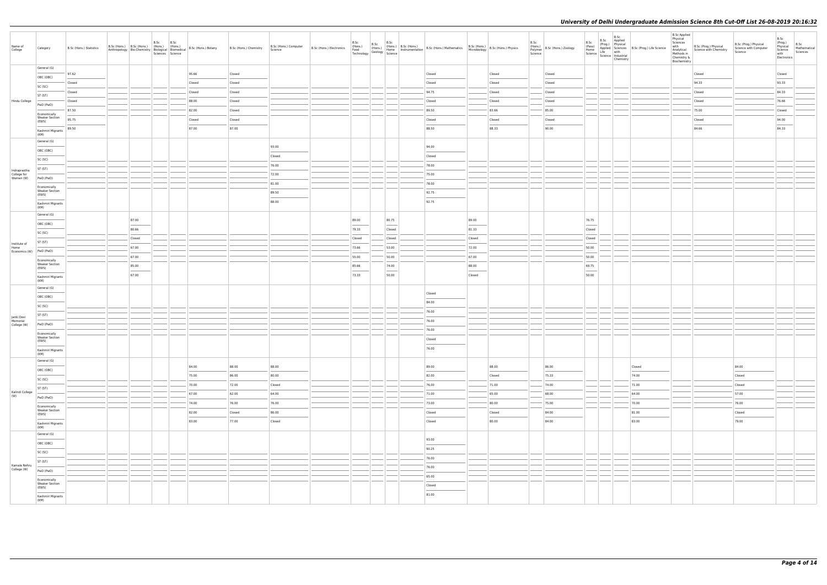| Name of<br>College              | Category                                                                                                                                                                                                                                                                                                                                                                                                                                                                                                 | B.Sc (Hons.) Statistics | B.Sc (Hons.) B.Sc (Hons.) (Hons.) (Hons.)<br>Anthropology Bio-Chemistry Biological Biomedical | B.Sc<br>B.Sc<br>Sciences Science |        | B.Sc (Hons.) Botany B.Sc (Hons.) Chemistry | B.Sc (Hons.) Computer<br>Science | B.Sc (Hons.) Electronics |                 |        |        |        |        | B.Sc<br>Polymer<br>Science | (Hons.) B.Sc (Hons.) Zoology | B.Sc<br>(Pass)<br>Home<br>Home<br>Science Life with<br>Science Industrial                                                                                                                                                                                                                                                                                                                                                                                                           | B.Sc<br>B.Sc Applied<br>(Prog.) Physical<br>Chemistry | Applied Sciences B.Sc (Prog.) Life Science | <b>B.Sc Applied</b><br>Physical<br>Sciences<br>with<br>Analytical<br>Methods in<br>Chemistry &<br>Biochemistry | B.Sc (Prog.) Physical<br>Science with Chemistry | B.Sc (Prog.) Physical<br>Science with Computer<br>Science                                                                                                                                                                                                                                                                                                                                                                                                                           | B.Sc<br>(Prog.)<br>Physical<br>Science<br>with<br>Electronics | B.Sc<br>Mathematical<br>Sciences |
|---------------------------------|----------------------------------------------------------------------------------------------------------------------------------------------------------------------------------------------------------------------------------------------------------------------------------------------------------------------------------------------------------------------------------------------------------------------------------------------------------------------------------------------------------|-------------------------|-----------------------------------------------------------------------------------------------|----------------------------------|--------|--------------------------------------------|----------------------------------|--------------------------|-----------------|--------|--------|--------|--------|----------------------------|------------------------------|-------------------------------------------------------------------------------------------------------------------------------------------------------------------------------------------------------------------------------------------------------------------------------------------------------------------------------------------------------------------------------------------------------------------------------------------------------------------------------------|-------------------------------------------------------|--------------------------------------------|----------------------------------------------------------------------------------------------------------------|-------------------------------------------------|-------------------------------------------------------------------------------------------------------------------------------------------------------------------------------------------------------------------------------------------------------------------------------------------------------------------------------------------------------------------------------------------------------------------------------------------------------------------------------------|---------------------------------------------------------------|----------------------------------|
|                                 | General (G)                                                                                                                                                                                                                                                                                                                                                                                                                                                                                              | 97.62                   |                                                                                               |                                  | 95.66  | Closed                                     |                                  |                          |                 |        | Closed |        | Closed |                            | Closed                       |                                                                                                                                                                                                                                                                                                                                                                                                                                                                                     |                                                       |                                            |                                                                                                                | Closed                                          |                                                                                                                                                                                                                                                                                                                                                                                                                                                                                     | Closed                                                        |                                  |
|                                 | OBC (OBC)                                                                                                                                                                                                                                                                                                                                                                                                                                                                                                | Closed                  |                                                                                               |                                  | Closed | Closed                                     |                                  |                          |                 |        | Closed |        | Closed |                            | Closed                       |                                                                                                                                                                                                                                                                                                                                                                                                                                                                                     |                                                       |                                            |                                                                                                                | 94.33                                           |                                                                                                                                                                                                                                                                                                                                                                                                                                                                                     | 93.33                                                         |                                  |
|                                 | SC (SC)                                                                                                                                                                                                                                                                                                                                                                                                                                                                                                  |                         |                                                                                               |                                  |        |                                            |                                  |                          |                 |        |        |        |        |                            |                              |                                                                                                                                                                                                                                                                                                                                                                                                                                                                                     |                                                       |                                            |                                                                                                                |                                                 |                                                                                                                                                                                                                                                                                                                                                                                                                                                                                     |                                                               |                                  |
|                                 | ST (ST)                                                                                                                                                                                                                                                                                                                                                                                                                                                                                                  | Closed                  |                                                                                               |                                  | Closed | Closed                                     |                                  |                          |                 |        | 94.75  |        | Closed |                            | Closed                       |                                                                                                                                                                                                                                                                                                                                                                                                                                                                                     |                                                       |                                            |                                                                                                                | Closed                                          |                                                                                                                                                                                                                                                                                                                                                                                                                                                                                     | 84.33                                                         |                                  |
| Hindu College                   | PwD (PwD)                                                                                                                                                                                                                                                                                                                                                                                                                                                                                                | Closed                  |                                                                                               |                                  | 88.00  | Closed                                     |                                  |                          |                 |        | Closed |        | Closed |                            | Closed                       |                                                                                                                                                                                                                                                                                                                                                                                                                                                                                     |                                                       |                                            |                                                                                                                | Closed                                          |                                                                                                                                                                                                                                                                                                                                                                                                                                                                                     | 76.66                                                         |                                  |
|                                 | Economically<br><b>Weaker Section</b>                                                                                                                                                                                                                                                                                                                                                                                                                                                                    | 87.50                   |                                                                                               |                                  | 82.00  | Closed                                     |                                  |                          |                 |        | 89.50  |        | 83.66  |                            | 85.00                        |                                                                                                                                                                                                                                                                                                                                                                                                                                                                                     |                                                       |                                            |                                                                                                                | 75.00                                           |                                                                                                                                                                                                                                                                                                                                                                                                                                                                                     | Closed                                                        |                                  |
|                                 | (EWS)                                                                                                                                                                                                                                                                                                                                                                                                                                                                                                    | 95.75                   |                                                                                               |                                  | Closed | Closed                                     |                                  |                          |                 |        | Closed |        | Closed |                            | Closed                       |                                                                                                                                                                                                                                                                                                                                                                                                                                                                                     |                                                       |                                            |                                                                                                                | Closed                                          |                                                                                                                                                                                                                                                                                                                                                                                                                                                                                     | 94.00                                                         |                                  |
|                                 | Kashmiri Migrants<br>(KM)                                                                                                                                                                                                                                                                                                                                                                                                                                                                                | 89.50                   |                                                                                               |                                  | 87.00  | 87.00                                      |                                  |                          |                 |        | 88.50  |        | 88.33  |                            | 90.00                        |                                                                                                                                                                                                                                                                                                                                                                                                                                                                                     |                                                       |                                            |                                                                                                                | 84.66                                           |                                                                                                                                                                                                                                                                                                                                                                                                                                                                                     | 84.33                                                         |                                  |
|                                 | General (G)                                                                                                                                                                                                                                                                                                                                                                                                                                                                                              |                         |                                                                                               |                                  |        |                                            |                                  |                          |                 |        |        |        |        |                            |                              |                                                                                                                                                                                                                                                                                                                                                                                                                                                                                     |                                                       |                                            |                                                                                                                |                                                 |                                                                                                                                                                                                                                                                                                                                                                                                                                                                                     |                                                               |                                  |
|                                 | OBC (OBC)                                                                                                                                                                                                                                                                                                                                                                                                                                                                                                |                         |                                                                                               |                                  |        |                                            | 93.00                            |                          |                 |        | 94.00  |        |        |                            |                              |                                                                                                                                                                                                                                                                                                                                                                                                                                                                                     |                                                       |                                            |                                                                                                                |                                                 |                                                                                                                                                                                                                                                                                                                                                                                                                                                                                     |                                                               |                                  |
|                                 | SC (SC)                                                                                                                                                                                                                                                                                                                                                                                                                                                                                                  |                         |                                                                                               |                                  |        |                                            | Closed                           |                          |                 |        | Closed |        |        |                            |                              |                                                                                                                                                                                                                                                                                                                                                                                                                                                                                     |                                                       |                                            |                                                                                                                |                                                 |                                                                                                                                                                                                                                                                                                                                                                                                                                                                                     |                                                               |                                  |
| Indraprastha                    | ST (ST)                                                                                                                                                                                                                                                                                                                                                                                                                                                                                                  |                         |                                                                                               |                                  |        |                                            | 76.00                            |                          |                 |        | 78.00  |        |        |                            |                              |                                                                                                                                                                                                                                                                                                                                                                                                                                                                                     |                                                       |                                            |                                                                                                                |                                                 |                                                                                                                                                                                                                                                                                                                                                                                                                                                                                     |                                                               |                                  |
| College for<br>Women (W)        | PwD (PwD)                                                                                                                                                                                                                                                                                                                                                                                                                                                                                                |                         |                                                                                               |                                  |        |                                            | 72.00                            |                          |                 |        | 75.00  |        |        |                            |                              |                                                                                                                                                                                                                                                                                                                                                                                                                                                                                     |                                                       |                                            |                                                                                                                |                                                 |                                                                                                                                                                                                                                                                                                                                                                                                                                                                                     |                                                               |                                  |
|                                 | Economically                                                                                                                                                                                                                                                                                                                                                                                                                                                                                             |                         |                                                                                               |                                  |        |                                            | 81.00                            |                          |                 |        | 78.00  |        |        |                            |                              |                                                                                                                                                                                                                                                                                                                                                                                                                                                                                     |                                                       |                                            |                                                                                                                |                                                 |                                                                                                                                                                                                                                                                                                                                                                                                                                                                                     |                                                               |                                  |
|                                 | <b>Weaker Section</b><br>(EWS)                                                                                                                                                                                                                                                                                                                                                                                                                                                                           |                         |                                                                                               |                                  |        |                                            | 89.50                            |                          |                 |        | 92.75  |        |        |                            |                              |                                                                                                                                                                                                                                                                                                                                                                                                                                                                                     |                                                       |                                            |                                                                                                                |                                                 |                                                                                                                                                                                                                                                                                                                                                                                                                                                                                     |                                                               |                                  |
|                                 | Kashmiri Migrants<br>(KM)                                                                                                                                                                                                                                                                                                                                                                                                                                                                                |                         |                                                                                               |                                  |        |                                            | 88.00                            |                          |                 |        | 92.75  |        |        |                            |                              |                                                                                                                                                                                                                                                                                                                                                                                                                                                                                     |                                                       |                                            |                                                                                                                |                                                 |                                                                                                                                                                                                                                                                                                                                                                                                                                                                                     |                                                               |                                  |
|                                 | General (G)                                                                                                                                                                                                                                                                                                                                                                                                                                                                                              |                         | 87.00                                                                                         |                                  |        |                                            |                                  |                          | 89.00           |        |        | 89.00  |        |                            |                              | 76.75                                                                                                                                                                                                                                                                                                                                                                                                                                                                               |                                                       |                                            |                                                                                                                |                                                 |                                                                                                                                                                                                                                                                                                                                                                                                                                                                                     |                                                               |                                  |
|                                 | OBC (OBC)                                                                                                                                                                                                                                                                                                                                                                                                                                                                                                |                         |                                                                                               |                                  |        |                                            |                                  |                          |                 | 80.75  |        |        |        |                            |                              |                                                                                                                                                                                                                                                                                                                                                                                                                                                                                     |                                                       |                                            |                                                                                                                |                                                 |                                                                                                                                                                                                                                                                                                                                                                                                                                                                                     |                                                               |                                  |
|                                 | SC (SC)                                                                                                                                                                                                                                                                                                                                                                                                                                                                                                  |                         | 80.66                                                                                         |                                  |        |                                            |                                  |                          | 79.33           | Closed |        | 81.33  |        |                            |                              | Closed                                                                                                                                                                                                                                                                                                                                                                                                                                                                              |                                                       |                                            |                                                                                                                |                                                 |                                                                                                                                                                                                                                                                                                                                                                                                                                                                                     |                                                               |                                  |
| Institute of                    | ST (ST)                                                                                                                                                                                                                                                                                                                                                                                                                                                                                                  |                         | Closed                                                                                        |                                  |        |                                            |                                  |                          | Closed          | Closed |        | Closed |        |                            |                              | Closed                                                                                                                                                                                                                                                                                                                                                                                                                                                                              |                                                       |                                            |                                                                                                                |                                                 |                                                                                                                                                                                                                                                                                                                                                                                                                                                                                     |                                                               |                                  |
| Home<br>Economics (W) PwD (PwD) |                                                                                                                                                                                                                                                                                                                                                                                                                                                                                                          |                         | 67.00                                                                                         |                                  |        |                                            |                                  |                          | 73.66           | 53.00  |        | 72.00  |        |                            |                              | 50.00                                                                                                                                                                                                                                                                                                                                                                                                                                                                               |                                                       |                                            |                                                                                                                |                                                 |                                                                                                                                                                                                                                                                                                                                                                                                                                                                                     |                                                               |                                  |
|                                 | Economically<br><b>Weaker Section</b>                                                                                                                                                                                                                                                                                                                                                                                                                                                                    |                         | 67.00                                                                                         |                                  |        |                                            |                                  |                          | 55.00           | 50.00  |        | 67.00  |        |                            |                              | 50.00                                                                                                                                                                                                                                                                                                                                                                                                                                                                               |                                                       |                                            |                                                                                                                |                                                 |                                                                                                                                                                                                                                                                                                                                                                                                                                                                                     |                                                               |                                  |
|                                 | (EWS)<br>$\overline{\phantom{a}}$                                                                                                                                                                                                                                                                                                                                                                                                                                                                        |                         | 85.00                                                                                         |                                  |        |                                            |                                  |                          | 85.66<br>$\sim$ | 74.00  |        | 88.00  |        |                            |                              | 69.75<br>$\frac{1}{2} \left( \frac{1}{2} \right) \left( \frac{1}{2} \right) \left( \frac{1}{2} \right) \left( \frac{1}{2} \right) \left( \frac{1}{2} \right) \left( \frac{1}{2} \right) \left( \frac{1}{2} \right) \left( \frac{1}{2} \right) \left( \frac{1}{2} \right) \left( \frac{1}{2} \right) \left( \frac{1}{2} \right) \left( \frac{1}{2} \right) \left( \frac{1}{2} \right) \left( \frac{1}{2} \right) \left( \frac{1}{2} \right) \left( \frac{1}{2} \right) \left( \frac$ |                                                       |                                            |                                                                                                                |                                                 |                                                                                                                                                                                                                                                                                                                                                                                                                                                                                     |                                                               |                                  |
|                                 | Kashmiri Migrants<br>(KM)                                                                                                                                                                                                                                                                                                                                                                                                                                                                                |                         | 67.00                                                                                         |                                  |        |                                            |                                  |                          | 73.33           | 50.00  |        | Closed |        |                            |                              | 50.00                                                                                                                                                                                                                                                                                                                                                                                                                                                                               |                                                       |                                            |                                                                                                                |                                                 |                                                                                                                                                                                                                                                                                                                                                                                                                                                                                     |                                                               |                                  |
|                                 | General (G)                                                                                                                                                                                                                                                                                                                                                                                                                                                                                              |                         |                                                                                               |                                  |        |                                            |                                  |                          |                 |        | Closed |        |        |                            |                              |                                                                                                                                                                                                                                                                                                                                                                                                                                                                                     |                                                       |                                            |                                                                                                                |                                                 |                                                                                                                                                                                                                                                                                                                                                                                                                                                                                     |                                                               |                                  |
|                                 | OBC (OBC)                                                                                                                                                                                                                                                                                                                                                                                                                                                                                                |                         |                                                                                               |                                  |        |                                            |                                  |                          |                 |        | 84.00  |        |        |                            |                              |                                                                                                                                                                                                                                                                                                                                                                                                                                                                                     |                                                       |                                            |                                                                                                                |                                                 |                                                                                                                                                                                                                                                                                                                                                                                                                                                                                     |                                                               |                                  |
|                                 | SC (SC)                                                                                                                                                                                                                                                                                                                                                                                                                                                                                                  |                         |                                                                                               |                                  |        |                                            |                                  |                          |                 |        | 76.00  |        |        |                            |                              |                                                                                                                                                                                                                                                                                                                                                                                                                                                                                     |                                                       |                                            |                                                                                                                |                                                 |                                                                                                                                                                                                                                                                                                                                                                                                                                                                                     |                                                               |                                  |
| Janki Devi<br>Memorial          | ST (ST)                                                                                                                                                                                                                                                                                                                                                                                                                                                                                                  |                         |                                                                                               |                                  |        |                                            |                                  |                          |                 |        | 76.00  |        |        |                            |                              |                                                                                                                                                                                                                                                                                                                                                                                                                                                                                     |                                                       |                                            |                                                                                                                |                                                 |                                                                                                                                                                                                                                                                                                                                                                                                                                                                                     |                                                               |                                  |
| College (W)                     | PwD (PwD)                                                                                                                                                                                                                                                                                                                                                                                                                                                                                                |                         |                                                                                               |                                  |        |                                            |                                  |                          |                 |        | 76.00  |        |        |                            |                              |                                                                                                                                                                                                                                                                                                                                                                                                                                                                                     |                                                       |                                            |                                                                                                                |                                                 |                                                                                                                                                                                                                                                                                                                                                                                                                                                                                     |                                                               |                                  |
|                                 | Economically<br><b>Weaker Section</b>                                                                                                                                                                                                                                                                                                                                                                                                                                                                    |                         |                                                                                               |                                  |        |                                            |                                  |                          |                 |        | Closed |        |        |                            |                              |                                                                                                                                                                                                                                                                                                                                                                                                                                                                                     |                                                       |                                            |                                                                                                                |                                                 |                                                                                                                                                                                                                                                                                                                                                                                                                                                                                     |                                                               |                                  |
|                                 | (EWS)<br>$\frac{1}{2} \left( \frac{1}{2} \right) \left( \frac{1}{2} \right) \left( \frac{1}{2} \right) \left( \frac{1}{2} \right) \left( \frac{1}{2} \right) \left( \frac{1}{2} \right) \left( \frac{1}{2} \right) \left( \frac{1}{2} \right) \left( \frac{1}{2} \right) \left( \frac{1}{2} \right) \left( \frac{1}{2} \right) \left( \frac{1}{2} \right) \left( \frac{1}{2} \right) \left( \frac{1}{2} \right) \left( \frac{1}{2} \right) \left( \frac{1}{2} \right) \left( \frac$<br>Kashmiri Migrants |                         |                                                                                               |                                  |        |                                            |                                  |                          |                 |        | 76.00  |        |        |                            |                              |                                                                                                                                                                                                                                                                                                                                                                                                                                                                                     |                                                       |                                            |                                                                                                                |                                                 |                                                                                                                                                                                                                                                                                                                                                                                                                                                                                     |                                                               |                                  |
|                                 | (KM)                                                                                                                                                                                                                                                                                                                                                                                                                                                                                                     |                         |                                                                                               |                                  |        |                                            |                                  |                          |                 |        |        |        |        |                            |                              |                                                                                                                                                                                                                                                                                                                                                                                                                                                                                     |                                                       |                                            |                                                                                                                |                                                 |                                                                                                                                                                                                                                                                                                                                                                                                                                                                                     |                                                               |                                  |
|                                 | General (G)<br>OBC (OBC)                                                                                                                                                                                                                                                                                                                                                                                                                                                                                 |                         |                                                                                               |                                  | 84.00  | 88.00                                      | 88.00                            |                          |                 |        | 89.00  |        | 88.00  |                            | 86.00                        |                                                                                                                                                                                                                                                                                                                                                                                                                                                                                     |                                                       | Closed                                     |                                                                                                                |                                                 | 84.00                                                                                                                                                                                                                                                                                                                                                                                                                                                                               |                                                               |                                  |
|                                 |                                                                                                                                                                                                                                                                                                                                                                                                                                                                                                          |                         |                                                                                               |                                  | 75.00  | 86.00                                      | 80.00                            |                          |                 |        | 82.00  |        | Closed |                            | 75.33                        |                                                                                                                                                                                                                                                                                                                                                                                                                                                                                     |                                                       | 74.00                                      |                                                                                                                |                                                 | Closed                                                                                                                                                                                                                                                                                                                                                                                                                                                                              |                                                               |                                  |
|                                 | SC (SC)<br>ST (ST)                                                                                                                                                                                                                                                                                                                                                                                                                                                                                       |                         |                                                                                               |                                  | 70.00  | 72.00                                      | Closed                           |                          |                 |        | 76.00  |        | 71.00  |                            | 74.00                        | <b>Contract Contract</b>                                                                                                                                                                                                                                                                                                                                                                                                                                                            |                                                       | 71.00                                      |                                                                                                                |                                                 | Closed                                                                                                                                                                                                                                                                                                                                                                                                                                                                              |                                                               |                                  |
| Kalindi College<br>(W)          |                                                                                                                                                                                                                                                                                                                                                                                                                                                                                                          |                         |                                                                                               |                                  | 67.00  | 62.00                                      | 64.00                            |                          |                 |        | 71.00  |        | 65.00  |                            | 68.00                        |                                                                                                                                                                                                                                                                                                                                                                                                                                                                                     |                                                       | 64.00                                      |                                                                                                                |                                                 | 57.00                                                                                                                                                                                                                                                                                                                                                                                                                                                                               |                                                               |                                  |
|                                 | PwD (PwD)                                                                                                                                                                                                                                                                                                                                                                                                                                                                                                |                         |                                                                                               |                                  | 74.00  | 76.00                                      | 76.00                            |                          |                 |        | 73.00  |        | 80.00  |                            | 75.00                        |                                                                                                                                                                                                                                                                                                                                                                                                                                                                                     |                                                       | --<br>70.00                                |                                                                                                                |                                                 | $\frac{1}{2} \left( \frac{1}{2} \right) \left( \frac{1}{2} \right) \left( \frac{1}{2} \right) \left( \frac{1}{2} \right) \left( \frac{1}{2} \right) \left( \frac{1}{2} \right) \left( \frac{1}{2} \right) \left( \frac{1}{2} \right) \left( \frac{1}{2} \right) \left( \frac{1}{2} \right) \left( \frac{1}{2} \right) \left( \frac{1}{2} \right) \left( \frac{1}{2} \right) \left( \frac{1}{2} \right) \left( \frac{1}{2} \right) \left( \frac{1}{2} \right) \left( \frac$<br>76.00 |                                                               |                                  |
|                                 | Economically<br><b>Weaker Section</b><br>(EWS)                                                                                                                                                                                                                                                                                                                                                                                                                                                           |                         |                                                                                               |                                  | 82.00  | Closed                                     | 86.00                            |                          |                 |        | Closed |        | Closed |                            | 84.00                        |                                                                                                                                                                                                                                                                                                                                                                                                                                                                                     |                                                       | 81.00                                      |                                                                                                                |                                                 | Closed                                                                                                                                                                                                                                                                                                                                                                                                                                                                              |                                                               |                                  |
|                                 | Kashmiri Migrants                                                                                                                                                                                                                                                                                                                                                                                                                                                                                        |                         |                                                                                               |                                  | 83.00  | 77.00                                      | Closed                           |                          |                 |        | Closed |        | 80.00  |                            | 84.00                        |                                                                                                                                                                                                                                                                                                                                                                                                                                                                                     |                                                       | 83.00                                      |                                                                                                                |                                                 | 79.00                                                                                                                                                                                                                                                                                                                                                                                                                                                                               |                                                               |                                  |
|                                 | (KM)                                                                                                                                                                                                                                                                                                                                                                                                                                                                                                     |                         |                                                                                               |                                  |        |                                            |                                  |                          |                 |        |        |        |        |                            |                              |                                                                                                                                                                                                                                                                                                                                                                                                                                                                                     |                                                       |                                            |                                                                                                                |                                                 |                                                                                                                                                                                                                                                                                                                                                                                                                                                                                     |                                                               |                                  |
|                                 | General (G)                                                                                                                                                                                                                                                                                                                                                                                                                                                                                              |                         |                                                                                               |                                  |        |                                            |                                  |                          |                 |        | 93.00  |        |        |                            |                              |                                                                                                                                                                                                                                                                                                                                                                                                                                                                                     |                                                       |                                            |                                                                                                                |                                                 |                                                                                                                                                                                                                                                                                                                                                                                                                                                                                     |                                                               |                                  |
|                                 | OBC (OBC)<br>$\frac{1}{2}$                                                                                                                                                                                                                                                                                                                                                                                                                                                                               |                         |                                                                                               |                                  |        |                                            |                                  |                          |                 |        | 90.25  |        |        |                            |                              |                                                                                                                                                                                                                                                                                                                                                                                                                                                                                     |                                                       |                                            |                                                                                                                |                                                 |                                                                                                                                                                                                                                                                                                                                                                                                                                                                                     |                                                               |                                  |
|                                 | SC (SC)                                                                                                                                                                                                                                                                                                                                                                                                                                                                                                  |                         |                                                                                               |                                  |        |                                            |                                  |                          |                 |        | 76.00  |        |        |                            |                              |                                                                                                                                                                                                                                                                                                                                                                                                                                                                                     |                                                       |                                            |                                                                                                                |                                                 |                                                                                                                                                                                                                                                                                                                                                                                                                                                                                     |                                                               |                                  |
| Kamala Nehru                    | ST (ST)                                                                                                                                                                                                                                                                                                                                                                                                                                                                                                  |                         |                                                                                               |                                  |        |                                            |                                  |                          |                 |        | 76.00  |        |        |                            |                              |                                                                                                                                                                                                                                                                                                                                                                                                                                                                                     |                                                       |                                            |                                                                                                                |                                                 |                                                                                                                                                                                                                                                                                                                                                                                                                                                                                     |                                                               |                                  |
| College (W)                     | PwD (PwD)                                                                                                                                                                                                                                                                                                                                                                                                                                                                                                |                         |                                                                                               |                                  |        |                                            |                                  |                          |                 |        | 65.00  |        |        |                            |                              |                                                                                                                                                                                                                                                                                                                                                                                                                                                                                     |                                                       |                                            |                                                                                                                |                                                 |                                                                                                                                                                                                                                                                                                                                                                                                                                                                                     |                                                               |                                  |
|                                 | Economically<br><b>Weaker Section</b><br>(EWS)                                                                                                                                                                                                                                                                                                                                                                                                                                                           |                         |                                                                                               |                                  |        |                                            |                                  |                          |                 |        | Closed |        |        |                            |                              |                                                                                                                                                                                                                                                                                                                                                                                                                                                                                     |                                                       |                                            |                                                                                                                |                                                 |                                                                                                                                                                                                                                                                                                                                                                                                                                                                                     |                                                               |                                  |
|                                 | Kashmiri Migrants<br>(KM)                                                                                                                                                                                                                                                                                                                                                                                                                                                                                |                         |                                                                                               |                                  |        |                                            |                                  |                          |                 |        | 81.00  |        |        |                            |                              |                                                                                                                                                                                                                                                                                                                                                                                                                                                                                     |                                                       |                                            |                                                                                                                |                                                 |                                                                                                                                                                                                                                                                                                                                                                                                                                                                                     |                                                               |                                  |
|                                 |                                                                                                                                                                                                                                                                                                                                                                                                                                                                                                          |                         |                                                                                               |                                  |        |                                            |                                  |                          |                 |        |        |        |        |                            |                              |                                                                                                                                                                                                                                                                                                                                                                                                                                                                                     |                                                       |                                            |                                                                                                                |                                                 |                                                                                                                                                                                                                                                                                                                                                                                                                                                                                     |                                                               |                                  |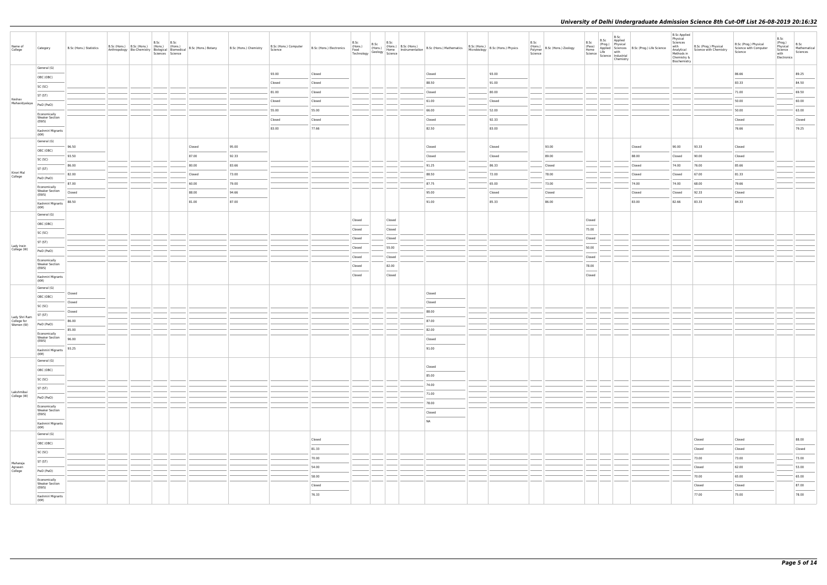| Name of<br>College             | Category                                                                                                                                                                                                                                                                                                                                                                                                                                                                                        | B.Sc (Hons.) Statistics                                                                                                                                                                                                                                                                                                                                                                                                                                                             | B.Sc (Hons.) B.Sc (Hons.) (Hons.) (Hons.) | B.Sc | B.Sc<br>Sciences Science | Anthropology   Bio-Chemistry   Biological   Biomedical   B.Sc (Hons.) Botany | B.Sc (Hons.) Chemistry | B.Sc (Hons.) Computer<br>Science | B.Sc (Hons.) Electronics | B.Sc   | B.Sc   | B.Sc (Hons.) B.Sc (B.Sc (Hons.) B.Sc (Hons.) B.Sc (Hons.) B.Sc (Hons.) B.Sc (Hons.) CHO (Hons.) B.Sc (Hons.) B.Sc (Hons.) B.Sc (Hons.) B.Sc (Hons.) B.Sc (Hons.) Physics Technology Science (Basillar Science 1998) Science (B |        | B.Sc<br>Science | (Hons.)<br>Polymer B.Sc (Hons.) Zoology | B.Sc<br>(Pass)<br>Home<br>Science   Line<br>  Science   Industrial | B.Sc<br>Life with<br>Chemistry | B.Sc Applied<br>(Prog.) Physical<br>Applied Sciences B.Sc (Prog.) Life Science | <b>B.Sc Applied</b><br>Physical<br>Sciences<br>with<br>Chemistry &<br>Biochemistry | B.Sc (Prog.) Physical<br>Analytical Science with Chemistry<br>Methods in | B.Sc (Prog.) Physical<br>Science with Computer<br>Science | B.Sc<br>(Prog.)<br>Physical<br>Science<br>with<br>Electronics | B.Sc<br>Mathematical<br>Sciences                                                                                                                                                                                                                                                                                                                                                                                                                                                    |
|--------------------------------|-------------------------------------------------------------------------------------------------------------------------------------------------------------------------------------------------------------------------------------------------------------------------------------------------------------------------------------------------------------------------------------------------------------------------------------------------------------------------------------------------|-------------------------------------------------------------------------------------------------------------------------------------------------------------------------------------------------------------------------------------------------------------------------------------------------------------------------------------------------------------------------------------------------------------------------------------------------------------------------------------|-------------------------------------------|------|--------------------------|------------------------------------------------------------------------------|------------------------|----------------------------------|--------------------------|--------|--------|--------------------------------------------------------------------------------------------------------------------------------------------------------------------------------------------------------------------------------|--------|-----------------|-----------------------------------------|--------------------------------------------------------------------|--------------------------------|--------------------------------------------------------------------------------|------------------------------------------------------------------------------------|--------------------------------------------------------------------------|-----------------------------------------------------------|---------------------------------------------------------------|-------------------------------------------------------------------------------------------------------------------------------------------------------------------------------------------------------------------------------------------------------------------------------------------------------------------------------------------------------------------------------------------------------------------------------------------------------------------------------------|
|                                | General (G)                                                                                                                                                                                                                                                                                                                                                                                                                                                                                     |                                                                                                                                                                                                                                                                                                                                                                                                                                                                                     |                                           |      |                          |                                                                              |                        | 93.00                            | Closed                   |        |        | Closed                                                                                                                                                                                                                         | 93.00  |                 |                                         |                                                                    |                                |                                                                                |                                                                                    |                                                                          | 86.66                                                     |                                                               | 89.25                                                                                                                                                                                                                                                                                                                                                                                                                                                                               |
|                                | OBC (OBC)                                                                                                                                                                                                                                                                                                                                                                                                                                                                                       |                                                                                                                                                                                                                                                                                                                                                                                                                                                                                     |                                           |      |                          |                                                                              |                        | Closed                           | Closed                   |        |        | 88.50                                                                                                                                                                                                                          | 91.00  |                 |                                         |                                                                    |                                |                                                                                |                                                                                    |                                                                          | 83.33                                                     |                                                               | 84.50                                                                                                                                                                                                                                                                                                                                                                                                                                                                               |
|                                | SC (SC)<br>ST (ST)                                                                                                                                                                                                                                                                                                                                                                                                                                                                              |                                                                                                                                                                                                                                                                                                                                                                                                                                                                                     |                                           |      |                          |                                                                              |                        | 81.00                            | Closed                   |        |        | Closed                                                                                                                                                                                                                         | 80.00  |                 |                                         |                                                                    |                                |                                                                                |                                                                                    |                                                                          | 71.00                                                     |                                                               | 69.50                                                                                                                                                                                                                                                                                                                                                                                                                                                                               |
| Keshav<br>Mahavidyalaya        | PwD (PwD)                                                                                                                                                                                                                                                                                                                                                                                                                                                                                       |                                                                                                                                                                                                                                                                                                                                                                                                                                                                                     |                                           |      |                          |                                                                              |                        | Closed                           | Closed                   |        |        | 61.00                                                                                                                                                                                                                          | Closed |                 |                                         |                                                                    |                                |                                                                                |                                                                                    |                                                                          | 50.00                                                     |                                                               | 60.00                                                                                                                                                                                                                                                                                                                                                                                                                                                                               |
|                                |                                                                                                                                                                                                                                                                                                                                                                                                                                                                                                 |                                                                                                                                                                                                                                                                                                                                                                                                                                                                                     |                                           |      |                          |                                                                              |                        | 55.00                            | 55.00                    |        |        | 66.00                                                                                                                                                                                                                          | 52.00  |                 |                                         |                                                                    |                                |                                                                                |                                                                                    |                                                                          | 50.00                                                     |                                                               | 63.00                                                                                                                                                                                                                                                                                                                                                                                                                                                                               |
|                                | Economically<br><b>Weaker Section</b><br>(EWS)                                                                                                                                                                                                                                                                                                                                                                                                                                                  |                                                                                                                                                                                                                                                                                                                                                                                                                                                                                     |                                           |      |                          |                                                                              |                        | Closed                           | Closed                   |        |        | Closed                                                                                                                                                                                                                         | 92.33  |                 |                                         |                                                                    |                                |                                                                                |                                                                                    |                                                                          | Closed                                                    |                                                               | Closed                                                                                                                                                                                                                                                                                                                                                                                                                                                                              |
|                                | $\frac{1}{2} \left( \frac{1}{2} \right) \left( \frac{1}{2} \right) \left( \frac{1}{2} \right) \left( \frac{1}{2} \right) \left( \frac{1}{2} \right) \left( \frac{1}{2} \right) \left( \frac{1}{2} \right) \left( \frac{1}{2} \right) \left( \frac{1}{2} \right) \left( \frac{1}{2} \right) \left( \frac{1}{2} \right) \left( \frac{1}{2} \right) \left( \frac{1}{2} \right) \left( \frac{1}{2} \right) \left( \frac{1}{2} \right) \left( \frac{1}{2} \right) \left( \frac$<br>Kashmiri Migrants |                                                                                                                                                                                                                                                                                                                                                                                                                                                                                     |                                           |      |                          |                                                                              |                        | 83.00                            | 77.66                    |        |        | 82.50                                                                                                                                                                                                                          | 83.00  |                 |                                         |                                                                    |                                |                                                                                |                                                                                    |                                                                          | $\frac{1}{2}$<br>76.66                                    |                                                               | $\frac{1}{2} \left( \frac{1}{2} \right) \left( \frac{1}{2} \right) \left( \frac{1}{2} \right) \left( \frac{1}{2} \right) \left( \frac{1}{2} \right) \left( \frac{1}{2} \right) \left( \frac{1}{2} \right) \left( \frac{1}{2} \right) \left( \frac{1}{2} \right) \left( \frac{1}{2} \right) \left( \frac{1}{2} \right) \left( \frac{1}{2} \right) \left( \frac{1}{2} \right) \left( \frac{1}{2} \right) \left( \frac{1}{2} \right) \left( \frac{1}{2} \right) \left( \frac$<br>79.25 |
|                                | (KM)                                                                                                                                                                                                                                                                                                                                                                                                                                                                                            |                                                                                                                                                                                                                                                                                                                                                                                                                                                                                     |                                           |      |                          |                                                                              |                        |                                  |                          |        |        |                                                                                                                                                                                                                                |        |                 |                                         |                                                                    |                                |                                                                                |                                                                                    |                                                                          |                                                           |                                                               |                                                                                                                                                                                                                                                                                                                                                                                                                                                                                     |
|                                | General (G)                                                                                                                                                                                                                                                                                                                                                                                                                                                                                     | 96.50                                                                                                                                                                                                                                                                                                                                                                                                                                                                               |                                           |      |                          | Closed                                                                       | 95.00                  |                                  |                          |        |        | Closed                                                                                                                                                                                                                         | Closed |                 | 93.00                                   |                                                                    |                                | Closed                                                                         | 90.00                                                                              | 93.33                                                                    | Closed                                                    |                                                               |                                                                                                                                                                                                                                                                                                                                                                                                                                                                                     |
|                                | OBC (OBC)                                                                                                                                                                                                                                                                                                                                                                                                                                                                                       | $\sim$<br>93.50                                                                                                                                                                                                                                                                                                                                                                                                                                                                     |                                           |      |                          | 87.00                                                                        | 92.33                  |                                  |                          |        |        | Closed                                                                                                                                                                                                                         | Closed |                 | 89.00                                   |                                                                    |                                | 88.00                                                                          | Closed                                                                             | 90.00                                                                    | Closed                                                    |                                                               |                                                                                                                                                                                                                                                                                                                                                                                                                                                                                     |
|                                | SC (SC)<br>ST (ST)                                                                                                                                                                                                                                                                                                                                                                                                                                                                              | 86.00                                                                                                                                                                                                                                                                                                                                                                                                                                                                               |                                           |      |                          | 80.00                                                                        | 83.66                  |                                  |                          |        |        | 91.25                                                                                                                                                                                                                          | 86.33  |                 | Closed                                  |                                                                    |                                | Closed                                                                         | 74.00                                                                              | 76.00                                                                    | 85.66                                                     |                                                               |                                                                                                                                                                                                                                                                                                                                                                                                                                                                                     |
| Kirori Mal<br>College          | PwD (PwD)                                                                                                                                                                                                                                                                                                                                                                                                                                                                                       | 82.00                                                                                                                                                                                                                                                                                                                                                                                                                                                                               |                                           |      |                          | Closed                                                                       | 73.00                  |                                  |                          |        |        | 88.50                                                                                                                                                                                                                          | 72.00  |                 | 78.00                                   |                                                                    |                                | Closed                                                                         | Closed                                                                             | 67.00                                                                    | 81.33                                                     |                                                               |                                                                                                                                                                                                                                                                                                                                                                                                                                                                                     |
|                                | Economically                                                                                                                                                                                                                                                                                                                                                                                                                                                                                    | 87.00                                                                                                                                                                                                                                                                                                                                                                                                                                                                               |                                           |      |                          | 60.00                                                                        | 79.00                  |                                  |                          |        |        | 87.75                                                                                                                                                                                                                          | 65.00  |                 | 73.00                                   |                                                                    |                                | 74.00                                                                          | 74.00                                                                              | 68.00                                                                    | 79.66                                                     |                                                               |                                                                                                                                                                                                                                                                                                                                                                                                                                                                                     |
|                                | <b>Weaker Section</b><br>(EWS)                                                                                                                                                                                                                                                                                                                                                                                                                                                                  | Closed                                                                                                                                                                                                                                                                                                                                                                                                                                                                              |                                           |      |                          | 88.00                                                                        | 94.66                  |                                  |                          |        |        | 95.00                                                                                                                                                                                                                          | Closed |                 | Closed                                  |                                                                    |                                | Closed                                                                         | Closed                                                                             | 92.33                                                                    | Closed                                                    |                                                               |                                                                                                                                                                                                                                                                                                                                                                                                                                                                                     |
|                                | Kashmiri Migrants                                                                                                                                                                                                                                                                                                                                                                                                                                                                               | 88.50                                                                                                                                                                                                                                                                                                                                                                                                                                                                               |                                           |      |                          | 81.00                                                                        | 87.00                  |                                  |                          |        |        | 91.00                                                                                                                                                                                                                          | 85.33  |                 | 86.00                                   |                                                                    |                                | 83.00                                                                          | 82.66                                                                              | 83.33                                                                    | 84.33                                                     |                                                               |                                                                                                                                                                                                                                                                                                                                                                                                                                                                                     |
|                                | (KM)<br>General (G)                                                                                                                                                                                                                                                                                                                                                                                                                                                                             |                                                                                                                                                                                                                                                                                                                                                                                                                                                                                     |                                           |      |                          |                                                                              |                        |                                  |                          |        |        |                                                                                                                                                                                                                                |        |                 |                                         |                                                                    |                                |                                                                                |                                                                                    |                                                                          |                                                           |                                                               |                                                                                                                                                                                                                                                                                                                                                                                                                                                                                     |
|                                | OBC (OBC)                                                                                                                                                                                                                                                                                                                                                                                                                                                                                       |                                                                                                                                                                                                                                                                                                                                                                                                                                                                                     |                                           |      |                          |                                                                              |                        |                                  |                          | Closed | Closed |                                                                                                                                                                                                                                |        |                 |                                         | Closed                                                             |                                |                                                                                |                                                                                    |                                                                          |                                                           |                                                               |                                                                                                                                                                                                                                                                                                                                                                                                                                                                                     |
|                                | SC (SC)                                                                                                                                                                                                                                                                                                                                                                                                                                                                                         |                                                                                                                                                                                                                                                                                                                                                                                                                                                                                     |                                           |      |                          |                                                                              |                        |                                  |                          | Closed | Closed |                                                                                                                                                                                                                                |        |                 |                                         | 75.00                                                              |                                |                                                                                |                                                                                    |                                                                          |                                                           |                                                               |                                                                                                                                                                                                                                                                                                                                                                                                                                                                                     |
|                                | ST (ST)                                                                                                                                                                                                                                                                                                                                                                                                                                                                                         |                                                                                                                                                                                                                                                                                                                                                                                                                                                                                     |                                           |      |                          |                                                                              |                        |                                  |                          | Closed | Closed |                                                                                                                                                                                                                                |        |                 |                                         | Closed                                                             |                                |                                                                                |                                                                                    |                                                                          |                                                           |                                                               |                                                                                                                                                                                                                                                                                                                                                                                                                                                                                     |
| Lady Irwin<br>College (W)      | PwD (PwD)                                                                                                                                                                                                                                                                                                                                                                                                                                                                                       |                                                                                                                                                                                                                                                                                                                                                                                                                                                                                     |                                           |      |                          |                                                                              |                        |                                  |                          | Closed | 55.00  |                                                                                                                                                                                                                                |        |                 |                                         | 50.00                                                              |                                |                                                                                |                                                                                    |                                                                          |                                                           |                                                               |                                                                                                                                                                                                                                                                                                                                                                                                                                                                                     |
|                                | Economically                                                                                                                                                                                                                                                                                                                                                                                                                                                                                    |                                                                                                                                                                                                                                                                                                                                                                                                                                                                                     |                                           |      |                          |                                                                              |                        |                                  |                          | Closed | Closed |                                                                                                                                                                                                                                |        |                 |                                         | Closed                                                             |                                |                                                                                |                                                                                    |                                                                          |                                                           |                                                               |                                                                                                                                                                                                                                                                                                                                                                                                                                                                                     |
|                                | <b>Weaker Section</b><br>(EWS)                                                                                                                                                                                                                                                                                                                                                                                                                                                                  |                                                                                                                                                                                                                                                                                                                                                                                                                                                                                     |                                           |      |                          |                                                                              |                        |                                  |                          | Closed | 82.00  |                                                                                                                                                                                                                                |        |                 |                                         | 78.00<br>$\sim$                                                    |                                |                                                                                |                                                                                    |                                                                          |                                                           |                                                               |                                                                                                                                                                                                                                                                                                                                                                                                                                                                                     |
|                                | $\sim$<br>Kashmiri Migrants                                                                                                                                                                                                                                                                                                                                                                                                                                                                     |                                                                                                                                                                                                                                                                                                                                                                                                                                                                                     |                                           |      |                          |                                                                              |                        |                                  |                          | Closed | Closed |                                                                                                                                                                                                                                |        |                 |                                         | Closed                                                             |                                |                                                                                |                                                                                    |                                                                          |                                                           |                                                               |                                                                                                                                                                                                                                                                                                                                                                                                                                                                                     |
|                                | (KM)<br>General (G)                                                                                                                                                                                                                                                                                                                                                                                                                                                                             |                                                                                                                                                                                                                                                                                                                                                                                                                                                                                     |                                           |      |                          |                                                                              |                        |                                  |                          |        |        |                                                                                                                                                                                                                                |        |                 |                                         |                                                                    |                                |                                                                                |                                                                                    |                                                                          |                                                           |                                                               |                                                                                                                                                                                                                                                                                                                                                                                                                                                                                     |
|                                | OBC (OBC)                                                                                                                                                                                                                                                                                                                                                                                                                                                                                       | Closed                                                                                                                                                                                                                                                                                                                                                                                                                                                                              |                                           |      |                          |                                                                              |                        |                                  |                          |        |        | Closed                                                                                                                                                                                                                         |        |                 |                                         |                                                                    |                                |                                                                                |                                                                                    |                                                                          |                                                           |                                                               |                                                                                                                                                                                                                                                                                                                                                                                                                                                                                     |
|                                | ___<br>SC (SC)                                                                                                                                                                                                                                                                                                                                                                                                                                                                                  | Closed                                                                                                                                                                                                                                                                                                                                                                                                                                                                              |                                           |      |                          |                                                                              |                        |                                  |                          |        |        | Closed                                                                                                                                                                                                                         |        |                 |                                         |                                                                    |                                |                                                                                |                                                                                    |                                                                          |                                                           |                                                               |                                                                                                                                                                                                                                                                                                                                                                                                                                                                                     |
| Lady Shri Ram                  | ST (ST)                                                                                                                                                                                                                                                                                                                                                                                                                                                                                         | Closed                                                                                                                                                                                                                                                                                                                                                                                                                                                                              |                                           |      |                          |                                                                              |                        |                                  |                          |        |        | 88.00                                                                                                                                                                                                                          |        |                 |                                         |                                                                    |                                |                                                                                |                                                                                    |                                                                          |                                                           |                                                               |                                                                                                                                                                                                                                                                                                                                                                                                                                                                                     |
| College for<br>Women (W)       | PwD (PwD)                                                                                                                                                                                                                                                                                                                                                                                                                                                                                       | 86.00                                                                                                                                                                                                                                                                                                                                                                                                                                                                               |                                           |      |                          |                                                                              |                        |                                  |                          |        |        | 87.00                                                                                                                                                                                                                          |        |                 |                                         |                                                                    |                                |                                                                                |                                                                                    |                                                                          |                                                           |                                                               |                                                                                                                                                                                                                                                                                                                                                                                                                                                                                     |
|                                | Economically                                                                                                                                                                                                                                                                                                                                                                                                                                                                                    | 85.00<br>$\frac{1}{2} \left( \frac{1}{2} \right) \left( \frac{1}{2} \right) \left( \frac{1}{2} \right) \left( \frac{1}{2} \right) \left( \frac{1}{2} \right) \left( \frac{1}{2} \right) \left( \frac{1}{2} \right) \left( \frac{1}{2} \right) \left( \frac{1}{2} \right) \left( \frac{1}{2} \right) \left( \frac{1}{2} \right) \left( \frac{1}{2} \right) \left( \frac{1}{2} \right) \left( \frac{1}{2} \right) \left( \frac{1}{2} \right) \left( \frac{1}{2} \right) \left( \frac$ |                                           |      |                          |                                                                              |                        |                                  |                          |        |        | 82.00                                                                                                                                                                                                                          |        |                 |                                         |                                                                    |                                |                                                                                |                                                                                    |                                                                          |                                                           |                                                               |                                                                                                                                                                                                                                                                                                                                                                                                                                                                                     |
|                                | <b>Weaker Section</b><br>(EWS)                                                                                                                                                                                                                                                                                                                                                                                                                                                                  | 96.00                                                                                                                                                                                                                                                                                                                                                                                                                                                                               |                                           |      |                          |                                                                              |                        |                                  |                          |        |        | Closed                                                                                                                                                                                                                         |        |                 |                                         |                                                                    |                                |                                                                                |                                                                                    |                                                                          |                                                           |                                                               |                                                                                                                                                                                                                                                                                                                                                                                                                                                                                     |
|                                | Kashmiri Migrants <sup>-1</sup> 93.25<br>(KM)                                                                                                                                                                                                                                                                                                                                                                                                                                                   |                                                                                                                                                                                                                                                                                                                                                                                                                                                                                     |                                           |      |                          |                                                                              |                        |                                  |                          |        |        | 91.00                                                                                                                                                                                                                          |        |                 |                                         |                                                                    |                                |                                                                                |                                                                                    |                                                                          |                                                           |                                                               |                                                                                                                                                                                                                                                                                                                                                                                                                                                                                     |
|                                | General (G)                                                                                                                                                                                                                                                                                                                                                                                                                                                                                     |                                                                                                                                                                                                                                                                                                                                                                                                                                                                                     |                                           |      |                          |                                                                              |                        |                                  |                          |        |        |                                                                                                                                                                                                                                |        |                 |                                         |                                                                    |                                |                                                                                |                                                                                    |                                                                          |                                                           |                                                               |                                                                                                                                                                                                                                                                                                                                                                                                                                                                                     |
|                                | OBC (OBC)                                                                                                                                                                                                                                                                                                                                                                                                                                                                                       |                                                                                                                                                                                                                                                                                                                                                                                                                                                                                     |                                           |      |                          |                                                                              |                        |                                  |                          |        |        | Closed                                                                                                                                                                                                                         |        |                 |                                         |                                                                    |                                |                                                                                |                                                                                    |                                                                          |                                                           |                                                               |                                                                                                                                                                                                                                                                                                                                                                                                                                                                                     |
|                                | SC (SC)                                                                                                                                                                                                                                                                                                                                                                                                                                                                                         |                                                                                                                                                                                                                                                                                                                                                                                                                                                                                     |                                           |      |                          |                                                                              |                        |                                  |                          |        |        | 85.00                                                                                                                                                                                                                          |        |                 |                                         |                                                                    |                                |                                                                                |                                                                                    |                                                                          |                                                           |                                                               |                                                                                                                                                                                                                                                                                                                                                                                                                                                                                     |
|                                | ST (ST)                                                                                                                                                                                                                                                                                                                                                                                                                                                                                         |                                                                                                                                                                                                                                                                                                                                                                                                                                                                                     |                                           |      |                          |                                                                              |                        |                                  |                          |        |        | 74.00                                                                                                                                                                                                                          |        |                 |                                         |                                                                    |                                |                                                                                |                                                                                    |                                                                          |                                                           |                                                               |                                                                                                                                                                                                                                                                                                                                                                                                                                                                                     |
| Lakshmibai<br>College (W)      | PwD (PwD)                                                                                                                                                                                                                                                                                                                                                                                                                                                                                       |                                                                                                                                                                                                                                                                                                                                                                                                                                                                                     |                                           |      |                          |                                                                              |                        |                                  |                          |        |        | 71.00                                                                                                                                                                                                                          |        |                 |                                         |                                                                    |                                |                                                                                |                                                                                    |                                                                          |                                                           |                                                               |                                                                                                                                                                                                                                                                                                                                                                                                                                                                                     |
|                                | Economically<br><b>Weaker Section</b>                                                                                                                                                                                                                                                                                                                                                                                                                                                           |                                                                                                                                                                                                                                                                                                                                                                                                                                                                                     |                                           |      |                          |                                                                              |                        |                                  |                          |        |        | 78.00                                                                                                                                                                                                                          |        |                 |                                         |                                                                    |                                |                                                                                |                                                                                    |                                                                          |                                                           |                                                               |                                                                                                                                                                                                                                                                                                                                                                                                                                                                                     |
|                                | (EWS)                                                                                                                                                                                                                                                                                                                                                                                                                                                                                           |                                                                                                                                                                                                                                                                                                                                                                                                                                                                                     |                                           |      |                          |                                                                              |                        |                                  |                          |        |        | Closed                                                                                                                                                                                                                         |        |                 |                                         |                                                                    |                                |                                                                                |                                                                                    |                                                                          |                                                           |                                                               |                                                                                                                                                                                                                                                                                                                                                                                                                                                                                     |
|                                | Kashmiri Migrants<br>(KM)                                                                                                                                                                                                                                                                                                                                                                                                                                                                       |                                                                                                                                                                                                                                                                                                                                                                                                                                                                                     |                                           |      |                          |                                                                              |                        |                                  |                          |        |        | <b>NA</b>                                                                                                                                                                                                                      |        |                 |                                         |                                                                    |                                |                                                                                |                                                                                    |                                                                          |                                                           |                                                               |                                                                                                                                                                                                                                                                                                                                                                                                                                                                                     |
|                                | General (G)                                                                                                                                                                                                                                                                                                                                                                                                                                                                                     |                                                                                                                                                                                                                                                                                                                                                                                                                                                                                     |                                           |      |                          |                                                                              |                        |                                  |                          |        |        |                                                                                                                                                                                                                                |        |                 |                                         |                                                                    |                                |                                                                                |                                                                                    |                                                                          |                                                           |                                                               |                                                                                                                                                                                                                                                                                                                                                                                                                                                                                     |
|                                | OBC (OBC)                                                                                                                                                                                                                                                                                                                                                                                                                                                                                       |                                                                                                                                                                                                                                                                                                                                                                                                                                                                                     |                                           |      |                          |                                                                              |                        |                                  | Closed                   |        |        |                                                                                                                                                                                                                                |        |                 |                                         |                                                                    |                                |                                                                                |                                                                                    | Closed                                                                   | Closed                                                    |                                                               | 88.00                                                                                                                                                                                                                                                                                                                                                                                                                                                                               |
|                                | SC (SC)                                                                                                                                                                                                                                                                                                                                                                                                                                                                                         |                                                                                                                                                                                                                                                                                                                                                                                                                                                                                     |                                           |      |                          |                                                                              |                        |                                  | 81.33                    |        |        |                                                                                                                                                                                                                                |        |                 |                                         |                                                                    |                                |                                                                                |                                                                                    | Closed                                                                   | Closed                                                    |                                                               | Closed                                                                                                                                                                                                                                                                                                                                                                                                                                                                              |
|                                | ST (ST)                                                                                                                                                                                                                                                                                                                                                                                                                                                                                         |                                                                                                                                                                                                                                                                                                                                                                                                                                                                                     |                                           |      |                          |                                                                              |                        |                                  | 70.00                    |        |        |                                                                                                                                                                                                                                |        |                 |                                         |                                                                    |                                |                                                                                |                                                                                    | 73.00                                                                    | 73.00                                                     |                                                               | 73.00                                                                                                                                                                                                                                                                                                                                                                                                                                                                               |
| Maharaja<br>Agrasen<br>College | PwD (PwD)                                                                                                                                                                                                                                                                                                                                                                                                                                                                                       |                                                                                                                                                                                                                                                                                                                                                                                                                                                                                     |                                           |      |                          |                                                                              |                        |                                  | 54.00                    |        |        |                                                                                                                                                                                                                                |        |                 |                                         |                                                                    |                                |                                                                                |                                                                                    | Closed                                                                   | 62.00                                                     |                                                               | 53.00                                                                                                                                                                                                                                                                                                                                                                                                                                                                               |
|                                | Economically<br><b>Weaker Section</b>                                                                                                                                                                                                                                                                                                                                                                                                                                                           |                                                                                                                                                                                                                                                                                                                                                                                                                                                                                     |                                           |      |                          |                                                                              |                        |                                  | 58.00                    |        |        |                                                                                                                                                                                                                                |        |                 |                                         |                                                                    |                                |                                                                                |                                                                                    | 70.00                                                                    | 65.00                                                     |                                                               | 65.00                                                                                                                                                                                                                                                                                                                                                                                                                                                                               |
|                                | (EWS)                                                                                                                                                                                                                                                                                                                                                                                                                                                                                           |                                                                                                                                                                                                                                                                                                                                                                                                                                                                                     |                                           |      |                          |                                                                              |                        |                                  | Closed                   |        |        |                                                                                                                                                                                                                                |        |                 |                                         |                                                                    |                                |                                                                                |                                                                                    | Closed                                                                   | Closed                                                    |                                                               | 87.00                                                                                                                                                                                                                                                                                                                                                                                                                                                                               |
|                                | Kashmiri Migrants<br>(KM)                                                                                                                                                                                                                                                                                                                                                                                                                                                                       |                                                                                                                                                                                                                                                                                                                                                                                                                                                                                     |                                           |      |                          |                                                                              |                        |                                  | 76.33                    |        |        |                                                                                                                                                                                                                                |        |                 |                                         |                                                                    |                                |                                                                                |                                                                                    | 77.00                                                                    | 75.00                                                     |                                                               | 78.00                                                                                                                                                                                                                                                                                                                                                                                                                                                                               |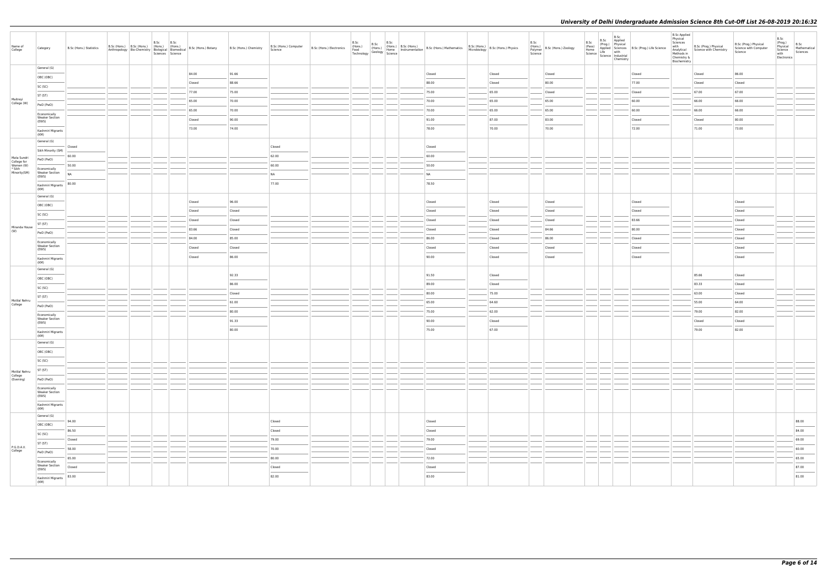| Name of<br>College         | Category                                                                                                                                                                                                                                                                                                                                                                                                                                                                                                         | B.Sc (Hons.) Statistics |  | B.Sc | B.Sc<br>Sciences Science |        | Anthropology Bio-Chemistry (19015.) (Hons.) B.Sc (Hons.) Botany B.Sc (Hons.) Chemistry Anthropology Bio-Chemistry Biological Biomedical (Biological Biomedical School) | Science | B.Sc (Hons.) Computer   B.Sc (Hons.) Electronics | B.Sc | B.Sc | (Hons.) B.Sc (Hons.) B.Sc (Hons.) B.Sc (Hons.) B.Sc (Hons.) Mathematics B.Sc (Hons.) B.Sc (Hons.) Physics<br>Feod (Geology Science Instrumentation Science B.Sc (Hons.) Microbiology B.Sc (Hons.) Physics<br>Technology Science |        | B.Sc<br>Polymer<br>Science | $\left  \begin{array}{c} \text{(Hons.)} \\ \text{R-1-formor} \end{array} \right $ B.Sc (Hons.) Zoology | B.Sc<br>(Pass)<br>Home<br>Science   Live<br>  Science   Industrial | B.Sc<br>B.Sc Applied<br>(Prog.) Physical<br>Life with<br>Chemistry | Applied Sciences B.Sc (Prog.) Life Science | <b>B.Sc Applied</b><br>Physical<br>Sciences<br>with<br>Analytical<br>Methods in<br>Chemistry &<br>Biochemistry | B.Sc (Prog.) Physical<br>Science with Chemistry | B.Sc (Prog.) Physical<br>Science with Computer<br>Science | B.Sc<br>(Prog.)<br>Physical<br>Science<br>with<br>Electronics | B.Sc<br>Mathematical<br>Sciences                                                                                                                                                                                                                                                                                                                                                                                                                                                    |
|----------------------------|------------------------------------------------------------------------------------------------------------------------------------------------------------------------------------------------------------------------------------------------------------------------------------------------------------------------------------------------------------------------------------------------------------------------------------------------------------------------------------------------------------------|-------------------------|--|------|--------------------------|--------|------------------------------------------------------------------------------------------------------------------------------------------------------------------------|---------|--------------------------------------------------|------|------|---------------------------------------------------------------------------------------------------------------------------------------------------------------------------------------------------------------------------------|--------|----------------------------|--------------------------------------------------------------------------------------------------------|--------------------------------------------------------------------|--------------------------------------------------------------------|--------------------------------------------|----------------------------------------------------------------------------------------------------------------|-------------------------------------------------|-----------------------------------------------------------|---------------------------------------------------------------|-------------------------------------------------------------------------------------------------------------------------------------------------------------------------------------------------------------------------------------------------------------------------------------------------------------------------------------------------------------------------------------------------------------------------------------------------------------------------------------|
|                            | General (G)<br>OBC (OBC)                                                                                                                                                                                                                                                                                                                                                                                                                                                                                         |                         |  |      |                          | 84.00  | 91.66                                                                                                                                                                  |         |                                                  |      |      | Closed                                                                                                                                                                                                                          | Closed |                            | Closed                                                                                                 |                                                                    |                                                                    | Closed                                     |                                                                                                                | Closed                                          | 86.00                                                     |                                                               |                                                                                                                                                                                                                                                                                                                                                                                                                                                                                     |
|                            | SC (SC)                                                                                                                                                                                                                                                                                                                                                                                                                                                                                                          |                         |  |      |                          | Closed | 88.66                                                                                                                                                                  |         |                                                  |      |      | 88.00                                                                                                                                                                                                                           | Closed |                            | 80.00                                                                                                  |                                                                    |                                                                    | 77.00                                      |                                                                                                                | Closed                                          | Closed                                                    |                                                               |                                                                                                                                                                                                                                                                                                                                                                                                                                                                                     |
|                            | ST (ST)                                                                                                                                                                                                                                                                                                                                                                                                                                                                                                          |                         |  |      |                          | 77.00  | 75.00                                                                                                                                                                  |         |                                                  |      |      | 75.00                                                                                                                                                                                                                           | 65.00  |                            | Closed                                                                                                 |                                                                    |                                                                    | Closed                                     |                                                                                                                | 67.00                                           | 67.00                                                     |                                                               |                                                                                                                                                                                                                                                                                                                                                                                                                                                                                     |
| Maitreyi<br>College (W)    | PwD (PwD)                                                                                                                                                                                                                                                                                                                                                                                                                                                                                                        |                         |  |      |                          | 65.00  | 70.00                                                                                                                                                                  |         |                                                  |      |      | 70.00                                                                                                                                                                                                                           | 65.00  |                            | 65.00                                                                                                  |                                                                    |                                                                    | 60.00                                      |                                                                                                                | 66.00                                           | 66.00                                                     |                                                               |                                                                                                                                                                                                                                                                                                                                                                                                                                                                                     |
|                            | Economically                                                                                                                                                                                                                                                                                                                                                                                                                                                                                                     |                         |  |      |                          | 65.00  | 70.00                                                                                                                                                                  |         |                                                  |      |      | 70.00                                                                                                                                                                                                                           | 65.00  |                            | 65.00                                                                                                  |                                                                    |                                                                    | 60.00                                      |                                                                                                                | 66.00                                           | 66.00                                                     |                                                               |                                                                                                                                                                                                                                                                                                                                                                                                                                                                                     |
|                            | <b>Weaker Section</b><br>(EWS)                                                                                                                                                                                                                                                                                                                                                                                                                                                                                   |                         |  |      |                          | Closed | 90.00                                                                                                                                                                  |         |                                                  |      |      | 91.00                                                                                                                                                                                                                           | 87.00  |                            | 83.00                                                                                                  |                                                                    |                                                                    | Closed                                     |                                                                                                                | Closed                                          | 80.00                                                     |                                                               |                                                                                                                                                                                                                                                                                                                                                                                                                                                                                     |
|                            | $\frac{1}{2}$<br>Kashmiri Migrants<br>(KM)                                                                                                                                                                                                                                                                                                                                                                                                                                                                       |                         |  |      |                          | 73.00  | 74.00                                                                                                                                                                  |         |                                                  |      |      | 78.00                                                                                                                                                                                                                           | 70.00  |                            | 70.00                                                                                                  |                                                                    |                                                                    | 72.00                                      |                                                                                                                | 71.00                                           | 73.00                                                     |                                                               |                                                                                                                                                                                                                                                                                                                                                                                                                                                                                     |
|                            | General (G)                                                                                                                                                                                                                                                                                                                                                                                                                                                                                                      |                         |  |      |                          |        |                                                                                                                                                                        |         |                                                  |      |      |                                                                                                                                                                                                                                 |        |                            |                                                                                                        |                                                                    |                                                                    |                                            |                                                                                                                |                                                 |                                                           |                                                               |                                                                                                                                                                                                                                                                                                                                                                                                                                                                                     |
|                            | Sikh Minority (SM)                                                                                                                                                                                                                                                                                                                                                                                                                                                                                               | $-$ Closed              |  |      |                          |        |                                                                                                                                                                        | Closed  |                                                  |      |      | Closed                                                                                                                                                                                                                          |        |                            |                                                                                                        |                                                                    |                                                                    |                                            |                                                                                                                |                                                 |                                                           |                                                               |                                                                                                                                                                                                                                                                                                                                                                                                                                                                                     |
| Mata Sundri<br>College for | PwD (PwD)                                                                                                                                                                                                                                                                                                                                                                                                                                                                                                        | 60.00                   |  |      |                          |        |                                                                                                                                                                        | 62.00   |                                                  |      |      | 60.00                                                                                                                                                                                                                           |        |                            |                                                                                                        |                                                                    |                                                                    |                                            |                                                                                                                |                                                 |                                                           |                                                               |                                                                                                                                                                                                                                                                                                                                                                                                                                                                                     |
| Women (W)<br>* Sikh        | Economically                                                                                                                                                                                                                                                                                                                                                                                                                                                                                                     | 50.00                   |  |      |                          |        |                                                                                                                                                                        | 60.00   |                                                  |      |      | 50.00                                                                                                                                                                                                                           |        |                            |                                                                                                        |                                                                    |                                                                    |                                            |                                                                                                                |                                                 |                                                           |                                                               |                                                                                                                                                                                                                                                                                                                                                                                                                                                                                     |
| Minority(SM)               | <b>Weaker Section</b><br>(EWS)                                                                                                                                                                                                                                                                                                                                                                                                                                                                                   | <b>NA</b>               |  |      |                          |        |                                                                                                                                                                        | NA      |                                                  |      |      | <b>NA</b>                                                                                                                                                                                                                       |        |                            |                                                                                                        |                                                                    |                                                                    |                                            |                                                                                                                |                                                 |                                                           |                                                               |                                                                                                                                                                                                                                                                                                                                                                                                                                                                                     |
|                            | Kashmiri Migrants<br>(KM)                                                                                                                                                                                                                                                                                                                                                                                                                                                                                        | 80.00                   |  |      |                          |        |                                                                                                                                                                        | 77.00   |                                                  |      |      | 78.50                                                                                                                                                                                                                           |        |                            |                                                                                                        |                                                                    |                                                                    |                                            |                                                                                                                |                                                 |                                                           |                                                               |                                                                                                                                                                                                                                                                                                                                                                                                                                                                                     |
|                            | General (G)                                                                                                                                                                                                                                                                                                                                                                                                                                                                                                      |                         |  |      |                          | Closed | 96.00                                                                                                                                                                  |         |                                                  |      |      | Closed                                                                                                                                                                                                                          | Closed |                            | Closed                                                                                                 |                                                                    |                                                                    | Closed                                     |                                                                                                                |                                                 | Closed                                                    |                                                               |                                                                                                                                                                                                                                                                                                                                                                                                                                                                                     |
|                            | OBC (OBC)<br>$\frac{1}{2} \left( \frac{1}{2} \right) \left( \frac{1}{2} \right) \left( \frac{1}{2} \right) \left( \frac{1}{2} \right) \left( \frac{1}{2} \right) \left( \frac{1}{2} \right) \left( \frac{1}{2} \right) \left( \frac{1}{2} \right) \left( \frac{1}{2} \right) \left( \frac{1}{2} \right) \left( \frac{1}{2} \right) \left( \frac{1}{2} \right) \left( \frac{1}{2} \right) \left( \frac{1}{2} \right) \left( \frac{1}{2} \right) \left( \frac{1}{2} \right) \left( \frac$                          |                         |  |      |                          | Closed | Closed                                                                                                                                                                 |         |                                                  |      |      | Closed                                                                                                                                                                                                                          | Closed |                            | Closed                                                                                                 |                                                                    |                                                                    | Closed                                     |                                                                                                                |                                                 | Closed                                                    |                                                               |                                                                                                                                                                                                                                                                                                                                                                                                                                                                                     |
|                            | SC (SC)                                                                                                                                                                                                                                                                                                                                                                                                                                                                                                          |                         |  |      |                          |        |                                                                                                                                                                        |         |                                                  |      |      |                                                                                                                                                                                                                                 |        |                            |                                                                                                        |                                                                    |                                                                    |                                            |                                                                                                                |                                                 |                                                           |                                                               |                                                                                                                                                                                                                                                                                                                                                                                                                                                                                     |
| Miranda House              | ST (ST)                                                                                                                                                                                                                                                                                                                                                                                                                                                                                                          |                         |  |      |                          | Closed | Closed                                                                                                                                                                 |         |                                                  |      |      | Closed                                                                                                                                                                                                                          | Closed |                            | Closed                                                                                                 |                                                                    |                                                                    | 83.66                                      |                                                                                                                |                                                 | Closed                                                    |                                                               |                                                                                                                                                                                                                                                                                                                                                                                                                                                                                     |
| (W)                        | PwD (PwD)                                                                                                                                                                                                                                                                                                                                                                                                                                                                                                        |                         |  |      |                          | 83.66  | Closed                                                                                                                                                                 |         |                                                  |      |      | Closed                                                                                                                                                                                                                          | Closed |                            | 84.66                                                                                                  |                                                                    |                                                                    | 80.00                                      |                                                                                                                |                                                 | Closed                                                    |                                                               |                                                                                                                                                                                                                                                                                                                                                                                                                                                                                     |
|                            | Economically                                                                                                                                                                                                                                                                                                                                                                                                                                                                                                     |                         |  |      |                          | 84.00  | 85.00                                                                                                                                                                  |         |                                                  |      |      | 86.00                                                                                                                                                                                                                           | Closed |                            | 86.00                                                                                                  |                                                                    |                                                                    | Closed                                     |                                                                                                                |                                                 | Closed                                                    |                                                               |                                                                                                                                                                                                                                                                                                                                                                                                                                                                                     |
|                            | <b>Weaker Section</b><br>(EWS)                                                                                                                                                                                                                                                                                                                                                                                                                                                                                   |                         |  |      |                          | Closed | Closed                                                                                                                                                                 |         |                                                  |      |      | Closed                                                                                                                                                                                                                          | Closed |                            | Closed                                                                                                 |                                                                    |                                                                    | Closed                                     |                                                                                                                |                                                 | Closed<br>$\sim$                                          |                                                               |                                                                                                                                                                                                                                                                                                                                                                                                                                                                                     |
|                            | Kashmiri Migrants<br>(KM)                                                                                                                                                                                                                                                                                                                                                                                                                                                                                        |                         |  |      |                          | Closed | 86.00                                                                                                                                                                  |         |                                                  |      |      | 90.00                                                                                                                                                                                                                           | Closed |                            | Closed                                                                                                 |                                                                    |                                                                    | Closed                                     |                                                                                                                |                                                 | Closed                                                    |                                                               |                                                                                                                                                                                                                                                                                                                                                                                                                                                                                     |
|                            | General (G)                                                                                                                                                                                                                                                                                                                                                                                                                                                                                                      |                         |  |      |                          |        |                                                                                                                                                                        |         |                                                  |      |      |                                                                                                                                                                                                                                 |        |                            |                                                                                                        |                                                                    |                                                                    |                                            |                                                                                                                |                                                 |                                                           |                                                               |                                                                                                                                                                                                                                                                                                                                                                                                                                                                                     |
|                            | OBC (OBC)                                                                                                                                                                                                                                                                                                                                                                                                                                                                                                        |                         |  |      |                          |        | 92.33                                                                                                                                                                  |         |                                                  |      |      | 91.50                                                                                                                                                                                                                           | Closed |                            |                                                                                                        |                                                                    |                                                                    |                                            |                                                                                                                | 85.66                                           | Closed                                                    |                                                               |                                                                                                                                                                                                                                                                                                                                                                                                                                                                                     |
|                            | SC (SC)                                                                                                                                                                                                                                                                                                                                                                                                                                                                                                          |                         |  |      |                          |        | 86.00                                                                                                                                                                  |         |                                                  |      |      | 89.00                                                                                                                                                                                                                           | Closed |                            |                                                                                                        |                                                                    |                                                                    |                                            |                                                                                                                | 83.33                                           | Closed                                                    |                                                               |                                                                                                                                                                                                                                                                                                                                                                                                                                                                                     |
|                            | ST (ST)                                                                                                                                                                                                                                                                                                                                                                                                                                                                                                          |                         |  |      |                          |        | Closed                                                                                                                                                                 |         |                                                  |      |      | 80.00                                                                                                                                                                                                                           | 75.00  |                            |                                                                                                        |                                                                    |                                                                    |                                            |                                                                                                                | 63.00                                           | Closed                                                    |                                                               |                                                                                                                                                                                                                                                                                                                                                                                                                                                                                     |
| Motilal Nehru<br>College   | PwD (PwD)                                                                                                                                                                                                                                                                                                                                                                                                                                                                                                        |                         |  |      |                          |        | 61.00                                                                                                                                                                  |         |                                                  |      |      | 65.00                                                                                                                                                                                                                           | 64.60  |                            |                                                                                                        |                                                                    |                                                                    |                                            |                                                                                                                | 55.00                                           | 64.00                                                     |                                                               |                                                                                                                                                                                                                                                                                                                                                                                                                                                                                     |
|                            | Economically                                                                                                                                                                                                                                                                                                                                                                                                                                                                                                     |                         |  |      |                          |        | 80.00                                                                                                                                                                  |         |                                                  |      |      | 75.00                                                                                                                                                                                                                           | 62.00  |                            |                                                                                                        |                                                                    |                                                                    |                                            |                                                                                                                | 79.00                                           | 82.00                                                     |                                                               |                                                                                                                                                                                                                                                                                                                                                                                                                                                                                     |
|                            | <b>Weaker Section</b><br>(EWS)                                                                                                                                                                                                                                                                                                                                                                                                                                                                                   |                         |  |      |                          |        | 91.33                                                                                                                                                                  |         |                                                  |      |      | 90.00                                                                                                                                                                                                                           | Closed |                            |                                                                                                        |                                                                    |                                                                    |                                            |                                                                                                                | Closed                                          | Closed                                                    |                                                               |                                                                                                                                                                                                                                                                                                                                                                                                                                                                                     |
|                            | Kashmiri Migrants<br>(KM)                                                                                                                                                                                                                                                                                                                                                                                                                                                                                        |                         |  |      |                          |        | 80.00                                                                                                                                                                  |         |                                                  |      |      | 75.00                                                                                                                                                                                                                           | 67.00  |                            |                                                                                                        |                                                                    |                                                                    |                                            |                                                                                                                | 79.00                                           | 82.00                                                     |                                                               |                                                                                                                                                                                                                                                                                                                                                                                                                                                                                     |
|                            | General (G)                                                                                                                                                                                                                                                                                                                                                                                                                                                                                                      |                         |  |      |                          |        |                                                                                                                                                                        |         |                                                  |      |      |                                                                                                                                                                                                                                 |        |                            |                                                                                                        |                                                                    |                                                                    |                                            |                                                                                                                |                                                 |                                                           |                                                               |                                                                                                                                                                                                                                                                                                                                                                                                                                                                                     |
|                            | OBC (OBC)                                                                                                                                                                                                                                                                                                                                                                                                                                                                                                        |                         |  |      |                          |        |                                                                                                                                                                        |         |                                                  |      |      |                                                                                                                                                                                                                                 |        |                            |                                                                                                        |                                                                    |                                                                    |                                            |                                                                                                                |                                                 |                                                           |                                                               |                                                                                                                                                                                                                                                                                                                                                                                                                                                                                     |
|                            | SC (SC)                                                                                                                                                                                                                                                                                                                                                                                                                                                                                                          |                         |  |      |                          |        |                                                                                                                                                                        |         |                                                  |      |      |                                                                                                                                                                                                                                 |        |                            |                                                                                                        |                                                                    |                                                                    |                                            |                                                                                                                |                                                 |                                                           |                                                               |                                                                                                                                                                                                                                                                                                                                                                                                                                                                                     |
| Motilal Nehru              | ST (ST)                                                                                                                                                                                                                                                                                                                                                                                                                                                                                                          |                         |  |      |                          |        |                                                                                                                                                                        |         |                                                  |      |      |                                                                                                                                                                                                                                 |        |                            |                                                                                                        |                                                                    |                                                                    |                                            |                                                                                                                |                                                 |                                                           |                                                               |                                                                                                                                                                                                                                                                                                                                                                                                                                                                                     |
| College<br>(Evening)       | PwD (PwD)                                                                                                                                                                                                                                                                                                                                                                                                                                                                                                        |                         |  |      |                          |        |                                                                                                                                                                        |         |                                                  |      |      |                                                                                                                                                                                                                                 |        |                            |                                                                                                        |                                                                    |                                                                    |                                            |                                                                                                                |                                                 |                                                           |                                                               |                                                                                                                                                                                                                                                                                                                                                                                                                                                                                     |
|                            | Economically<br><b>Weaker Section</b>                                                                                                                                                                                                                                                                                                                                                                                                                                                                            |                         |  |      |                          |        |                                                                                                                                                                        |         |                                                  |      |      |                                                                                                                                                                                                                                 |        |                            |                                                                                                        | $\frac{1}{2}$                                                      |                                                                    |                                            |                                                                                                                |                                                 |                                                           |                                                               |                                                                                                                                                                                                                                                                                                                                                                                                                                                                                     |
|                            | (EWS)<br>Kashmiri Migrants                                                                                                                                                                                                                                                                                                                                                                                                                                                                                       |                         |  |      |                          |        |                                                                                                                                                                        |         |                                                  |      |      |                                                                                                                                                                                                                                 |        |                            |                                                                                                        |                                                                    |                                                                    |                                            |                                                                                                                |                                                 |                                                           |                                                               |                                                                                                                                                                                                                                                                                                                                                                                                                                                                                     |
|                            | (KM)<br>General (G)                                                                                                                                                                                                                                                                                                                                                                                                                                                                                              |                         |  |      |                          |        |                                                                                                                                                                        |         |                                                  |      |      |                                                                                                                                                                                                                                 |        |                            |                                                                                                        |                                                                    |                                                                    |                                            |                                                                                                                |                                                 |                                                           |                                                               |                                                                                                                                                                                                                                                                                                                                                                                                                                                                                     |
|                            | $\frac{1}{2}$<br>OBC (OBC)                                                                                                                                                                                                                                                                                                                                                                                                                                                                                       | 94.00                   |  |      |                          |        |                                                                                                                                                                        | Closed  |                                                  |      |      | Closed                                                                                                                                                                                                                          |        |                            |                                                                                                        |                                                                    |                                                                    |                                            |                                                                                                                |                                                 |                                                           |                                                               | 88.00                                                                                                                                                                                                                                                                                                                                                                                                                                                                               |
|                            |                                                                                                                                                                                                                                                                                                                                                                                                                                                                                                                  | 86.50                   |  |      |                          |        |                                                                                                                                                                        | Closed  |                                                  |      |      | Closed                                                                                                                                                                                                                          |        |                            |                                                                                                        |                                                                    |                                                                    |                                            |                                                                                                                |                                                 |                                                           |                                                               | 84.00                                                                                                                                                                                                                                                                                                                                                                                                                                                                               |
|                            | SC (SC)                                                                                                                                                                                                                                                                                                                                                                                                                                                                                                          | $\frac{1}{2}$<br>Closed |  |      |                          |        |                                                                                                                                                                        | 79.00   |                                                  |      |      | 79.00                                                                                                                                                                                                                           |        |                            |                                                                                                        |                                                                    |                                                                    |                                            |                                                                                                                |                                                 |                                                           |                                                               | 69.00                                                                                                                                                                                                                                                                                                                                                                                                                                                                               |
| P.G.D.A.V.<br>College      | ST (ST)<br><b>Contract Contract</b>                                                                                                                                                                                                                                                                                                                                                                                                                                                                              | 58.00                   |  |      |                          |        |                                                                                                                                                                        | 70.00   |                                                  |      |      | Closed                                                                                                                                                                                                                          |        |                            |                                                                                                        |                                                                    |                                                                    |                                            |                                                                                                                |                                                 |                                                           |                                                               | 60.00                                                                                                                                                                                                                                                                                                                                                                                                                                                                               |
|                            | PwD (PwD)                                                                                                                                                                                                                                                                                                                                                                                                                                                                                                        | 65.00                   |  |      |                          |        |                                                                                                                                                                        | 80.00   |                                                  |      |      | 72.00                                                                                                                                                                                                                           |        |                            |                                                                                                        |                                                                    |                                                                    |                                            |                                                                                                                |                                                 |                                                           |                                                               | 65.00                                                                                                                                                                                                                                                                                                                                                                                                                                                                               |
|                            | Economically<br><b>Weaker Section</b>                                                                                                                                                                                                                                                                                                                                                                                                                                                                            | Closed                  |  |      |                          |        |                                                                                                                                                                        | Closed  |                                                  |      |      | Closed                                                                                                                                                                                                                          |        |                            |                                                                                                        |                                                                    |                                                                    |                                            |                                                                                                                |                                                 |                                                           |                                                               | 87.00                                                                                                                                                                                                                                                                                                                                                                                                                                                                               |
|                            | (EWS)<br>$\frac{1}{2} \left( \frac{1}{2} \right) \left( \frac{1}{2} \right) \left( \frac{1}{2} \right) \left( \frac{1}{2} \right) \left( \frac{1}{2} \right) \left( \frac{1}{2} \right) \left( \frac{1}{2} \right) \left( \frac{1}{2} \right) \left( \frac{1}{2} \right) \left( \frac{1}{2} \right) \left( \frac{1}{2} \right) \left( \frac{1}{2} \right) \left( \frac{1}{2} \right) \left( \frac{1}{2} \right) \left( \frac{1}{2} \right) \left( \frac{1}{2} \right) \left( \frac$<br>Kashmiri Migrants<br>(KM) | 83.00                   |  |      |                          |        |                                                                                                                                                                        | 82.00   |                                                  |      |      | 83.00                                                                                                                                                                                                                           |        |                            |                                                                                                        |                                                                    |                                                                    |                                            |                                                                                                                |                                                 |                                                           |                                                               | $\frac{1}{2} \left( \frac{1}{2} \right) \left( \frac{1}{2} \right) \left( \frac{1}{2} \right) \left( \frac{1}{2} \right) \left( \frac{1}{2} \right) \left( \frac{1}{2} \right) \left( \frac{1}{2} \right) \left( \frac{1}{2} \right) \left( \frac{1}{2} \right) \left( \frac{1}{2} \right) \left( \frac{1}{2} \right) \left( \frac{1}{2} \right) \left( \frac{1}{2} \right) \left( \frac{1}{2} \right) \left( \frac{1}{2} \right) \left( \frac{1}{2} \right) \left( \frac$<br>81.00 |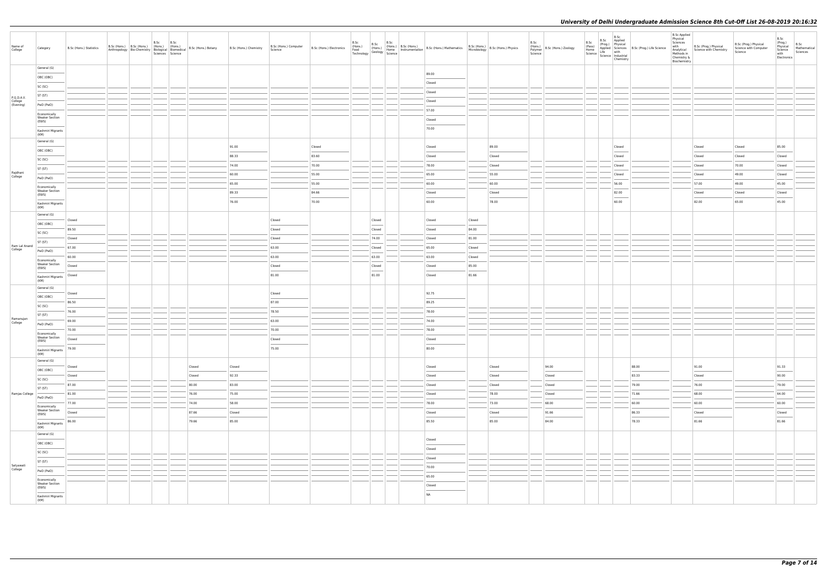| Name of<br>College                 | Category                                                                                                                                                                                                                                                                                                                                                                                                                                                                                | B.Sc (Hons.) Statistics                                                                                                                                                                                                                                                                                                                                                                                                                                                             |  | B.Sc<br>B.Sc<br>Sciences Science |                |                 | Science | B.Sc (Hons.) Computer   B.Sc (Hons.) Electronics | B.Sc<br>(Hons.)<br>Food<br>Technology Geology Home | B.Sc                              | B.Sc | $\frac{B.5C}{N}$ (Hons.) B.Sc (Hons.)<br>(Home Instrumentation B.Sc (Hons.) Mathematics B.Sc (Hons.) B.Sc (Hons.) Physics |        |                 | B.Sc<br>Polymer<br>Science | (Hons.) B.Sc (Hons.) Zoology                                                                                                                                                                                                                                                                                                                                                                                                                                                        | B.Sc<br>(Pass)<br>$\left  \begin{array}{c} \text{Home} \\ \text{Home} \\ \text{Science} \end{array} \right $ $\left  \begin{array}{c} \text{NFT} \\ \text{Life} \\ \text{Industrial} \end{array} \right $ | B.Sc<br>B.Sc Applied<br>(Prog.) Physical<br>Chemistry | Applied Sciences B.Sc (Prog.) Life Science | <b>B.Sc Applied</b><br>Physical<br>Sciences<br>with<br>Analytical<br>Methods in<br>Chemistry &<br>Biochemistry | B.Sc (Prog.) Physical<br>Science with Chemistry | B.Sc (Prog.) Physical<br>Science with Computer<br>Science | B.Sc<br>(Prog.)<br>Physical<br>Science<br>with<br>Electronics | B.Sc<br>Mathematical<br>Sciences |
|------------------------------------|-----------------------------------------------------------------------------------------------------------------------------------------------------------------------------------------------------------------------------------------------------------------------------------------------------------------------------------------------------------------------------------------------------------------------------------------------------------------------------------------|-------------------------------------------------------------------------------------------------------------------------------------------------------------------------------------------------------------------------------------------------------------------------------------------------------------------------------------------------------------------------------------------------------------------------------------------------------------------------------------|--|----------------------------------|----------------|-----------------|---------|--------------------------------------------------|----------------------------------------------------|-----------------------------------|------|---------------------------------------------------------------------------------------------------------------------------|--------|-----------------|----------------------------|-------------------------------------------------------------------------------------------------------------------------------------------------------------------------------------------------------------------------------------------------------------------------------------------------------------------------------------------------------------------------------------------------------------------------------------------------------------------------------------|-----------------------------------------------------------------------------------------------------------------------------------------------------------------------------------------------------------|-------------------------------------------------------|--------------------------------------------|----------------------------------------------------------------------------------------------------------------|-------------------------------------------------|-----------------------------------------------------------|---------------------------------------------------------------|----------------------------------|
|                                    | General (G)                                                                                                                                                                                                                                                                                                                                                                                                                                                                             |                                                                                                                                                                                                                                                                                                                                                                                                                                                                                     |  |                                  |                |                 |         |                                                  |                                                    |                                   |      | 89.00                                                                                                                     |        |                 |                            |                                                                                                                                                                                                                                                                                                                                                                                                                                                                                     |                                                                                                                                                                                                           |                                                       |                                            |                                                                                                                |                                                 |                                                           |                                                               |                                  |
|                                    | OBC (OBC)                                                                                                                                                                                                                                                                                                                                                                                                                                                                               |                                                                                                                                                                                                                                                                                                                                                                                                                                                                                     |  |                                  |                |                 |         |                                                  |                                                    |                                   |      | Closed                                                                                                                    |        |                 |                            |                                                                                                                                                                                                                                                                                                                                                                                                                                                                                     |                                                                                                                                                                                                           |                                                       |                                            |                                                                                                                |                                                 |                                                           |                                                               |                                  |
|                                    | SC (SC)                                                                                                                                                                                                                                                                                                                                                                                                                                                                                 |                                                                                                                                                                                                                                                                                                                                                                                                                                                                                     |  |                                  |                |                 |         |                                                  |                                                    |                                   |      | Closed                                                                                                                    |        |                 |                            |                                                                                                                                                                                                                                                                                                                                                                                                                                                                                     |                                                                                                                                                                                                           |                                                       |                                            |                                                                                                                |                                                 |                                                           |                                                               |                                  |
| P.G.D.A.V.<br>College<br>(Evening) | ST (ST)                                                                                                                                                                                                                                                                                                                                                                                                                                                                                 |                                                                                                                                                                                                                                                                                                                                                                                                                                                                                     |  |                                  |                |                 |         |                                                  |                                                    |                                   |      | Closed                                                                                                                    |        |                 |                            |                                                                                                                                                                                                                                                                                                                                                                                                                                                                                     |                                                                                                                                                                                                           |                                                       |                                            |                                                                                                                |                                                 |                                                           |                                                               |                                  |
|                                    | PwD (PwD)                                                                                                                                                                                                                                                                                                                                                                                                                                                                               |                                                                                                                                                                                                                                                                                                                                                                                                                                                                                     |  |                                  |                |                 |         |                                                  |                                                    |                                   |      | 57.00                                                                                                                     |        |                 |                            |                                                                                                                                                                                                                                                                                                                                                                                                                                                                                     |                                                                                                                                                                                                           |                                                       |                                            |                                                                                                                |                                                 |                                                           |                                                               |                                  |
|                                    | Economically<br><b>Weaker Section</b><br>(EWS)                                                                                                                                                                                                                                                                                                                                                                                                                                          |                                                                                                                                                                                                                                                                                                                                                                                                                                                                                     |  |                                  |                |                 |         |                                                  |                                                    |                                   |      | Closed                                                                                                                    |        |                 |                            |                                                                                                                                                                                                                                                                                                                                                                                                                                                                                     |                                                                                                                                                                                                           |                                                       |                                            |                                                                                                                |                                                 |                                                           |                                                               |                                  |
|                                    | Kashmiri Migrants                                                                                                                                                                                                                                                                                                                                                                                                                                                                       |                                                                                                                                                                                                                                                                                                                                                                                                                                                                                     |  |                                  |                |                 |         |                                                  |                                                    |                                   |      | 70.00                                                                                                                     |        |                 |                            |                                                                                                                                                                                                                                                                                                                                                                                                                                                                                     |                                                                                                                                                                                                           |                                                       |                                            |                                                                                                                |                                                 |                                                           |                                                               |                                  |
|                                    | (KM)<br>General (G)                                                                                                                                                                                                                                                                                                                                                                                                                                                                     |                                                                                                                                                                                                                                                                                                                                                                                                                                                                                     |  |                                  |                |                 |         |                                                  |                                                    |                                   |      |                                                                                                                           |        |                 |                            |                                                                                                                                                                                                                                                                                                                                                                                                                                                                                     |                                                                                                                                                                                                           |                                                       |                                            |                                                                                                                |                                                 |                                                           |                                                               |                                  |
|                                    | OBC (OBC)                                                                                                                                                                                                                                                                                                                                                                                                                                                                               |                                                                                                                                                                                                                                                                                                                                                                                                                                                                                     |  |                                  |                | 91.00           |         | Closed                                           |                                                    |                                   |      | Closed                                                                                                                    |        | 89.00           |                            |                                                                                                                                                                                                                                                                                                                                                                                                                                                                                     |                                                                                                                                                                                                           | Closed                                                |                                            |                                                                                                                | Closed                                          | Closed                                                    | 85.00                                                         |                                  |
|                                    | SC (SC)                                                                                                                                                                                                                                                                                                                                                                                                                                                                                 |                                                                                                                                                                                                                                                                                                                                                                                                                                                                                     |  |                                  |                | 88.33           |         | 83.60                                            |                                                    |                                   |      | Closed                                                                                                                    |        | Closed          |                            |                                                                                                                                                                                                                                                                                                                                                                                                                                                                                     |                                                                                                                                                                                                           | Closed                                                |                                            |                                                                                                                | Closed                                          | Closed                                                    | Closed                                                        |                                  |
|                                    | ST (ST)                                                                                                                                                                                                                                                                                                                                                                                                                                                                                 |                                                                                                                                                                                                                                                                                                                                                                                                                                                                                     |  |                                  |                | 74.00           |         | 70.00                                            |                                                    |                                   |      | 78.00                                                                                                                     |        | Closed          |                            |                                                                                                                                                                                                                                                                                                                                                                                                                                                                                     |                                                                                                                                                                                                           | Closed                                                |                                            |                                                                                                                | Closed                                          | 70.00                                                     | Closed                                                        |                                  |
| Rajdhani<br>College                | PwD (PwD)                                                                                                                                                                                                                                                                                                                                                                                                                                                                               |                                                                                                                                                                                                                                                                                                                                                                                                                                                                                     |  |                                  |                | 60.00           |         | 55.00                                            |                                                    |                                   |      | 65.00                                                                                                                     |        | 55.00           |                            |                                                                                                                                                                                                                                                                                                                                                                                                                                                                                     |                                                                                                                                                                                                           | Closed                                                |                                            |                                                                                                                | Closed                                          | 49.00                                                     | Closed                                                        |                                  |
|                                    | Economically                                                                                                                                                                                                                                                                                                                                                                                                                                                                            |                                                                                                                                                                                                                                                                                                                                                                                                                                                                                     |  |                                  |                | 65.00           |         | 55.00                                            |                                                    |                                   |      | 60.00                                                                                                                     |        | 60.00           |                            |                                                                                                                                                                                                                                                                                                                                                                                                                                                                                     |                                                                                                                                                                                                           | 56.00                                                 |                                            |                                                                                                                | 57.00                                           | 49.00                                                     | 45.00                                                         |                                  |
|                                    | <b>Weaker Section</b><br>(EWS)                                                                                                                                                                                                                                                                                                                                                                                                                                                          |                                                                                                                                                                                                                                                                                                                                                                                                                                                                                     |  |                                  |                | 89.33           |         | 84.66                                            |                                                    |                                   |      | Closed                                                                                                                    |        | Closed          |                            |                                                                                                                                                                                                                                                                                                                                                                                                                                                                                     |                                                                                                                                                                                                           | 82.00                                                 |                                            |                                                                                                                | Closed                                          | Closed                                                    | Closed                                                        |                                  |
|                                    | Kashmiri Migrants<br>(KM)                                                                                                                                                                                                                                                                                                                                                                                                                                                               |                                                                                                                                                                                                                                                                                                                                                                                                                                                                                     |  |                                  |                | 76.00           |         | 70.00                                            |                                                    |                                   |      | 60.00                                                                                                                     |        | 78.00           |                            |                                                                                                                                                                                                                                                                                                                                                                                                                                                                                     |                                                                                                                                                                                                           | 60.00                                                 |                                            |                                                                                                                | 82.00                                           | 65.00                                                     | 45.00                                                         |                                  |
|                                    | General (G)                                                                                                                                                                                                                                                                                                                                                                                                                                                                             | Closed                                                                                                                                                                                                                                                                                                                                                                                                                                                                              |  |                                  |                |                 | Closed  |                                                  |                                                    | Closed                            |      | Closed                                                                                                                    | Closed |                 |                            |                                                                                                                                                                                                                                                                                                                                                                                                                                                                                     |                                                                                                                                                                                                           |                                                       |                                            |                                                                                                                |                                                 |                                                           |                                                               |                                  |
|                                    | OBC (OBC)                                                                                                                                                                                                                                                                                                                                                                                                                                                                               | 89.50                                                                                                                                                                                                                                                                                                                                                                                                                                                                               |  |                                  |                |                 | Closed  |                                                  |                                                    | Closed                            |      | Closed                                                                                                                    | 84.00  |                 |                            |                                                                                                                                                                                                                                                                                                                                                                                                                                                                                     |                                                                                                                                                                                                           |                                                       |                                            |                                                                                                                |                                                 |                                                           |                                                               |                                  |
|                                    | SC (SC)                                                                                                                                                                                                                                                                                                                                                                                                                                                                                 | Closed                                                                                                                                                                                                                                                                                                                                                                                                                                                                              |  |                                  |                |                 | Closed  |                                                  |                                                    | 74.00                             |      | Closed                                                                                                                    | 81.00  |                 |                            |                                                                                                                                                                                                                                                                                                                                                                                                                                                                                     |                                                                                                                                                                                                           |                                                       |                                            |                                                                                                                |                                                 |                                                           |                                                               |                                  |
| Ram Lal Anand<br>College           | ST (ST)                                                                                                                                                                                                                                                                                                                                                                                                                                                                                 | 67.00                                                                                                                                                                                                                                                                                                                                                                                                                                                                               |  |                                  |                |                 | 63.00   |                                                  |                                                    | Closed                            |      | 65.00                                                                                                                     | Closed |                 |                            |                                                                                                                                                                                                                                                                                                                                                                                                                                                                                     |                                                                                                                                                                                                           |                                                       |                                            |                                                                                                                |                                                 |                                                           |                                                               |                                  |
|                                    | PwD (PwD)                                                                                                                                                                                                                                                                                                                                                                                                                                                                               | $\frac{1}{2} \left( \frac{1}{2} \right) \left( \frac{1}{2} \right) \left( \frac{1}{2} \right) \left( \frac{1}{2} \right) \left( \frac{1}{2} \right) \left( \frac{1}{2} \right) \left( \frac{1}{2} \right) \left( \frac{1}{2} \right) \left( \frac{1}{2} \right) \left( \frac{1}{2} \right) \left( \frac{1}{2} \right) \left( \frac{1}{2} \right) \left( \frac{1}{2} \right) \left( \frac{1}{2} \right) \left( \frac{1}{2} \right) \left( \frac{1}{2} \right) \left( \frac$<br>60.00 |  |                                  |                |                 | 63.00   |                                                  |                                                    | 63.00                             |      | 63.00                                                                                                                     | Closed |                 |                            |                                                                                                                                                                                                                                                                                                                                                                                                                                                                                     |                                                                                                                                                                                                           |                                                       |                                            |                                                                                                                |                                                 |                                                           |                                                               |                                  |
|                                    | Economically<br><b>Weaker Section</b><br>(EWS)                                                                                                                                                                                                                                                                                                                                                                                                                                          | Closed                                                                                                                                                                                                                                                                                                                                                                                                                                                                              |  |                                  |                |                 | Closed  |                                                  |                                                    | Closed                            |      | Closed                                                                                                                    | 85.00  |                 |                            |                                                                                                                                                                                                                                                                                                                                                                                                                                                                                     |                                                                                                                                                                                                           |                                                       |                                            |                                                                                                                |                                                 |                                                           |                                                               |                                  |
|                                    | Kashmiri Migrants<br>(KM)                                                                                                                                                                                                                                                                                                                                                                                                                                                               | Closed                                                                                                                                                                                                                                                                                                                                                                                                                                                                              |  |                                  |                |                 | 81.00   |                                                  |                                                    | <b>Contract Contract</b><br>81.00 |      | Closed                                                                                                                    | 81.66  |                 |                            |                                                                                                                                                                                                                                                                                                                                                                                                                                                                                     |                                                                                                                                                                                                           |                                                       |                                            |                                                                                                                |                                                 |                                                           |                                                               |                                  |
|                                    | General (G)                                                                                                                                                                                                                                                                                                                                                                                                                                                                             | Closed                                                                                                                                                                                                                                                                                                                                                                                                                                                                              |  |                                  |                |                 | Closed  |                                                  |                                                    |                                   |      | 92.75                                                                                                                     |        |                 |                            |                                                                                                                                                                                                                                                                                                                                                                                                                                                                                     |                                                                                                                                                                                                           |                                                       |                                            |                                                                                                                |                                                 |                                                           |                                                               |                                  |
|                                    | OBC (OBC)                                                                                                                                                                                                                                                                                                                                                                                                                                                                               | 86.50                                                                                                                                                                                                                                                                                                                                                                                                                                                                               |  |                                  |                |                 | 87.00   |                                                  |                                                    |                                   |      | 89.25                                                                                                                     |        |                 |                            |                                                                                                                                                                                                                                                                                                                                                                                                                                                                                     |                                                                                                                                                                                                           |                                                       |                                            |                                                                                                                |                                                 |                                                           |                                                               |                                  |
|                                    | SC (SC)                                                                                                                                                                                                                                                                                                                                                                                                                                                                                 | 76.00                                                                                                                                                                                                                                                                                                                                                                                                                                                                               |  |                                  |                |                 | 78.50   |                                                  |                                                    |                                   |      | 78.00                                                                                                                     |        |                 |                            |                                                                                                                                                                                                                                                                                                                                                                                                                                                                                     |                                                                                                                                                                                                           |                                                       |                                            |                                                                                                                |                                                 |                                                           |                                                               |                                  |
| Ramanujan                          | ST (ST)                                                                                                                                                                                                                                                                                                                                                                                                                                                                                 | 69.00                                                                                                                                                                                                                                                                                                                                                                                                                                                                               |  |                                  |                |                 | 63.00   |                                                  |                                                    |                                   |      | 74.00                                                                                                                     |        |                 |                            |                                                                                                                                                                                                                                                                                                                                                                                                                                                                                     |                                                                                                                                                                                                           |                                                       |                                            |                                                                                                                |                                                 |                                                           |                                                               |                                  |
| College                            | PwD (PwD)                                                                                                                                                                                                                                                                                                                                                                                                                                                                               | 70.00                                                                                                                                                                                                                                                                                                                                                                                                                                                                               |  |                                  |                |                 | 70.00   |                                                  |                                                    |                                   |      | 78.00                                                                                                                     |        |                 |                            |                                                                                                                                                                                                                                                                                                                                                                                                                                                                                     |                                                                                                                                                                                                           |                                                       |                                            |                                                                                                                |                                                 |                                                           |                                                               |                                  |
|                                    | Economically<br><b>Weaker Section</b>                                                                                                                                                                                                                                                                                                                                                                                                                                                   | Closed                                                                                                                                                                                                                                                                                                                                                                                                                                                                              |  |                                  |                |                 | Closed  |                                                  |                                                    |                                   |      | Closed                                                                                                                    |        |                 |                            |                                                                                                                                                                                                                                                                                                                                                                                                                                                                                     |                                                                                                                                                                                                           |                                                       |                                            |                                                                                                                |                                                 |                                                           |                                                               |                                  |
|                                    | (EWS)<br>Kashmiri Migrants 79.00<br>(KM)                                                                                                                                                                                                                                                                                                                                                                                                                                                |                                                                                                                                                                                                                                                                                                                                                                                                                                                                                     |  |                                  |                |                 | 75.00   |                                                  |                                                    |                                   |      | 80.00                                                                                                                     |        |                 |                            |                                                                                                                                                                                                                                                                                                                                                                                                                                                                                     |                                                                                                                                                                                                           |                                                       |                                            |                                                                                                                |                                                 |                                                           |                                                               |                                  |
|                                    | General (G)                                                                                                                                                                                                                                                                                                                                                                                                                                                                             |                                                                                                                                                                                                                                                                                                                                                                                                                                                                                     |  |                                  |                |                 |         |                                                  |                                                    |                                   |      |                                                                                                                           |        |                 |                            |                                                                                                                                                                                                                                                                                                                                                                                                                                                                                     |                                                                                                                                                                                                           |                                                       |                                            |                                                                                                                |                                                 |                                                           |                                                               |                                  |
|                                    | OBC (OBC)<br>$\frac{1}{2} \left( \frac{1}{2} \right) \left( \frac{1}{2} \right) \left( \frac{1}{2} \right) \left( \frac{1}{2} \right) \left( \frac{1}{2} \right) \left( \frac{1}{2} \right) \left( \frac{1}{2} \right) \left( \frac{1}{2} \right) \left( \frac{1}{2} \right) \left( \frac{1}{2} \right) \left( \frac{1}{2} \right) \left( \frac{1}{2} \right) \left( \frac{1}{2} \right) \left( \frac{1}{2} \right) \left( \frac{1}{2} \right) \left( \frac{1}{2} \right) \left( \frac$ | Closed                                                                                                                                                                                                                                                                                                                                                                                                                                                                              |  |                                  | Closed         | Closed          |         |                                                  |                                                    |                                   |      | Closed                                                                                                                    |        | Closed          |                            | 94.00<br>$\frac{1}{2} \left( \frac{1}{2} \right) \left( \frac{1}{2} \right) \left( \frac{1}{2} \right) \left( \frac{1}{2} \right) \left( \frac{1}{2} \right) \left( \frac{1}{2} \right) \left( \frac{1}{2} \right) \left( \frac{1}{2} \right) \left( \frac{1}{2} \right) \left( \frac{1}{2} \right) \left( \frac{1}{2} \right) \left( \frac{1}{2} \right) \left( \frac{1}{2} \right) \left( \frac{1}{2} \right) \left( \frac{1}{2} \right) \left( \frac{1}{2} \right) \left( \frac$ |                                                                                                                                                                                                           |                                                       | 88.00                                      |                                                                                                                | 91.00<br>$\sim$                                 |                                                           | 91.33<br>$\sim$                                               |                                  |
|                                    | SC (SC)                                                                                                                                                                                                                                                                                                                                                                                                                                                                                 | Closed                                                                                                                                                                                                                                                                                                                                                                                                                                                                              |  |                                  | Closed         | 92.33           |         |                                                  |                                                    |                                   |      | Closed                                                                                                                    |        | Closed          |                            | Closed                                                                                                                                                                                                                                                                                                                                                                                                                                                                              |                                                                                                                                                                                                           |                                                       | 83.33                                      |                                                                                                                | Closed                                          |                                                           | 90.00                                                         |                                  |
|                                    | ST (ST)                                                                                                                                                                                                                                                                                                                                                                                                                                                                                 | 87.00                                                                                                                                                                                                                                                                                                                                                                                                                                                                               |  |                                  | 80.00          | 83.00           |         |                                                  |                                                    |                                   |      | Closed                                                                                                                    |        | Closed          |                            | Closed                                                                                                                                                                                                                                                                                                                                                                                                                                                                              |                                                                                                                                                                                                           |                                                       | 79.00                                      |                                                                                                                | 76.00                                           |                                                           | 79.00                                                         |                                  |
| Ramjas College                     | PwD (PwD)                                                                                                                                                                                                                                                                                                                                                                                                                                                                               | 81.00                                                                                                                                                                                                                                                                                                                                                                                                                                                                               |  |                                  | 76.00<br>74.00 | 75.00           |         |                                                  |                                                    |                                   |      | Closed                                                                                                                    |        | 78.00           |                            | Closed                                                                                                                                                                                                                                                                                                                                                                                                                                                                              | ___                                                                                                                                                                                                       |                                                       | 71.66                                      |                                                                                                                | 68.00                                           |                                                           | 64.00<br>60.00                                                |                                  |
|                                    | Economically<br><b>Weaker Section</b>                                                                                                                                                                                                                                                                                                                                                                                                                                                   | 77.00<br>Closed                                                                                                                                                                                                                                                                                                                                                                                                                                                                     |  |                                  | 87.66          | 58.00<br>Closed |         |                                                  |                                                    |                                   |      | 78.00<br>Closed                                                                                                           |        | 73.00<br>Closed |                            | 68.00<br>91.66                                                                                                                                                                                                                                                                                                                                                                                                                                                                      |                                                                                                                                                                                                           |                                                       | 60.00<br>86.33                             |                                                                                                                | 60.00<br>Closed                                 |                                                           | Closed                                                        |                                  |
|                                    | (EWS)                                                                                                                                                                                                                                                                                                                                                                                                                                                                                   | 86.00                                                                                                                                                                                                                                                                                                                                                                                                                                                                               |  |                                  | 79.66          | 85.00           |         |                                                  |                                                    |                                   |      | 85.50                                                                                                                     |        | 85.00           |                            | 84.00                                                                                                                                                                                                                                                                                                                                                                                                                                                                               |                                                                                                                                                                                                           |                                                       | $\overline{\phantom{a}}$<br>78.33          |                                                                                                                | 81.66                                           |                                                           | 81.66                                                         |                                  |
|                                    | Kashmiri Migrants<br>(KM)                                                                                                                                                                                                                                                                                                                                                                                                                                                               |                                                                                                                                                                                                                                                                                                                                                                                                                                                                                     |  |                                  |                |                 |         |                                                  |                                                    |                                   |      |                                                                                                                           |        |                 |                            |                                                                                                                                                                                                                                                                                                                                                                                                                                                                                     |                                                                                                                                                                                                           |                                                       |                                            |                                                                                                                |                                                 |                                                           |                                                               |                                  |
|                                    | General (G)                                                                                                                                                                                                                                                                                                                                                                                                                                                                             |                                                                                                                                                                                                                                                                                                                                                                                                                                                                                     |  |                                  |                |                 |         |                                                  |                                                    |                                   |      | Closed                                                                                                                    |        |                 |                            |                                                                                                                                                                                                                                                                                                                                                                                                                                                                                     |                                                                                                                                                                                                           |                                                       |                                            |                                                                                                                |                                                 |                                                           |                                                               |                                  |
|                                    | OBC (OBC)<br>$\frac{1}{2} \left( \frac{1}{2} \right) \left( \frac{1}{2} \right) \left( \frac{1}{2} \right) \left( \frac{1}{2} \right) \left( \frac{1}{2} \right) \left( \frac{1}{2} \right) \left( \frac{1}{2} \right) \left( \frac{1}{2} \right) \left( \frac{1}{2} \right) \left( \frac{1}{2} \right) \left( \frac{1}{2} \right) \left( \frac{1}{2} \right) \left( \frac{1}{2} \right) \left( \frac{1}{2} \right) \left( \frac{1}{2} \right) \left( \frac{1}{2} \right) \left( \frac$ |                                                                                                                                                                                                                                                                                                                                                                                                                                                                                     |  |                                  |                |                 |         |                                                  |                                                    |                                   |      | Closed                                                                                                                    |        |                 |                            |                                                                                                                                                                                                                                                                                                                                                                                                                                                                                     |                                                                                                                                                                                                           |                                                       |                                            |                                                                                                                |                                                 |                                                           |                                                               |                                  |
|                                    | SC (SC)                                                                                                                                                                                                                                                                                                                                                                                                                                                                                 |                                                                                                                                                                                                                                                                                                                                                                                                                                                                                     |  |                                  |                |                 |         |                                                  |                                                    |                                   |      | Closed                                                                                                                    |        |                 |                            |                                                                                                                                                                                                                                                                                                                                                                                                                                                                                     | $\sim$                                                                                                                                                                                                    |                                                       |                                            |                                                                                                                |                                                 |                                                           |                                                               |                                  |
| Satyawati<br>College               | ST (ST)                                                                                                                                                                                                                                                                                                                                                                                                                                                                                 |                                                                                                                                                                                                                                                                                                                                                                                                                                                                                     |  |                                  |                |                 |         |                                                  |                                                    |                                   |      | 70.00                                                                                                                     |        |                 |                            |                                                                                                                                                                                                                                                                                                                                                                                                                                                                                     |                                                                                                                                                                                                           |                                                       |                                            |                                                                                                                |                                                 |                                                           |                                                               |                                  |
|                                    | PwD (PwD)                                                                                                                                                                                                                                                                                                                                                                                                                                                                               |                                                                                                                                                                                                                                                                                                                                                                                                                                                                                     |  |                                  |                |                 |         |                                                  |                                                    |                                   |      | 65.00                                                                                                                     |        |                 |                            |                                                                                                                                                                                                                                                                                                                                                                                                                                                                                     |                                                                                                                                                                                                           |                                                       |                                            |                                                                                                                |                                                 |                                                           |                                                               |                                  |
|                                    | Economically<br><b>Weaker Section</b><br>(EWS)                                                                                                                                                                                                                                                                                                                                                                                                                                          |                                                                                                                                                                                                                                                                                                                                                                                                                                                                                     |  |                                  |                |                 |         |                                                  |                                                    |                                   |      | Closed                                                                                                                    |        |                 |                            |                                                                                                                                                                                                                                                                                                                                                                                                                                                                                     |                                                                                                                                                                                                           |                                                       |                                            |                                                                                                                |                                                 |                                                           |                                                               |                                  |
|                                    | Kashmiri Migrants                                                                                                                                                                                                                                                                                                                                                                                                                                                                       |                                                                                                                                                                                                                                                                                                                                                                                                                                                                                     |  |                                  |                |                 |         |                                                  |                                                    |                                   |      | <b>NA</b>                                                                                                                 |        |                 |                            |                                                                                                                                                                                                                                                                                                                                                                                                                                                                                     |                                                                                                                                                                                                           |                                                       |                                            |                                                                                                                |                                                 |                                                           |                                                               |                                  |
|                                    | (KM)                                                                                                                                                                                                                                                                                                                                                                                                                                                                                    |                                                                                                                                                                                                                                                                                                                                                                                                                                                                                     |  |                                  |                |                 |         |                                                  |                                                    |                                   |      |                                                                                                                           |        |                 |                            |                                                                                                                                                                                                                                                                                                                                                                                                                                                                                     |                                                                                                                                                                                                           |                                                       |                                            |                                                                                                                |                                                 |                                                           |                                                               |                                  |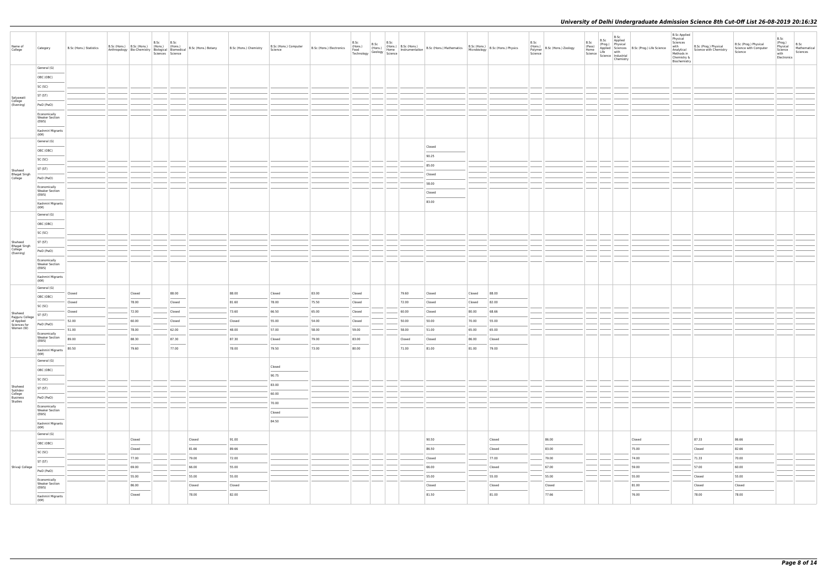| Name of<br>College                              | Category                                                                                                                                                                                                                                      | B.Sc (Hons.) Statistics                     | B.Sc (Hons.) B.Sc (Hons.) (Hons.) (Hons.)<br>Anthropology   Bio-Chemistry   Biological   Biomedical | B.Sc<br>Sciences Science | B.Sc                   | B.Sc (Hons.) Botany | B.Sc (Hons.) Chemistry | B.Sc (Hons.) Computer<br>Science | B.Sc (Hons.) Electronics | B.Sc<br>(Hons.)<br>Food (Hons.) (Hons.)<br>Technology Geology Science | B.Sc |        | B.Sc (Hons.) B.Sc (Hons.)<br>(Hons.)   B.Sc (Hons.)   B.Sc (Hons.)   B.Sc (Hons.)   B.Sc (Hons.)   B.Sc (Hons.) Physics<br>Geology   Anne   Instrumentation   B.Sc (Hons.)   Microbiology   B.Sc (Hons.) Physics |        |        | B.Sc<br>Polymer<br>Science | $\left  \begin{array}{c} (Hons.) \ H.s.C. \end{array} \right $ B.Sc (Hons.) Zoology | B.Sc<br>(Pass)<br>Home<br>Home<br>Science Life with<br>Science Industrial | B.Sc<br>B.Sc Applied<br>Chemistry | (Prog.) Physical<br>Applied Sciences B.Sc (Prog.) Life Science | <b>B.Sc Applied</b><br>Physical<br>Sciences<br>with<br>Analytical<br>Methods in<br>Chemistry &<br>Biochemistry | B.Sc (Prog.) Physical<br>Science with Chemistry | B.Sc (Prog.) Physical<br>Science with Computer<br>Science | B.Sc<br>(Prog.)<br>Physical<br>Science<br>with<br>Electronics | B.Sc<br>Mathematical<br>Sciences |
|-------------------------------------------------|-----------------------------------------------------------------------------------------------------------------------------------------------------------------------------------------------------------------------------------------------|---------------------------------------------|-----------------------------------------------------------------------------------------------------|--------------------------|------------------------|---------------------|------------------------|----------------------------------|--------------------------|-----------------------------------------------------------------------|------|--------|------------------------------------------------------------------------------------------------------------------------------------------------------------------------------------------------------------------|--------|--------|----------------------------|-------------------------------------------------------------------------------------|---------------------------------------------------------------------------|-----------------------------------|----------------------------------------------------------------|----------------------------------------------------------------------------------------------------------------|-------------------------------------------------|-----------------------------------------------------------|---------------------------------------------------------------|----------------------------------|
|                                                 | General (G)                                                                                                                                                                                                                                   |                                             |                                                                                                     |                          |                        |                     |                        |                                  |                          |                                                                       |      |        |                                                                                                                                                                                                                  |        |        |                            |                                                                                     |                                                                           |                                   |                                                                |                                                                                                                |                                                 |                                                           |                                                               |                                  |
|                                                 | OBC (OBC)                                                                                                                                                                                                                                     |                                             |                                                                                                     |                          |                        |                     |                        |                                  |                          |                                                                       |      |        |                                                                                                                                                                                                                  |        |        |                            |                                                                                     |                                                                           |                                   |                                                                |                                                                                                                |                                                 |                                                           |                                                               |                                  |
|                                                 | SC (SC)                                                                                                                                                                                                                                       |                                             |                                                                                                     |                          |                        |                     |                        |                                  |                          |                                                                       |      |        |                                                                                                                                                                                                                  |        |        |                            |                                                                                     |                                                                           |                                   |                                                                |                                                                                                                |                                                 |                                                           |                                                               |                                  |
|                                                 | ST (ST)                                                                                                                                                                                                                                       |                                             |                                                                                                     |                          |                        |                     |                        |                                  |                          |                                                                       |      |        |                                                                                                                                                                                                                  |        |        |                            |                                                                                     |                                                                           |                                   |                                                                |                                                                                                                |                                                 |                                                           |                                                               |                                  |
| Satyawati<br>College<br>(Evening)               | PwD (PwD)                                                                                                                                                                                                                                     |                                             |                                                                                                     |                          |                        |                     |                        |                                  |                          |                                                                       |      |        |                                                                                                                                                                                                                  |        |        |                            |                                                                                     |                                                                           |                                   |                                                                |                                                                                                                |                                                 |                                                           |                                                               |                                  |
|                                                 | Economically                                                                                                                                                                                                                                  |                                             |                                                                                                     |                          |                        |                     |                        |                                  |                          |                                                                       |      |        |                                                                                                                                                                                                                  |        |        |                            |                                                                                     |                                                                           |                                   |                                                                |                                                                                                                |                                                 |                                                           |                                                               |                                  |
|                                                 | <b>Weaker Section</b><br>(EWS)                                                                                                                                                                                                                |                                             |                                                                                                     |                          |                        |                     |                        |                                  |                          |                                                                       |      |        |                                                                                                                                                                                                                  |        |        |                            |                                                                                     |                                                                           |                                   |                                                                |                                                                                                                |                                                 |                                                           |                                                               |                                  |
|                                                 | Kashmiri Migrants                                                                                                                                                                                                                             |                                             |                                                                                                     |                          |                        |                     |                        |                                  |                          |                                                                       |      |        |                                                                                                                                                                                                                  |        |        |                            |                                                                                     |                                                                           |                                   |                                                                |                                                                                                                |                                                 |                                                           |                                                               |                                  |
|                                                 | (KM)<br>General (G)                                                                                                                                                                                                                           |                                             |                                                                                                     |                          |                        |                     |                        |                                  |                          |                                                                       |      |        |                                                                                                                                                                                                                  |        |        |                            |                                                                                     |                                                                           |                                   |                                                                |                                                                                                                |                                                 |                                                           |                                                               |                                  |
|                                                 |                                                                                                                                                                                                                                               |                                             |                                                                                                     |                          |                        |                     |                        |                                  |                          |                                                                       |      |        | Closed                                                                                                                                                                                                           |        |        |                            |                                                                                     |                                                                           |                                   |                                                                |                                                                                                                |                                                 |                                                           |                                                               |                                  |
|                                                 | OBC (OBC)                                                                                                                                                                                                                                     |                                             |                                                                                                     |                          |                        |                     |                        |                                  |                          |                                                                       |      |        | 90.25                                                                                                                                                                                                            |        |        |                            |                                                                                     |                                                                           |                                   |                                                                |                                                                                                                |                                                 |                                                           |                                                               |                                  |
|                                                 | SC (SC)                                                                                                                                                                                                                                       |                                             |                                                                                                     |                          |                        |                     |                        |                                  |                          |                                                                       |      |        | 85.00                                                                                                                                                                                                            |        |        |                            |                                                                                     |                                                                           |                                   |                                                                |                                                                                                                |                                                 |                                                           |                                                               |                                  |
| Shaheed                                         | ST (ST)                                                                                                                                                                                                                                       |                                             |                                                                                                     |                          |                        |                     |                        |                                  |                          |                                                                       |      |        | Closed                                                                                                                                                                                                           |        |        |                            |                                                                                     |                                                                           |                                   |                                                                |                                                                                                                |                                                 |                                                           |                                                               |                                  |
| Bhagat Singh<br>College                         | PwD (PwD)                                                                                                                                                                                                                                     |                                             |                                                                                                     |                          |                        |                     |                        |                                  |                          |                                                                       |      |        | 58.00                                                                                                                                                                                                            |        |        |                            |                                                                                     |                                                                           |                                   |                                                                |                                                                                                                |                                                 |                                                           |                                                               |                                  |
|                                                 | Economically<br><b>Weaker Section</b>                                                                                                                                                                                                         |                                             |                                                                                                     |                          |                        |                     |                        |                                  |                          |                                                                       |      |        |                                                                                                                                                                                                                  |        |        |                            |                                                                                     |                                                                           |                                   |                                                                |                                                                                                                |                                                 |                                                           |                                                               |                                  |
|                                                 | (EWS)                                                                                                                                                                                                                                         |                                             |                                                                                                     |                          |                        |                     |                        |                                  |                          |                                                                       |      |        | Closed                                                                                                                                                                                                           |        |        |                            |                                                                                     |                                                                           |                                   |                                                                |                                                                                                                |                                                 |                                                           |                                                               |                                  |
|                                                 | Kashmiri Migrants<br>(KM)                                                                                                                                                                                                                     |                                             |                                                                                                     |                          |                        |                     |                        |                                  |                          |                                                                       |      |        | 83.00                                                                                                                                                                                                            |        |        |                            |                                                                                     |                                                                           |                                   |                                                                |                                                                                                                |                                                 |                                                           |                                                               |                                  |
|                                                 | General (G)                                                                                                                                                                                                                                   |                                             |                                                                                                     |                          |                        |                     |                        |                                  |                          |                                                                       |      |        |                                                                                                                                                                                                                  |        |        |                            |                                                                                     |                                                                           |                                   |                                                                |                                                                                                                |                                                 |                                                           |                                                               |                                  |
|                                                 | OBC (OBC)                                                                                                                                                                                                                                     |                                             |                                                                                                     |                          |                        |                     |                        |                                  |                          |                                                                       |      |        |                                                                                                                                                                                                                  |        |        |                            |                                                                                     |                                                                           |                                   |                                                                |                                                                                                                |                                                 |                                                           |                                                               |                                  |
|                                                 | SC (SC)                                                                                                                                                                                                                                       |                                             |                                                                                                     |                          |                        |                     |                        |                                  |                          |                                                                       |      |        |                                                                                                                                                                                                                  |        |        |                            |                                                                                     |                                                                           |                                   |                                                                |                                                                                                                |                                                 |                                                           |                                                               |                                  |
|                                                 | ST (ST)                                                                                                                                                                                                                                       |                                             |                                                                                                     |                          |                        |                     |                        |                                  |                          |                                                                       |      |        |                                                                                                                                                                                                                  |        |        |                            |                                                                                     |                                                                           |                                   |                                                                |                                                                                                                |                                                 |                                                           |                                                               |                                  |
| Shaheed<br>Bhagat Singh<br>College<br>(Evening) |                                                                                                                                                                                                                                               |                                             |                                                                                                     |                          |                        |                     |                        |                                  |                          |                                                                       |      |        |                                                                                                                                                                                                                  |        |        |                            |                                                                                     |                                                                           |                                   |                                                                |                                                                                                                |                                                 |                                                           |                                                               |                                  |
|                                                 | PwD (PwD)                                                                                                                                                                                                                                     |                                             |                                                                                                     |                          |                        |                     |                        |                                  |                          |                                                                       |      |        |                                                                                                                                                                                                                  |        |        |                            |                                                                                     |                                                                           |                                   |                                                                |                                                                                                                |                                                 |                                                           |                                                               |                                  |
|                                                 | Economically<br><b>Weaker Section</b>                                                                                                                                                                                                         |                                             |                                                                                                     |                          |                        |                     |                        |                                  |                          |                                                                       |      |        |                                                                                                                                                                                                                  |        |        |                            |                                                                                     |                                                                           |                                   |                                                                |                                                                                                                |                                                 |                                                           |                                                               |                                  |
|                                                 | (EWS)<br>$\frac{1}{2}$                                                                                                                                                                                                                        |                                             |                                                                                                     |                          |                        |                     |                        |                                  |                          |                                                                       |      |        |                                                                                                                                                                                                                  |        |        |                            |                                                                                     |                                                                           |                                   |                                                                |                                                                                                                |                                                 |                                                           |                                                               |                                  |
|                                                 | Kashmiri Migrants<br>(KM)                                                                                                                                                                                                                     |                                             |                                                                                                     |                          |                        |                     |                        |                                  |                          |                                                                       |      |        |                                                                                                                                                                                                                  |        |        |                            |                                                                                     |                                                                           |                                   |                                                                |                                                                                                                |                                                 |                                                           |                                                               |                                  |
|                                                 | General (G)                                                                                                                                                                                                                                   |                                             |                                                                                                     |                          |                        |                     |                        |                                  |                          |                                                                       |      |        |                                                                                                                                                                                                                  |        |        |                            |                                                                                     |                                                                           |                                   |                                                                |                                                                                                                |                                                 |                                                           |                                                               |                                  |
|                                                 | OBC (OBC)                                                                                                                                                                                                                                     | Closed<br><b>Contract Contract Contract</b> | Closed                                                                                              |                          | 88.00<br>$\frac{1}{2}$ |                     | 88.00                  | Closed                           | 83.00                    | Closed                                                                |      | 79.60  | Closed                                                                                                                                                                                                           | Closed | 88.00  |                            |                                                                                     |                                                                           |                                   |                                                                |                                                                                                                |                                                 |                                                           |                                                               |                                  |
|                                                 | SC (SC)                                                                                                                                                                                                                                       | Closed                                      | 78.00                                                                                               |                          | Closed                 |                     | 81.60                  | 78.00                            | 75.50                    | Closed                                                                |      | 72.00  | Closed                                                                                                                                                                                                           | Closed | 82.00  |                            |                                                                                     |                                                                           |                                   |                                                                |                                                                                                                |                                                 |                                                           |                                                               |                                  |
| Shaheed                                         | ST (ST)                                                                                                                                                                                                                                       | Closed                                      | 72.00                                                                                               |                          | Closed                 |                     | 73.60                  | 66.50                            | 65.00                    | Closed                                                                |      | 60.00  | Closed                                                                                                                                                                                                           | 80.00  | 68.66  |                            |                                                                                     |                                                                           |                                   |                                                                |                                                                                                                |                                                 |                                                           |                                                               |                                  |
| Rajguru College<br>of Applied<br>Sciences for   | PwD (PwD)                                                                                                                                                                                                                                     | 52.00                                       | 60.00                                                                                               |                          | Closed                 |                     | Closed                 | 55.00                            | 54.00                    | Closed                                                                |      | 50.00  | 50.00                                                                                                                                                                                                            | 70.00  | 55.00  |                            |                                                                                     |                                                                           |                                   |                                                                |                                                                                                                |                                                 |                                                           |                                                               |                                  |
| Women (W)                                       | Economically                                                                                                                                                                                                                                  | 51.00                                       | 78.00                                                                                               |                          | 62.00                  |                     | 48.00                  | 57.00                            | 58.00                    | 59.00                                                                 |      | 58.00  | 51.00                                                                                                                                                                                                            | 65.00  | 65.00  |                            |                                                                                     |                                                                           |                                   |                                                                |                                                                                                                |                                                 |                                                           |                                                               |                                  |
|                                                 | <b>Weaker Section</b><br>(EWS)                                                                                                                                                                                                                | 89.00                                       | 88.30                                                                                               |                          | 87.30                  |                     | 87.30                  | Closed                           | 79.00                    | 83.00                                                                 |      | Closed | Closed                                                                                                                                                                                                           | 86.00  | Closed |                            |                                                                                     |                                                                           |                                   |                                                                |                                                                                                                |                                                 |                                                           |                                                               |                                  |
|                                                 | Kashmiri Migrants 80.50                                                                                                                                                                                                                       |                                             | 79.60                                                                                               |                          | 77.00                  |                     | 78.00                  | 79.50                            | 73.00                    | 80.00                                                                 |      | 71.00  | 81.00                                                                                                                                                                                                            | 81.00  | 79.00  |                            |                                                                                     |                                                                           |                                   |                                                                |                                                                                                                |                                                 |                                                           |                                                               |                                  |
|                                                 | (KM)<br>General (G)                                                                                                                                                                                                                           |                                             |                                                                                                     |                          |                        |                     |                        |                                  |                          |                                                                       |      |        |                                                                                                                                                                                                                  |        |        |                            |                                                                                     |                                                                           |                                   |                                                                |                                                                                                                |                                                 |                                                           |                                                               |                                  |
|                                                 |                                                                                                                                                                                                                                               |                                             |                                                                                                     |                          |                        |                     |                        | Closed                           |                          |                                                                       |      |        |                                                                                                                                                                                                                  |        |        |                            |                                                                                     |                                                                           |                                   |                                                                |                                                                                                                |                                                 |                                                           |                                                               |                                  |
|                                                 | OBC (OBC)                                                                                                                                                                                                                                     |                                             |                                                                                                     |                          |                        |                     |                        | 90.75                            |                          |                                                                       |      |        |                                                                                                                                                                                                                  |        |        |                            |                                                                                     |                                                                           |                                   |                                                                |                                                                                                                |                                                 |                                                           |                                                               |                                  |
|                                                 | SC (SC)                                                                                                                                                                                                                                       |                                             |                                                                                                     |                          |                        |                     |                        | 83.00                            |                          |                                                                       |      |        |                                                                                                                                                                                                                  |        |        |                            |                                                                                     |                                                                           |                                   |                                                                |                                                                                                                |                                                 |                                                           |                                                               |                                  |
| Shaheed<br>Sukhdev<br>College                   | ST (ST)                                                                                                                                                                                                                                       |                                             |                                                                                                     |                          |                        |                     |                        | 60.00                            |                          |                                                                       |      |        |                                                                                                                                                                                                                  |        |        |                            |                                                                                     |                                                                           |                                   |                                                                |                                                                                                                |                                                 |                                                           |                                                               |                                  |
| <b>Business</b><br>Studies                      | PwD (PwD)                                                                                                                                                                                                                                     |                                             |                                                                                                     |                          |                        |                     |                        | 70.00                            |                          |                                                                       |      |        |                                                                                                                                                                                                                  |        |        |                            |                                                                                     |                                                                           |                                   |                                                                |                                                                                                                |                                                 |                                                           |                                                               |                                  |
|                                                 | Economically<br><b>Weaker Section</b>                                                                                                                                                                                                         |                                             |                                                                                                     |                          |                        |                     |                        |                                  |                          |                                                                       |      |        |                                                                                                                                                                                                                  |        |        |                            |                                                                                     |                                                                           |                                   |                                                                |                                                                                                                |                                                 |                                                           |                                                               |                                  |
|                                                 | (EWS)<br><b>Contract Contract Contract Contract Contract Contract Contract Contract Contract Contract Contract Contract Contract Contract Contract Contract Contract Contract Contract Contract Contract Contract Contract Contract Contr</b> |                                             |                                                                                                     |                          |                        |                     |                        | Closed                           |                          |                                                                       |      |        |                                                                                                                                                                                                                  |        |        |                            |                                                                                     |                                                                           |                                   |                                                                |                                                                                                                |                                                 |                                                           |                                                               |                                  |
|                                                 | Kashmiri Migrants<br>(KM)                                                                                                                                                                                                                     |                                             |                                                                                                     |                          |                        |                     |                        | 84.50                            |                          |                                                                       |      |        |                                                                                                                                                                                                                  |        |        |                            |                                                                                     |                                                                           |                                   |                                                                |                                                                                                                |                                                 |                                                           |                                                               |                                  |
|                                                 | General (G)                                                                                                                                                                                                                                   |                                             |                                                                                                     |                          |                        |                     |                        |                                  |                          |                                                                       |      |        |                                                                                                                                                                                                                  |        |        |                            |                                                                                     |                                                                           |                                   |                                                                |                                                                                                                |                                                 |                                                           |                                                               |                                  |
|                                                 | OBC (OBC)                                                                                                                                                                                                                                     |                                             | Closed                                                                                              |                          |                        | Closed              | 91.00                  |                                  |                          |                                                                       |      |        | 90.50                                                                                                                                                                                                            |        | Closed |                            | 86.00                                                                               |                                                                           |                                   | Closed                                                         |                                                                                                                | 87.33                                           | 86.66                                                     |                                                               |                                  |
|                                                 | $\frac{1}{2}$<br>SC (SC)                                                                                                                                                                                                                      |                                             | Closed                                                                                              |                          |                        | 81.66               | 89.66                  |                                  |                          |                                                                       |      |        | 86.50                                                                                                                                                                                                            |        | Closed |                            | 83.00                                                                               |                                                                           |                                   | 75.00                                                          |                                                                                                                | Closed                                          | 82.66                                                     |                                                               |                                  |
|                                                 | ST (ST)                                                                                                                                                                                                                                       |                                             | 77.00                                                                                               |                          |                        | 79.00               | 72.00                  |                                  |                          |                                                                       |      |        | Closed                                                                                                                                                                                                           |        | 77.00  |                            | 79.00                                                                               |                                                                           |                                   | 74.00                                                          |                                                                                                                | 71.33                                           | 70.00                                                     |                                                               |                                  |
| Shivaji College                                 | PwD (PwD)                                                                                                                                                                                                                                     |                                             | 69.00                                                                                               |                          |                        | 66.00               | 55.00                  |                                  |                          |                                                                       |      |        | 66.00                                                                                                                                                                                                            |        | Closed |                            | 67.00                                                                               |                                                                           |                                   | 59.00                                                          |                                                                                                                | 57.00                                           | 60.00                                                     |                                                               |                                  |
|                                                 |                                                                                                                                                                                                                                               |                                             | 55.00                                                                                               |                          |                        | 55.00               | 55.00                  |                                  |                          |                                                                       |      |        | 55.00                                                                                                                                                                                                            |        | 55.00  |                            | 55.00                                                                               |                                                                           |                                   | 55.00                                                          |                                                                                                                | Closed                                          | 55.00                                                     |                                                               |                                  |
|                                                 | Economically<br><b>Weaker Section</b><br>(EWS)                                                                                                                                                                                                |                                             | 86.00                                                                                               |                          |                        | Closed              | Closed                 |                                  |                          |                                                                       |      |        | Closed                                                                                                                                                                                                           |        | Closed |                            | Closed                                                                              |                                                                           |                                   | 81.00                                                          |                                                                                                                | Closed                                          | Closed                                                    |                                                               |                                  |
|                                                 | Kashmiri Migrants                                                                                                                                                                                                                             |                                             | Closed                                                                                              |                          |                        | 78.00               | 82.00                  |                                  |                          |                                                                       |      |        | 81.50                                                                                                                                                                                                            |        | 81.00  |                            | 77.66                                                                               |                                                                           |                                   | 76.00                                                          |                                                                                                                | 78.00                                           | 78.00                                                     |                                                               |                                  |
|                                                 | (KM)                                                                                                                                                                                                                                          |                                             |                                                                                                     |                          |                        |                     |                        |                                  |                          |                                                                       |      |        |                                                                                                                                                                                                                  |        |        |                            |                                                                                     |                                                                           |                                   |                                                                |                                                                                                                |                                                 |                                                           |                                                               |                                  |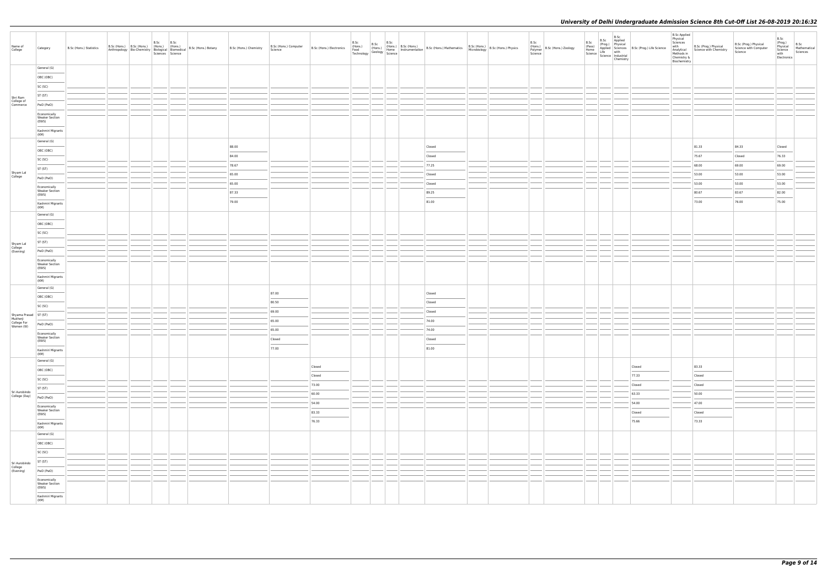| Name of<br>College                                         | Category                                                                                                                                                                                                                                                                                                                                                                                                                                                                                                         | B.Sc (Hons.) Statistics | B.Sc (Hons.) B.Sc (Hons.) (Hons.) (Hons.)<br>Anthropology Bio-Chemistry Biological Biomedical | B.Sc | B.Sc<br>Sciences Science | B.Sc (Hons.) Botany B.Sc (Hons.) Chemistry | B.Sc (Hons.) Computer<br>Science | B.Sc (Hons.) Electronics |  |  | B.Sc B.Sc B.Sc B.Sc (Hons.)<br>Food (Hons.) (Hons. Hone Instrumentation B.Sc (Hons.) Mathematics B.Sc (Hons.) B.Sc (Hons.) Physics<br>Technology Geology Science Instrumentation B.Sc (Hons.) Mathematics Microbiology B.Sc (Hons. |  | B.Sc<br>Polymer<br>Science | $\left  \begin{array}{c} (Hons.) \ H.s.C. \end{array} \right $ B.Sc (Hons.) Zoology | Chemistry | B.Sc B.Sc Applied<br>(Prog.) Applied<br>(Prog.) Physical<br>Home Life Science<br>Science Industrial<br>Science Industrial<br>Science Industrial | <b>B.Sc Applied</b><br>Physical<br>Sciences<br>with<br>Analytical<br>Methods in<br>Chemistry &<br>Biochemistry | B.Sc (Prog.) Physical<br>Science with Chemistry | B.Sc (Prog.) Physical<br>Science with Computer<br>Science | B.Sc<br>(Prog.)<br>Physical<br>Science<br>with<br>Electronics | B.Sc<br>Mathematical<br>Sciences |
|------------------------------------------------------------|------------------------------------------------------------------------------------------------------------------------------------------------------------------------------------------------------------------------------------------------------------------------------------------------------------------------------------------------------------------------------------------------------------------------------------------------------------------------------------------------------------------|-------------------------|-----------------------------------------------------------------------------------------------|------|--------------------------|--------------------------------------------|----------------------------------|--------------------------|--|--|------------------------------------------------------------------------------------------------------------------------------------------------------------------------------------------------------------------------------------|--|----------------------------|-------------------------------------------------------------------------------------|-----------|-------------------------------------------------------------------------------------------------------------------------------------------------|----------------------------------------------------------------------------------------------------------------|-------------------------------------------------|-----------------------------------------------------------|---------------------------------------------------------------|----------------------------------|
|                                                            | General (G)                                                                                                                                                                                                                                                                                                                                                                                                                                                                                                      |                         |                                                                                               |      |                          |                                            |                                  |                          |  |  |                                                                                                                                                                                                                                    |  |                            |                                                                                     |           |                                                                                                                                                 |                                                                                                                |                                                 |                                                           |                                                               |                                  |
|                                                            | OBC (OBC)                                                                                                                                                                                                                                                                                                                                                                                                                                                                                                        |                         |                                                                                               |      |                          |                                            |                                  |                          |  |  |                                                                                                                                                                                                                                    |  |                            |                                                                                     |           |                                                                                                                                                 |                                                                                                                |                                                 |                                                           |                                                               |                                  |
|                                                            | SC (SC)                                                                                                                                                                                                                                                                                                                                                                                                                                                                                                          |                         |                                                                                               |      |                          |                                            |                                  |                          |  |  |                                                                                                                                                                                                                                    |  |                            |                                                                                     |           |                                                                                                                                                 |                                                                                                                |                                                 |                                                           |                                                               |                                  |
|                                                            | ST (ST)                                                                                                                                                                                                                                                                                                                                                                                                                                                                                                          |                         |                                                                                               |      |                          |                                            |                                  |                          |  |  |                                                                                                                                                                                                                                    |  |                            |                                                                                     |           |                                                                                                                                                 |                                                                                                                |                                                 |                                                           |                                                               |                                  |
| Shri Ram<br>College of<br>Commerce                         | PwD (PwD)                                                                                                                                                                                                                                                                                                                                                                                                                                                                                                        |                         |                                                                                               |      |                          |                                            |                                  |                          |  |  |                                                                                                                                                                                                                                    |  |                            |                                                                                     |           |                                                                                                                                                 |                                                                                                                |                                                 |                                                           |                                                               |                                  |
|                                                            | Economically                                                                                                                                                                                                                                                                                                                                                                                                                                                                                                     |                         |                                                                                               |      |                          |                                            |                                  |                          |  |  |                                                                                                                                                                                                                                    |  |                            |                                                                                     |           |                                                                                                                                                 |                                                                                                                |                                                 |                                                           |                                                               |                                  |
|                                                            | <b>Weaker Section</b><br>(EWS)                                                                                                                                                                                                                                                                                                                                                                                                                                                                                   |                         |                                                                                               |      |                          |                                            |                                  |                          |  |  |                                                                                                                                                                                                                                    |  |                            |                                                                                     |           |                                                                                                                                                 |                                                                                                                |                                                 |                                                           |                                                               |                                  |
|                                                            | Kashmiri Migrants                                                                                                                                                                                                                                                                                                                                                                                                                                                                                                |                         |                                                                                               |      |                          |                                            |                                  |                          |  |  |                                                                                                                                                                                                                                    |  |                            |                                                                                     |           |                                                                                                                                                 |                                                                                                                |                                                 |                                                           |                                                               |                                  |
|                                                            | (KM)                                                                                                                                                                                                                                                                                                                                                                                                                                                                                                             |                         |                                                                                               |      |                          |                                            |                                  |                          |  |  |                                                                                                                                                                                                                                    |  |                            |                                                                                     |           |                                                                                                                                                 |                                                                                                                |                                                 |                                                           |                                                               |                                  |
|                                                            | General (G)                                                                                                                                                                                                                                                                                                                                                                                                                                                                                                      |                         |                                                                                               |      |                          | 88.00                                      |                                  |                          |  |  | Closed                                                                                                                                                                                                                             |  |                            |                                                                                     |           |                                                                                                                                                 |                                                                                                                | 81.33                                           | 84.33                                                     | Closed                                                        |                                  |
|                                                            | OBC (OBC)                                                                                                                                                                                                                                                                                                                                                                                                                                                                                                        |                         |                                                                                               |      |                          | 84.00                                      |                                  |                          |  |  | Closed                                                                                                                                                                                                                             |  |                            |                                                                                     |           |                                                                                                                                                 |                                                                                                                | 75.67                                           | Closed                                                    | 76.33                                                         |                                  |
|                                                            | SC (SC)                                                                                                                                                                                                                                                                                                                                                                                                                                                                                                          |                         |                                                                                               |      |                          | 78.67                                      |                                  |                          |  |  | 77.25                                                                                                                                                                                                                              |  |                            |                                                                                     |           |                                                                                                                                                 |                                                                                                                | 68.00                                           | 69.00                                                     | 69.00                                                         |                                  |
|                                                            | ST (ST)                                                                                                                                                                                                                                                                                                                                                                                                                                                                                                          |                         |                                                                                               |      |                          |                                            |                                  |                          |  |  |                                                                                                                                                                                                                                    |  |                            |                                                                                     |           |                                                                                                                                                 |                                                                                                                |                                                 |                                                           |                                                               |                                  |
| Shyam Lal<br>College                                       | PwD (PwD)                                                                                                                                                                                                                                                                                                                                                                                                                                                                                                        |                         |                                                                                               |      |                          | 65.00                                      |                                  |                          |  |  | Closed                                                                                                                                                                                                                             |  |                            |                                                                                     |           |                                                                                                                                                 |                                                                                                                | 53.00                                           | 53.00                                                     | 53.00                                                         |                                  |
|                                                            | Economically                                                                                                                                                                                                                                                                                                                                                                                                                                                                                                     |                         |                                                                                               |      |                          | 65.00                                      |                                  |                          |  |  | Closed                                                                                                                                                                                                                             |  |                            |                                                                                     |           |                                                                                                                                                 |                                                                                                                | 53.00                                           | 53.00                                                     | 53.00                                                         |                                  |
|                                                            | <b>Weaker Section</b><br>(EWS)                                                                                                                                                                                                                                                                                                                                                                                                                                                                                   |                         |                                                                                               |      |                          | 87.33                                      |                                  |                          |  |  | 89.25                                                                                                                                                                                                                              |  |                            |                                                                                     |           |                                                                                                                                                 |                                                                                                                | 80.67                                           | 83.67                                                     | 82.00                                                         |                                  |
|                                                            | Kashmiri Migrants<br>(KM)                                                                                                                                                                                                                                                                                                                                                                                                                                                                                        |                         |                                                                                               |      |                          | 79.00                                      |                                  |                          |  |  | 81.00                                                                                                                                                                                                                              |  |                            |                                                                                     |           |                                                                                                                                                 |                                                                                                                | 73.00                                           | 76.00                                                     | 75.00                                                         |                                  |
|                                                            | General (G)                                                                                                                                                                                                                                                                                                                                                                                                                                                                                                      |                         |                                                                                               |      |                          |                                            |                                  |                          |  |  |                                                                                                                                                                                                                                    |  |                            |                                                                                     |           |                                                                                                                                                 |                                                                                                                |                                                 |                                                           |                                                               |                                  |
|                                                            | OBC (OBC)                                                                                                                                                                                                                                                                                                                                                                                                                                                                                                        |                         |                                                                                               |      |                          |                                            |                                  |                          |  |  |                                                                                                                                                                                                                                    |  |                            |                                                                                     |           |                                                                                                                                                 |                                                                                                                |                                                 |                                                           |                                                               |                                  |
|                                                            | SC (SC)                                                                                                                                                                                                                                                                                                                                                                                                                                                                                                          |                         |                                                                                               |      |                          |                                            |                                  |                          |  |  |                                                                                                                                                                                                                                    |  |                            |                                                                                     |           |                                                                                                                                                 |                                                                                                                |                                                 |                                                           |                                                               |                                  |
|                                                            |                                                                                                                                                                                                                                                                                                                                                                                                                                                                                                                  |                         |                                                                                               |      |                          |                                            |                                  |                          |  |  |                                                                                                                                                                                                                                    |  |                            |                                                                                     |           |                                                                                                                                                 |                                                                                                                |                                                 |                                                           |                                                               |                                  |
| Shyam Lal<br>College<br>(Evening)                          | ST (ST)                                                                                                                                                                                                                                                                                                                                                                                                                                                                                                          |                         |                                                                                               |      |                          |                                            |                                  |                          |  |  |                                                                                                                                                                                                                                    |  |                            |                                                                                     |           |                                                                                                                                                 |                                                                                                                |                                                 |                                                           |                                                               |                                  |
|                                                            | PwD (PwD)                                                                                                                                                                                                                                                                                                                                                                                                                                                                                                        |                         |                                                                                               |      |                          |                                            |                                  |                          |  |  |                                                                                                                                                                                                                                    |  |                            |                                                                                     |           |                                                                                                                                                 |                                                                                                                |                                                 |                                                           |                                                               |                                  |
|                                                            | Economically<br><b>Weaker Section</b>                                                                                                                                                                                                                                                                                                                                                                                                                                                                            |                         |                                                                                               |      |                          |                                            |                                  |                          |  |  |                                                                                                                                                                                                                                    |  |                            |                                                                                     |           |                                                                                                                                                 |                                                                                                                |                                                 |                                                           |                                                               |                                  |
|                                                            | (EWS)<br>$\frac{1}{2} \left( \frac{1}{2} \right) \left( \frac{1}{2} \right) \left( \frac{1}{2} \right) \left( \frac{1}{2} \right) \left( \frac{1}{2} \right) \left( \frac{1}{2} \right) \left( \frac{1}{2} \right) \left( \frac{1}{2} \right) \left( \frac{1}{2} \right) \left( \frac{1}{2} \right) \left( \frac{1}{2} \right) \left( \frac{1}{2} \right) \left( \frac{1}{2} \right) \left( \frac{1}{2} \right) \left( \frac{1}{2} \right) \left( \frac{1}{2} \right) \left( \frac$<br>Kashmiri Migrants<br>(KM) |                         |                                                                                               |      |                          |                                            |                                  |                          |  |  |                                                                                                                                                                                                                                    |  |                            |                                                                                     |           |                                                                                                                                                 |                                                                                                                |                                                 |                                                           |                                                               |                                  |
|                                                            | General (G)                                                                                                                                                                                                                                                                                                                                                                                                                                                                                                      |                         |                                                                                               |      |                          |                                            |                                  |                          |  |  |                                                                                                                                                                                                                                    |  |                            |                                                                                     |           |                                                                                                                                                 |                                                                                                                |                                                 |                                                           |                                                               |                                  |
|                                                            | OBC (OBC)                                                                                                                                                                                                                                                                                                                                                                                                                                                                                                        |                         |                                                                                               |      |                          |                                            | 87.00                            |                          |  |  | Closed                                                                                                                                                                                                                             |  |                            |                                                                                     |           |                                                                                                                                                 |                                                                                                                |                                                 |                                                           |                                                               |                                  |
|                                                            | SC (SC)                                                                                                                                                                                                                                                                                                                                                                                                                                                                                                          |                         |                                                                                               |      |                          |                                            | 80.50                            |                          |  |  | Closed                                                                                                                                                                                                                             |  |                            |                                                                                     |           |                                                                                                                                                 |                                                                                                                |                                                 |                                                           |                                                               |                                  |
|                                                            |                                                                                                                                                                                                                                                                                                                                                                                                                                                                                                                  |                         |                                                                                               |      |                          |                                            | 69.00                            |                          |  |  | Closed                                                                                                                                                                                                                             |  |                            |                                                                                     |           |                                                                                                                                                 |                                                                                                                |                                                 |                                                           |                                                               |                                  |
| Shyama Prasad ST (ST)<br>Mukherji<br>College For PWD (PWL) |                                                                                                                                                                                                                                                                                                                                                                                                                                                                                                                  |                         |                                                                                               |      |                          |                                            | 65.00                            |                          |  |  | 74.00                                                                                                                                                                                                                              |  |                            |                                                                                     |           |                                                                                                                                                 |                                                                                                                |                                                 |                                                           |                                                               |                                  |
| Women (W)                                                  | PwD (PwD)                                                                                                                                                                                                                                                                                                                                                                                                                                                                                                        |                         |                                                                                               |      |                          |                                            | 65.00                            |                          |  |  | 74.00                                                                                                                                                                                                                              |  |                            |                                                                                     |           |                                                                                                                                                 |                                                                                                                |                                                 |                                                           |                                                               |                                  |
|                                                            | Economically<br><b>Weaker Section</b>                                                                                                                                                                                                                                                                                                                                                                                                                                                                            |                         |                                                                                               |      |                          |                                            | Closed                           |                          |  |  | Closed                                                                                                                                                                                                                             |  |                            |                                                                                     |           |                                                                                                                                                 |                                                                                                                |                                                 |                                                           |                                                               |                                  |
|                                                            | (EWS)<br>$\frac{1}{2} \left( \frac{1}{2} \right) \left( \frac{1}{2} \right) \left( \frac{1}{2} \right) \left( \frac{1}{2} \right) \left( \frac{1}{2} \right) \left( \frac{1}{2} \right) \left( \frac{1}{2} \right) \left( \frac{1}{2} \right) \left( \frac{1}{2} \right) \left( \frac{1}{2} \right) \left( \frac{1}{2} \right) \left( \frac{1}{2} \right) \left( \frac{1}{2} \right) \left( \frac{1}{2} \right) \left( \frac{1}{2} \right) \left( \frac{1}{2} \right) \left( \frac$<br>Kashmiri Migrants<br>(KM) |                         |                                                                                               |      |                          |                                            | 77.00                            |                          |  |  | 81.00                                                                                                                                                                                                                              |  |                            |                                                                                     |           |                                                                                                                                                 |                                                                                                                |                                                 |                                                           |                                                               |                                  |
|                                                            | General (G)                                                                                                                                                                                                                                                                                                                                                                                                                                                                                                      |                         |                                                                                               |      |                          |                                            |                                  |                          |  |  |                                                                                                                                                                                                                                    |  |                            |                                                                                     |           |                                                                                                                                                 |                                                                                                                |                                                 |                                                           |                                                               |                                  |
|                                                            | OBC (OBC)                                                                                                                                                                                                                                                                                                                                                                                                                                                                                                        |                         |                                                                                               |      |                          |                                            |                                  | Closed                   |  |  |                                                                                                                                                                                                                                    |  |                            |                                                                                     |           | Closed                                                                                                                                          |                                                                                                                | 83.33                                           |                                                           |                                                               |                                  |
|                                                            | SC (SC)                                                                                                                                                                                                                                                                                                                                                                                                                                                                                                          |                         |                                                                                               |      |                          |                                            |                                  | Closed                   |  |  |                                                                                                                                                                                                                                    |  |                            |                                                                                     |           | 77.33                                                                                                                                           |                                                                                                                | Closed                                          |                                                           |                                                               |                                  |
|                                                            | ST (ST)                                                                                                                                                                                                                                                                                                                                                                                                                                                                                                          |                         |                                                                                               |      |                          |                                            |                                  | 73.00                    |  |  |                                                                                                                                                                                                                                    |  |                            |                                                                                     |           | Closed                                                                                                                                          |                                                                                                                | Closed                                          |                                                           |                                                               |                                  |
| Sri Aurobindo<br>College (Day)                             | PwD (PwD)                                                                                                                                                                                                                                                                                                                                                                                                                                                                                                        |                         |                                                                                               |      |                          |                                            |                                  | 60.00                    |  |  |                                                                                                                                                                                                                                    |  |                            |                                                                                     |           | 63.33                                                                                                                                           |                                                                                                                | 50.00                                           |                                                           |                                                               |                                  |
|                                                            |                                                                                                                                                                                                                                                                                                                                                                                                                                                                                                                  |                         |                                                                                               |      |                          |                                            |                                  | 54.00                    |  |  |                                                                                                                                                                                                                                    |  |                            |                                                                                     |           | 54.00                                                                                                                                           |                                                                                                                | 47.00                                           |                                                           |                                                               |                                  |
|                                                            | Economically<br><b>Weaker Section</b><br>(EWS)                                                                                                                                                                                                                                                                                                                                                                                                                                                                   |                         |                                                                                               |      |                          |                                            |                                  | 83.33                    |  |  |                                                                                                                                                                                                                                    |  |                            |                                                                                     |           | Closed                                                                                                                                          |                                                                                                                | Closed                                          |                                                           |                                                               |                                  |
|                                                            | <b>Contract Contract Contract Contract Contract</b>                                                                                                                                                                                                                                                                                                                                                                                                                                                              |                         |                                                                                               |      |                          |                                            |                                  | 76.33                    |  |  |                                                                                                                                                                                                                                    |  |                            |                                                                                     |           | 75.66                                                                                                                                           |                                                                                                                | 73.33                                           |                                                           |                                                               |                                  |
|                                                            | Kashmiri Migrants<br>(KM)                                                                                                                                                                                                                                                                                                                                                                                                                                                                                        |                         |                                                                                               |      |                          |                                            |                                  |                          |  |  |                                                                                                                                                                                                                                    |  |                            |                                                                                     |           |                                                                                                                                                 |                                                                                                                |                                                 |                                                           |                                                               |                                  |
|                                                            | General (G)                                                                                                                                                                                                                                                                                                                                                                                                                                                                                                      |                         |                                                                                               |      |                          |                                            |                                  |                          |  |  |                                                                                                                                                                                                                                    |  |                            |                                                                                     |           |                                                                                                                                                 |                                                                                                                |                                                 |                                                           |                                                               |                                  |
|                                                            | OBC (OBC)<br>$\frac{1}{2}$                                                                                                                                                                                                                                                                                                                                                                                                                                                                                       |                         |                                                                                               |      |                          |                                            |                                  |                          |  |  |                                                                                                                                                                                                                                    |  |                            |                                                                                     |           |                                                                                                                                                 |                                                                                                                |                                                 |                                                           |                                                               |                                  |
|                                                            | SC (SC)                                                                                                                                                                                                                                                                                                                                                                                                                                                                                                          |                         |                                                                                               |      |                          |                                            |                                  |                          |  |  |                                                                                                                                                                                                                                    |  |                            |                                                                                     |           |                                                                                                                                                 |                                                                                                                |                                                 |                                                           |                                                               |                                  |
| Sri Aurobindo                                              | ST (ST)                                                                                                                                                                                                                                                                                                                                                                                                                                                                                                          |                         |                                                                                               |      |                          |                                            |                                  |                          |  |  |                                                                                                                                                                                                                                    |  |                            |                                                                                     |           |                                                                                                                                                 |                                                                                                                |                                                 |                                                           |                                                               |                                  |
| College<br>(Evening)                                       | PwD (PwD)                                                                                                                                                                                                                                                                                                                                                                                                                                                                                                        |                         |                                                                                               |      |                          |                                            |                                  |                          |  |  |                                                                                                                                                                                                                                    |  |                            |                                                                                     |           |                                                                                                                                                 |                                                                                                                |                                                 |                                                           |                                                               |                                  |
|                                                            | Economically<br><b>Weaker Section</b>                                                                                                                                                                                                                                                                                                                                                                                                                                                                            |                         |                                                                                               |      |                          |                                            |                                  |                          |  |  |                                                                                                                                                                                                                                    |  |                            |                                                                                     |           |                                                                                                                                                 |                                                                                                                |                                                 |                                                           |                                                               |                                  |
|                                                            | (EWS)<br>Kashmiri Migrants<br>(KM)                                                                                                                                                                                                                                                                                                                                                                                                                                                                               |                         |                                                                                               |      |                          |                                            |                                  |                          |  |  |                                                                                                                                                                                                                                    |  |                            |                                                                                     |           |                                                                                                                                                 |                                                                                                                |                                                 |                                                           |                                                               |                                  |
|                                                            |                                                                                                                                                                                                                                                                                                                                                                                                                                                                                                                  |                         |                                                                                               |      |                          |                                            |                                  |                          |  |  |                                                                                                                                                                                                                                    |  |                            |                                                                                     |           |                                                                                                                                                 |                                                                                                                |                                                 |                                                           |                                                               |                                  |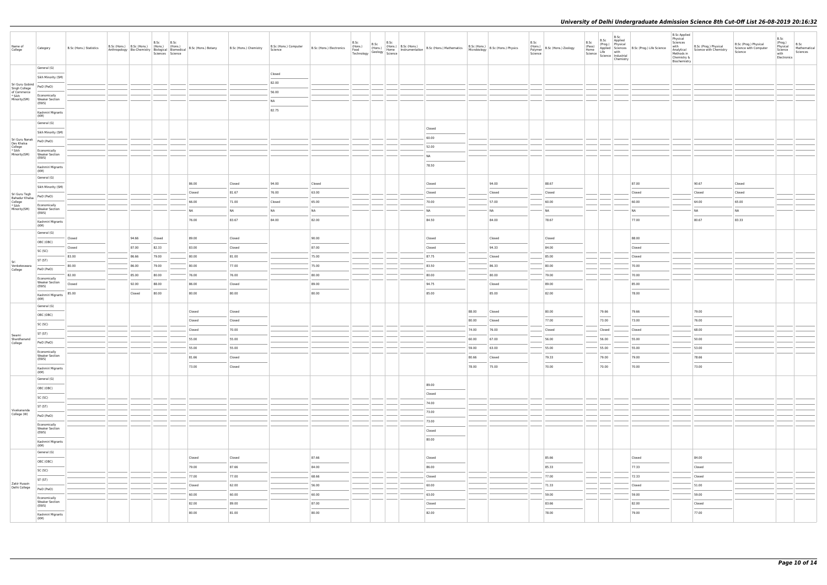| Name of<br>College                                                                                                                     | Category                                       | B.Sc (Hons.) Statistics | B.Sc (Hons.)   B.Sc (Hons.)   (Hons.)   (Hons.)<br>Anthropology Bio-Chemistry Biological Biomedical | <b>B.Sc</b><br>Sciences Science | B.Sc | B.Sc (Hons.) Botany | B.Sc (Hons.) Chemistry | B.Sc (Hons.) Computer<br>Science | B.Sc (Hons.) Electronics |  |  | B.Sc (Hons.) B.Sc (Hons.) B.Sc (Hons.) B.Sc (Hons.) B.Sc (Hons.) B.Sc (Hons.) B.Sc (Hons.) B.Sc (Hons.) Physics<br>Food (Hons.) Home Instrumentation B.Sc (Hons.) Mathematics B.Sc (Hons.) B.Sc (Hons.) Physics<br>Technology Geol |       |                | B.Sc<br>Science | (Hons.)<br>Polymer B.Sc (Hons.) Zoology | B.Sc<br>(Pass)<br>Home | B.Sc<br>Life with<br>Science   Lite<br>  Science   Industrial<br>  Circuita<br>Chemistry | B.Sc Applied<br>(Prog.) Physical<br>Applied Sciences B.Sc (Prog.) Life Science | B.Sc Applied<br>Physical<br>Sciences<br>with<br>Analytical<br>Methods in<br>Chemistry &<br>Biochemistry | B.Sc (Prog.) Physical<br>Science with Chemistry | B.Sc (Prog.) Physical<br>Science with Computer<br>Science | B.Sc<br>(Prog.)<br>Physical<br>Science<br>with<br>Electronics | B.Sc<br>Mathematical<br>Sciences |
|----------------------------------------------------------------------------------------------------------------------------------------|------------------------------------------------|-------------------------|-----------------------------------------------------------------------------------------------------|---------------------------------|------|---------------------|------------------------|----------------------------------|--------------------------|--|--|------------------------------------------------------------------------------------------------------------------------------------------------------------------------------------------------------------------------------------|-------|----------------|-----------------|-----------------------------------------|------------------------|------------------------------------------------------------------------------------------|--------------------------------------------------------------------------------|---------------------------------------------------------------------------------------------------------|-------------------------------------------------|-----------------------------------------------------------|---------------------------------------------------------------|----------------------------------|
|                                                                                                                                        | General (G)                                    |                         |                                                                                                     |                                 |      |                     |                        |                                  |                          |  |  |                                                                                                                                                                                                                                    |       |                |                 |                                         |                        |                                                                                          |                                                                                |                                                                                                         |                                                 |                                                           |                                                               |                                  |
|                                                                                                                                        | Sikh Minority (SM)                             |                         |                                                                                                     |                                 |      |                     |                        | Closed                           |                          |  |  |                                                                                                                                                                                                                                    |       |                |                 |                                         |                        |                                                                                          |                                                                                |                                                                                                         |                                                 |                                                           |                                                               |                                  |
| $\left  \begin{array}{c} \mathsf{Sri} \ \mathsf{Guru} \ \mathsf{Gobind} \end{array} \right $ PwD (PwD)<br>Singh College<br>of Commerce |                                                |                         |                                                                                                     |                                 |      |                     |                        | 82.00                            |                          |  |  |                                                                                                                                                                                                                                    |       |                |                 |                                         |                        |                                                                                          |                                                                                |                                                                                                         |                                                 |                                                           |                                                               |                                  |
| * Sikh                                                                                                                                 | Economically                                   |                         |                                                                                                     |                                 |      |                     |                        | 56.00                            |                          |  |  |                                                                                                                                                                                                                                    |       |                |                 |                                         |                        |                                                                                          |                                                                                |                                                                                                         |                                                 |                                                           |                                                               |                                  |
| Minority(SM)                                                                                                                           | <b>Weaker Section</b><br>(EWS)                 |                         |                                                                                                     |                                 |      |                     |                        | <b>NA</b>                        |                          |  |  |                                                                                                                                                                                                                                    |       |                |                 |                                         |                        |                                                                                          |                                                                                |                                                                                                         |                                                 |                                                           |                                                               |                                  |
|                                                                                                                                        | Kashmiri Migrants<br>(KM)                      |                         |                                                                                                     |                                 |      |                     |                        | 82.75                            |                          |  |  |                                                                                                                                                                                                                                    |       |                |                 |                                         |                        |                                                                                          |                                                                                |                                                                                                         |                                                 |                                                           |                                                               |                                  |
|                                                                                                                                        | General (G)                                    |                         |                                                                                                     |                                 |      |                     |                        |                                  |                          |  |  |                                                                                                                                                                                                                                    |       |                |                 |                                         |                        |                                                                                          |                                                                                |                                                                                                         |                                                 |                                                           |                                                               |                                  |
|                                                                                                                                        | Sikh Minority (SM)                             |                         |                                                                                                     |                                 |      |                     |                        |                                  |                          |  |  | Closed                                                                                                                                                                                                                             |       |                |                 |                                         |                        |                                                                                          |                                                                                |                                                                                                         |                                                 |                                                           |                                                               |                                  |
| Sri Guru Nanak<br>Dev Khalsa                                                                                                           | PwD (PwD)                                      |                         |                                                                                                     |                                 |      |                     |                        |                                  |                          |  |  | 60.00                                                                                                                                                                                                                              |       |                |                 |                                         |                        |                                                                                          |                                                                                |                                                                                                         |                                                 |                                                           |                                                               |                                  |
| College<br>* Sikh<br>Minority(SM)                                                                                                      | Economically<br><b>Weaker Section</b>          |                         |                                                                                                     |                                 |      |                     |                        |                                  |                          |  |  | 52.00<br><b>NA</b>                                                                                                                                                                                                                 |       |                |                 |                                         |                        |                                                                                          |                                                                                |                                                                                                         |                                                 |                                                           |                                                               |                                  |
|                                                                                                                                        | (EWS)<br>Kashmiri Migrants                     |                         |                                                                                                     |                                 |      |                     |                        |                                  |                          |  |  | 78.50                                                                                                                                                                                                                              |       |                |                 |                                         |                        |                                                                                          |                                                                                |                                                                                                         |                                                 |                                                           |                                                               |                                  |
|                                                                                                                                        | (KM)<br>General (G)                            |                         |                                                                                                     |                                 |      |                     |                        |                                  |                          |  |  |                                                                                                                                                                                                                                    |       |                |                 |                                         |                        |                                                                                          |                                                                                |                                                                                                         |                                                 |                                                           |                                                               |                                  |
|                                                                                                                                        | Sikh Minority (SM)                             |                         |                                                                                                     |                                 |      | 86.00               | Closed                 | 94.00                            | Closed                   |  |  | Closed                                                                                                                                                                                                                             |       | 94.00          |                 | 88.67                                   |                        |                                                                                          | 87.00                                                                          |                                                                                                         | 90.67                                           | Closed                                                    |                                                               |                                  |
| Sri Guru Tegh<br>Bahadur Khalsa<br>College<br>* Sikh                                                                                   | PwD (PwD)                                      |                         |                                                                                                     |                                 |      | Closed              | 81.67                  | 76.00                            | 63.00                    |  |  | Closed                                                                                                                                                                                                                             |       | Closed         |                 | Closed                                  |                        |                                                                                          | Closed                                                                         |                                                                                                         | Closed                                          | Closed                                                    |                                                               |                                  |
|                                                                                                                                        | Economically                                   |                         |                                                                                                     |                                 |      | 66.00               | 71.00                  | Closed                           | 65.00                    |  |  | 70.00                                                                                                                                                                                                                              |       | 57.00          |                 | 60.00                                   |                        |                                                                                          | 60.00                                                                          |                                                                                                         | 64.00                                           | 65.00                                                     |                                                               |                                  |
| Minority(SM)                                                                                                                           | <b>Weaker Section</b><br>(EWS)                 |                         |                                                                                                     |                                 |      | <b>NA</b>           | NA                     | NA                               | <b>NA</b>                |  |  | <b>NA</b>                                                                                                                                                                                                                          |       | N <sub>A</sub> |                 | NA                                      |                        |                                                                                          | <b>NA</b><br><b>STATISTICS</b>                                                 |                                                                                                         | <b>NA</b>                                       | <b>NA</b>                                                 |                                                               |                                  |
|                                                                                                                                        | Kashmiri Migrants<br>(KM)                      |                         |                                                                                                     |                                 |      | 76.00               | 83.67                  | 84.00                            | 82.00                    |  |  | 84.50                                                                                                                                                                                                                              |       | 84.00          |                 | 78.67                                   |                        |                                                                                          | 77.00                                                                          |                                                                                                         | 80.67                                           | 83.33                                                     |                                                               |                                  |
|                                                                                                                                        | General (G)                                    | Closed                  | 94.66                                                                                               | Closed                          |      | 89.00               | Closed                 |                                  | 90.00                    |  |  | Closed                                                                                                                                                                                                                             |       | Closed         |                 | Closed                                  |                        |                                                                                          | 88.00                                                                          |                                                                                                         |                                                 |                                                           |                                                               |                                  |
|                                                                                                                                        | OBC (OBC)                                      | Closed                  | 87.00                                                                                               | 82.33                           |      | 83.00               | Closed                 |                                  | 87.00                    |  |  | Closed                                                                                                                                                                                                                             |       | 94.33          |                 | 84.00                                   |                        |                                                                                          | Closed                                                                         |                                                                                                         |                                                 |                                                           |                                                               |                                  |
|                                                                                                                                        | SC (SC)                                        | 83.00                   | 86.66                                                                                               | 79.00                           |      | 80.00               | 81.00                  |                                  | 75.00                    |  |  | 87.75                                                                                                                                                                                                                              |       | Closed         |                 | 85.00                                   |                        |                                                                                          | Closed                                                                         |                                                                                                         |                                                 |                                                           |                                                               |                                  |
| Sri                                                                                                                                    | ST (ST)                                        | 80.00                   | 86.00                                                                                               | 79.00                           |      | 80.00               | 77.00                  |                                  | 75.00                    |  |  | 83.50                                                                                                                                                                                                                              |       | 86.33          |                 | 80.00                                   |                        |                                                                                          | 70.00                                                                          |                                                                                                         |                                                 |                                                           |                                                               |                                  |
| Venketeswara<br>College                                                                                                                | PwD (PwD)                                      | 82.00                   | 85.00                                                                                               | 80.00                           |      | 76.00               | 76.00                  |                                  | 80.00                    |  |  | 80.00                                                                                                                                                                                                                              |       | 80.00          |                 | 79.00                                   |                        |                                                                                          | 70.00                                                                          |                                                                                                         |                                                 |                                                           |                                                               |                                  |
|                                                                                                                                        | Economically<br><b>Weaker Section</b>          | Closed                  | 92.00                                                                                               | 88.00                           |      | 86.00               | Closed                 |                                  | 89.00                    |  |  | 94.75                                                                                                                                                                                                                              |       | Closed         |                 | 89.00                                   |                        |                                                                                          | 85.00                                                                          |                                                                                                         |                                                 |                                                           |                                                               |                                  |
|                                                                                                                                        | (EWS)                                          | 85.00                   | Closed                                                                                              | 80.00                           |      | 80.00               | 80.00                  |                                  | 80.00                    |  |  | 85.00                                                                                                                                                                                                                              |       | 85.00          |                 | 82.00                                   |                        |                                                                                          | 78.00                                                                          |                                                                                                         |                                                 |                                                           |                                                               |                                  |
|                                                                                                                                        | Kashmiri Migrants<br>(KM)                      |                         |                                                                                                     |                                 |      |                     |                        |                                  |                          |  |  |                                                                                                                                                                                                                                    |       |                |                 |                                         |                        |                                                                                          |                                                                                |                                                                                                         |                                                 |                                                           |                                                               |                                  |
|                                                                                                                                        | General (G)                                    |                         |                                                                                                     |                                 |      | Closed              | Closed                 |                                  |                          |  |  |                                                                                                                                                                                                                                    | 88.00 | Closed         |                 | 80.00                                   |                        | 79.66                                                                                    | 79.66                                                                          |                                                                                                         | 79.00                                           |                                                           |                                                               |                                  |
|                                                                                                                                        | OBC (OBC)                                      |                         |                                                                                                     |                                 |      | Closed              | Closed                 |                                  |                          |  |  |                                                                                                                                                                                                                                    | 80.00 | Closed         |                 | 77.00                                   | 73.00                  |                                                                                          | 73.00                                                                          |                                                                                                         | 76.00                                           |                                                           |                                                               |                                  |
|                                                                                                                                        | SC (SC)                                        |                         |                                                                                                     |                                 |      | Closed              | 70.00                  |                                  |                          |  |  |                                                                                                                                                                                                                                    | 74.00 | 76.00          |                 | Closed                                  |                        | Closed                                                                                   | Closed                                                                         |                                                                                                         | 68.00                                           |                                                           |                                                               |                                  |
| Swami<br>Shardhanand                                                                                                                   | ST (ST)                                        |                         |                                                                                                     |                                 |      | 55.00               | 55.00                  |                                  |                          |  |  |                                                                                                                                                                                                                                    | 60.00 | 67.00          |                 | 56.00                                   |                        | 56.00                                                                                    | 55.00                                                                          |                                                                                                         | 50.00                                           |                                                           |                                                               |                                  |
| College                                                                                                                                | PwD (PwD)                                      |                         |                                                                                                     |                                 |      | 55.00               | 55.00                  |                                  |                          |  |  |                                                                                                                                                                                                                                    | 59.00 | 63.00          |                 | 55.00                                   |                        | 55.00                                                                                    | 55.00                                                                          |                                                                                                         | 53.00                                           |                                                           |                                                               |                                  |
|                                                                                                                                        | Economically<br><b>Weaker Section</b>          |                         |                                                                                                     |                                 |      | 81.66               | Closed                 |                                  |                          |  |  |                                                                                                                                                                                                                                    | 80.66 | Closed         |                 | 79.33                                   |                        | 79.00                                                                                    | 79.00                                                                          |                                                                                                         | 78.66                                           |                                                           |                                                               |                                  |
|                                                                                                                                        | (EWS)<br>Kashmiri Migrants                     |                         |                                                                                                     |                                 |      | 73.00               | Closed                 |                                  |                          |  |  |                                                                                                                                                                                                                                    | 78.00 | 75.00          |                 | 70.00                                   |                        | 70.00                                                                                    | 70.00                                                                          |                                                                                                         | 73.00                                           |                                                           |                                                               |                                  |
|                                                                                                                                        | (KM)<br>General (G)                            |                         |                                                                                                     |                                 |      |                     |                        |                                  |                          |  |  |                                                                                                                                                                                                                                    |       |                |                 |                                         |                        |                                                                                          |                                                                                |                                                                                                         |                                                 |                                                           |                                                               |                                  |
|                                                                                                                                        | OBC (OBC)                                      |                         |                                                                                                     |                                 |      |                     |                        |                                  |                          |  |  | 89.00                                                                                                                                                                                                                              |       |                |                 |                                         |                        |                                                                                          |                                                                                |                                                                                                         |                                                 |                                                           |                                                               |                                  |
|                                                                                                                                        | SC (SC)                                        |                         |                                                                                                     |                                 |      |                     |                        |                                  |                          |  |  | Closed                                                                                                                                                                                                                             |       |                |                 |                                         |                        |                                                                                          |                                                                                |                                                                                                         |                                                 |                                                           |                                                               |                                  |
|                                                                                                                                        |                                                |                         |                                                                                                     |                                 |      |                     |                        |                                  |                          |  |  | 74.00                                                                                                                                                                                                                              |       |                |                 |                                         |                        |                                                                                          |                                                                                |                                                                                                         |                                                 |                                                           |                                                               |                                  |
| Vivekananda<br>College (W)                                                                                                             | ST (ST)                                        |                         |                                                                                                     |                                 |      |                     |                        |                                  |                          |  |  | 73.00                                                                                                                                                                                                                              |       |                |                 |                                         |                        |                                                                                          |                                                                                |                                                                                                         |                                                 |                                                           |                                                               |                                  |
|                                                                                                                                        | PwD (PwD)                                      |                         |                                                                                                     |                                 |      |                     |                        |                                  |                          |  |  | 73.00                                                                                                                                                                                                                              |       |                |                 |                                         |                        |                                                                                          |                                                                                |                                                                                                         |                                                 |                                                           |                                                               |                                  |
|                                                                                                                                        | Economically<br><b>Weaker Section</b><br>(EWS) |                         |                                                                                                     |                                 |      |                     |                        |                                  |                          |  |  | Closed                                                                                                                                                                                                                             |       |                |                 |                                         |                        |                                                                                          |                                                                                |                                                                                                         |                                                 |                                                           |                                                               |                                  |
|                                                                                                                                        | Kashmiri Migrants<br>(KM)                      |                         |                                                                                                     |                                 |      |                     |                        |                                  |                          |  |  | 80.00                                                                                                                                                                                                                              |       |                |                 |                                         |                        |                                                                                          |                                                                                |                                                                                                         |                                                 |                                                           |                                                               |                                  |
|                                                                                                                                        | General (G)                                    |                         |                                                                                                     |                                 |      |                     |                        |                                  |                          |  |  |                                                                                                                                                                                                                                    |       |                |                 |                                         |                        |                                                                                          |                                                                                |                                                                                                         |                                                 |                                                           |                                                               |                                  |
|                                                                                                                                        | OBC (OBC)                                      |                         |                                                                                                     |                                 |      | Closed              | Closed                 |                                  | 87.66                    |  |  | Closed                                                                                                                                                                                                                             |       |                |                 | 85.66                                   |                        |                                                                                          | Closed                                                                         |                                                                                                         | 84.00                                           |                                                           |                                                               |                                  |
|                                                                                                                                        | SC (SC)                                        |                         |                                                                                                     |                                 |      | 79.00               | 87.66                  |                                  | 84.00                    |  |  | 86.00                                                                                                                                                                                                                              |       |                |                 | 85.33                                   |                        |                                                                                          | 77.33                                                                          |                                                                                                         | Closed                                          |                                                           |                                                               |                                  |
|                                                                                                                                        | ST (ST)                                        |                         |                                                                                                     |                                 |      | 77.00               | 77.00                  |                                  | 68.66                    |  |  | Closed                                                                                                                                                                                                                             |       |                |                 | 77.00                                   |                        |                                                                                          | 72.33                                                                          |                                                                                                         | Closed                                          |                                                           |                                                               |                                  |
| Zakir Husain<br>Delhi College                                                                                                          | PwD (PwD)                                      |                         |                                                                                                     |                                 |      | Closed              | 62.00                  |                                  | 56.00                    |  |  | 60.00                                                                                                                                                                                                                              |       |                |                 | 71.33                                   |                        |                                                                                          | Closed                                                                         |                                                                                                         | 51.00                                           |                                                           |                                                               |                                  |
|                                                                                                                                        | Economically<br><b>Weaker Section</b>          |                         |                                                                                                     |                                 |      | 60.00               | 60.00                  |                                  | 60.00                    |  |  | 63.00                                                                                                                                                                                                                              |       |                |                 | 59.00                                   | $\sim$                 |                                                                                          | 59.00                                                                          |                                                                                                         | 59.00                                           |                                                           |                                                               |                                  |
|                                                                                                                                        | (EWS)                                          |                         |                                                                                                     |                                 |      | 82.00<br>80.00      | 89.00<br>81.00         |                                  | 87.00<br>80.00           |  |  | Closed<br>82.00                                                                                                                                                                                                                    |       |                |                 | 83.66<br>78.00                          |                        |                                                                                          | 82.00<br>79.00                                                                 |                                                                                                         | Closed<br>77.00                                 |                                                           |                                                               |                                  |
|                                                                                                                                        | Kashmiri Migrants<br>(KM)                      |                         |                                                                                                     |                                 |      |                     |                        |                                  |                          |  |  |                                                                                                                                                                                                                                    |       |                |                 |                                         |                        |                                                                                          |                                                                                |                                                                                                         |                                                 |                                                           |                                                               |                                  |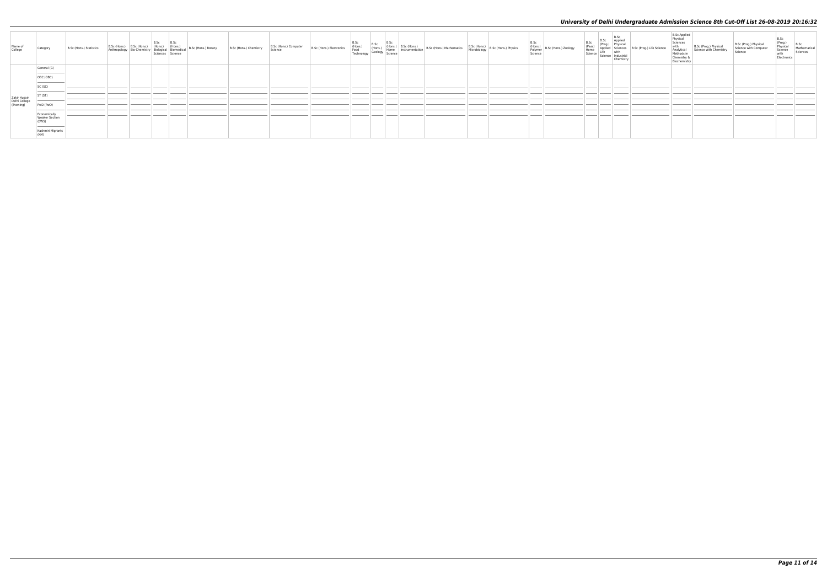| Name of<br>College                         | Category                                                                      | B.Sc (Hons.) Statistics | B.Sc (Hons.) B.Sc (Hons.) B.Sc (Hons.) (Hons.)<br>Anthropology Bio-Chemistry Biological Biomedical<br>Sciences Science |  | B.Sc (Hons.) Botany | B.Sc (Hons.) Chemistry | B.Sc (Hons.) Computer<br>Science | B.Sc (Hons.) Electronics |  |  | ons.) $\begin{vmatrix} 8.5c \\ \text{Food} \\ \text{Tachndoy} \end{vmatrix}$ (Hons.) Home Instrumentation B.Sc (Hons.) Mathematics $\begin{vmatrix} 8.5c \\ \text{Food} \end{vmatrix}$ | B.Sc (Hons.) B.Sc (Hons.) Physics<br>Microbiology | B.Sc<br>(Hons.)<br>Polymer B.Sc (Hons.) Zoology<br>Science | B.Sc<br>(Pass)<br>Home<br>Science | B.Sc<br>Applie<br><b>B.Sc</b><br>(Prog.) Physical<br>Applied Sciences<br>Life with<br>Science Industrial<br>Chemistry | <b>B.Sc Applied</b><br>Physica<br>Science<br>with<br>Analytical<br>Methods in<br>Chemistry &<br>Biochemistry | Science | B.Sc<br>(Prog.)<br>Physical<br>Science<br>with<br>Mathematical<br>Sciences<br>Electronics |
|--------------------------------------------|-------------------------------------------------------------------------------|-------------------------|------------------------------------------------------------------------------------------------------------------------|--|---------------------|------------------------|----------------------------------|--------------------------|--|--|----------------------------------------------------------------------------------------------------------------------------------------------------------------------------------------|---------------------------------------------------|------------------------------------------------------------|-----------------------------------|-----------------------------------------------------------------------------------------------------------------------|--------------------------------------------------------------------------------------------------------------|---------|-------------------------------------------------------------------------------------------|
|                                            | General (G)                                                                   |                         |                                                                                                                        |  |                     |                        |                                  |                          |  |  |                                                                                                                                                                                        |                                                   |                                                            |                                   |                                                                                                                       |                                                                                                              |         |                                                                                           |
|                                            | the control of the control of the<br>OBC (OBC)                                |                         |                                                                                                                        |  |                     |                        |                                  |                          |  |  |                                                                                                                                                                                        |                                                   |                                                            |                                   |                                                                                                                       |                                                                                                              |         |                                                                                           |
|                                            | _______<br>SC (SC)                                                            |                         |                                                                                                                        |  |                     |                        |                                  |                          |  |  |                                                                                                                                                                                        |                                                   |                                                            |                                   |                                                                                                                       |                                                                                                              |         |                                                                                           |
|                                            | ST <sub>(ST)</sub>                                                            |                         |                                                                                                                        |  |                     |                        |                                  |                          |  |  |                                                                                                                                                                                        |                                                   |                                                            |                                   |                                                                                                                       |                                                                                                              |         |                                                                                           |
| Zakir Husain<br>Delhi College<br>(Evening) | PwD (PwD)                                                                     |                         |                                                                                                                        |  |                     |                        |                                  |                          |  |  |                                                                                                                                                                                        |                                                   |                                                            |                                   |                                                                                                                       |                                                                                                              |         |                                                                                           |
|                                            | Economically<br>Weaker Section<br>(EWS)                                       |                         |                                                                                                                        |  |                     |                        |                                  |                          |  |  |                                                                                                                                                                                        |                                                   |                                                            |                                   |                                                                                                                       |                                                                                                              |         |                                                                                           |
|                                            | the control of the control of the control of the<br>Kashmiri Migrants<br>(KM) |                         |                                                                                                                        |  |                     |                        |                                  |                          |  |  |                                                                                                                                                                                        |                                                   |                                                            |                                   |                                                                                                                       |                                                                                                              |         |                                                                                           |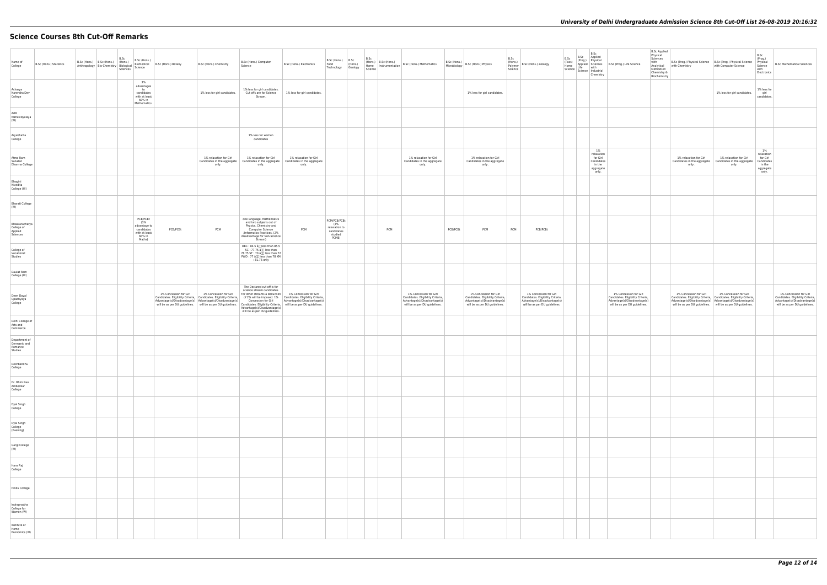# **Science Courses 8th Cut-Off Remarks**

| Name of<br>College                                  | B.Sc (Hons.) Statistics | B.Sc (Hons.) B.Sc (Hons.) B.Sc (Hons.) | B.Sc (Hons.)<br>Anthropology Bio-Chemistry Biological Biometrical<br>Anthropology Bio-Chemistry Biological Science<br>Sciences | Biomedical B.Sc (Hons.) Botany | B.Sc (Hons.) Chemistry                                                              | B.Sc (Hons.) Computer<br>Science                                                                                                                                                                                                                                                                                                 | B.Sc (Hons.) Electronics                                                                                                                                                                                                                                                                                     | B.Sc (Hons.) B.Sc<br>Food<br>Technology Geology                        | (Hons.) | Science | B.Sc<br>(Hons.) B.Sc (Hons.) | $\left  \begin{array}{cc} \text{Ricciab,} & \text{D.3C (H005.)} \\ \text{Home} & \text{Instrumentation} \end{array} \right $ B.Sc (Hons.) Mathematics |          | B.Sc (Hons.)<br>Microbiology B.Sc (Hons.) Physics                                                                            | Science | B.Sc<br>(Hons.) B.Sc (Hons.) Zoology                                                                                         | $B.Sc$<br>(Pass)<br>Home | B.Sc<br>Science Science Industrial<br>Chemistry                            | B.Sc<br>(Prog.) Physical<br>Applied Sciences<br>Life with<br>Life with the U.S.C (Prog.) Life Science<br>Life with the U.S.C (Prog.) Life Science | <b>B.Sc Applied</b><br>Physical<br>Sciences<br>with<br>Methods in<br>Chemistry &<br>Biochemistry | B.Sc (Prog.) Physical Science   B.Sc (Prog.) Physical Science<br>Analytical with Chemistry                                                                                                                                                               | with Computer Science           |
|-----------------------------------------------------|-------------------------|----------------------------------------|--------------------------------------------------------------------------------------------------------------------------------|--------------------------------|-------------------------------------------------------------------------------------|----------------------------------------------------------------------------------------------------------------------------------------------------------------------------------------------------------------------------------------------------------------------------------------------------------------------------------|--------------------------------------------------------------------------------------------------------------------------------------------------------------------------------------------------------------------------------------------------------------------------------------------------------------|------------------------------------------------------------------------|---------|---------|------------------------------|-------------------------------------------------------------------------------------------------------------------------------------------------------|----------|------------------------------------------------------------------------------------------------------------------------------|---------|------------------------------------------------------------------------------------------------------------------------------|--------------------------|----------------------------------------------------------------------------|---------------------------------------------------------------------------------------------------------------------------------------------------|--------------------------------------------------------------------------------------------------|----------------------------------------------------------------------------------------------------------------------------------------------------------------------------------------------------------------------------------------------------------|---------------------------------|
| Acharya<br>Narendra Dev<br>College                  |                         |                                        | 3%<br>advantages<br>to<br>candidates<br>with at least<br>60% in<br>Mathematics.                                                |                                | 1% less for girl candidates.                                                        | 1% less for girl candidates.<br>Stream.                                                                                                                                                                                                                                                                                          | Cut offs are for Science 1% less for girl candidates.                                                                                                                                                                                                                                                        |                                                                        |         |         |                              |                                                                                                                                                       |          | 1% less for girl candidates.                                                                                                 |         |                                                                                                                              |                          |                                                                            |                                                                                                                                                   |                                                                                                  |                                                                                                                                                                                                                                                          | 1% less for girl candidates     |
| Aditi<br>Mahavidyalaya<br>(W)                       |                         |                                        |                                                                                                                                |                                |                                                                                     |                                                                                                                                                                                                                                                                                                                                  |                                                                                                                                                                                                                                                                                                              |                                                                        |         |         |                              |                                                                                                                                                       |          |                                                                                                                              |         |                                                                                                                              |                          |                                                                            |                                                                                                                                                   |                                                                                                  |                                                                                                                                                                                                                                                          |                                 |
| Aryabhatta<br>College                               |                         |                                        |                                                                                                                                |                                |                                                                                     | 1% less for women<br>candidates                                                                                                                                                                                                                                                                                                  |                                                                                                                                                                                                                                                                                                              |                                                                        |         |         |                              |                                                                                                                                                       |          |                                                                                                                              |         |                                                                                                                              |                          |                                                                            |                                                                                                                                                   |                                                                                                  |                                                                                                                                                                                                                                                          |                                 |
| Atma Ram<br>Sanatan<br>Dharma College               |                         |                                        |                                                                                                                                |                                | 1% relaxation for Girl<br>Candidates in the aggregate  <br>only.                    | 1% relaxation for Girl<br>only.                                                                                                                                                                                                                                                                                                  | 1% relaxation for Girl<br>Candidates in the aggregate   Candidates in the aggregate<br>only.                                                                                                                                                                                                                 |                                                                        |         |         |                              | 1% relaxation for Girl<br>Candidates in the aggregate<br>only.                                                                                        |          | 1% relaxation for Girl<br>Candidates in the aggregate<br>only.                                                               |         |                                                                                                                              |                          | 1%<br>relaxation<br>for Girl<br>Candidates<br>in the<br>aggregate<br>only. |                                                                                                                                                   |                                                                                                  | 1% relaxation for Girl<br>Candidates in the aggregate   Candidates in the aggregat<br>only.                                                                                                                                                              | 1% relaxation for Girl<br>only. |
| Bhagini<br>Nivedita<br>College (W)                  |                         |                                        |                                                                                                                                |                                |                                                                                     |                                                                                                                                                                                                                                                                                                                                  |                                                                                                                                                                                                                                                                                                              |                                                                        |         |         |                              |                                                                                                                                                       |          |                                                                                                                              |         |                                                                                                                              |                          |                                                                            |                                                                                                                                                   |                                                                                                  |                                                                                                                                                                                                                                                          |                                 |
| <b>Bharati College</b><br>(W)                       |                         |                                        |                                                                                                                                |                                |                                                                                     |                                                                                                                                                                                                                                                                                                                                  |                                                                                                                                                                                                                                                                                                              |                                                                        |         |         |                              |                                                                                                                                                       |          |                                                                                                                              |         |                                                                                                                              |                          |                                                                            |                                                                                                                                                   |                                                                                                  |                                                                                                                                                                                                                                                          |                                 |
| Bhaskaracharya<br>College of<br>Applied<br>Sciences |                         |                                        | PCB/PCBt<br>(3%<br>advantage to<br>candidates<br>with at least<br>60% in<br>Maths)                                             | PCB/PCBt                       | PCM                                                                                 | one language, Mathematics<br>and two subjects out of<br>Physics, Chemistry and<br>Computer Science<br>/Informatics Practices. (2%<br>disadvantage for Non-Science<br>Stream)                                                                                                                                                     | PCM                                                                                                                                                                                                                                                                                                          | PCM/PCB/PCBt<br>(3%<br>relaxation to<br>candidates<br>studied<br>PCMB) |         |         | PCM                          |                                                                                                                                                       | PCB/PCBt | PCM                                                                                                                          | PCM     | PCB/PCBt                                                                                                                     |                          |                                                                            |                                                                                                                                                   |                                                                                                  |                                                                                                                                                                                                                                                          |                                 |
| College of<br>Vocational<br>Studies                 |                         |                                        |                                                                                                                                |                                |                                                                                     | $\begin{array}{ l } \hline \text{OBC}: 84.5 \text{ \AA}{\small\textsf{III}} \hline \text{less} \text{ than} 85.5 \\ \hline \text{SC}: 77.75 \text{ \AA}{\small\textsf{III}} \hline \text{less} \text{ than} \end{array}$<br>78.75 ST: 70 â <sub>00</sub> less than 72<br>PWD: 77 â <sub>00</sub> less than 78 KM<br>: 81.75 only |                                                                                                                                                                                                                                                                                                              |                                                                        |         |         |                              |                                                                                                                                                       |          |                                                                                                                              |         |                                                                                                                              |                          |                                                                            |                                                                                                                                                   |                                                                                                  |                                                                                                                                                                                                                                                          |                                 |
| Daulat Ram<br>College (W)                           |                         |                                        |                                                                                                                                |                                |                                                                                     |                                                                                                                                                                                                                                                                                                                                  |                                                                                                                                                                                                                                                                                                              |                                                                        |         |         |                              |                                                                                                                                                       |          |                                                                                                                              |         |                                                                                                                              |                          |                                                                            |                                                                                                                                                   |                                                                                                  |                                                                                                                                                                                                                                                          |                                 |
| Deen Dayal<br>Upadhyaya<br>College                  |                         |                                        |                                                                                                                                | 1% Concession for Girl         | 1% Concession for Girl<br>Advantage(s)/Disadvantage(s) Advantage(s)/Disadvantage(s) | The Declared cut-off is for<br>science stream candidates.<br>For other streams a deduction 1% Concession for Girl<br>will be as per DU guidelines.                                                                                                                                                                               | Candidates. Eligibility Criteria,   Candidates. Eligibility Criteria,   of 2% will be imposed. 1%   Candidates. Eligibility Criteria,<br>Concession for Girl Advantage(s)/Disadvantage(s)<br>will be as per DU guidelines. Will be as per DU guidelines. Cliqibility Criteria, will be as per DU guidelines. |                                                                        |         |         |                              | 1% Concession for Girl<br>Candidates. Eligibility Criteria,<br>Advantage(s)/Disadvantage(s)<br>will be as per DU guidelines.                          |          | 1% Concession for Girl<br>Candidates. Eligibility Criteria,<br>Advantage(s)/Disadvantage(s)<br>will be as per DU guidelines. |         | 1% Concession for Girl<br>Candidates. Eligibility Criteria,<br>Advantage(s)/Disadvantage(s)<br>will be as per DU guidelines. |                          |                                                                            | 1% Concession for Girl<br>Candidates. Eligibility Criteria,<br>Advantage(s)/Disadvantage(s)<br>will be as per DU guidelines.                      |                                                                                                  | 1% Concession for Girl<br>2 candidates. Eligibility Criteria, Candidates. Eligibility Criteria, Candidates. Eligibility Criteria, Candidates. Eligibility Criteria, Candidates. Eligibility Criteria, Candidates. Eligibility Criteria, Candidates. Will | 1% Concession for Girl          |
| Delhi College of<br>Arts and<br>Commerce            |                         |                                        |                                                                                                                                |                                |                                                                                     |                                                                                                                                                                                                                                                                                                                                  |                                                                                                                                                                                                                                                                                                              |                                                                        |         |         |                              |                                                                                                                                                       |          |                                                                                                                              |         |                                                                                                                              |                          |                                                                            |                                                                                                                                                   |                                                                                                  |                                                                                                                                                                                                                                                          |                                 |
| Department of<br>Germanic and<br>Romance<br>Studies |                         |                                        |                                                                                                                                |                                |                                                                                     |                                                                                                                                                                                                                                                                                                                                  |                                                                                                                                                                                                                                                                                                              |                                                                        |         |         |                              |                                                                                                                                                       |          |                                                                                                                              |         |                                                                                                                              |                          |                                                                            |                                                                                                                                                   |                                                                                                  |                                                                                                                                                                                                                                                          |                                 |
| Deshbandhu<br>College                               |                         |                                        |                                                                                                                                |                                |                                                                                     |                                                                                                                                                                                                                                                                                                                                  |                                                                                                                                                                                                                                                                                                              |                                                                        |         |         |                              |                                                                                                                                                       |          |                                                                                                                              |         |                                                                                                                              |                          |                                                                            |                                                                                                                                                   |                                                                                                  |                                                                                                                                                                                                                                                          |                                 |
| Dr. Bhim Rao<br>Ambedkar<br>College                 |                         |                                        |                                                                                                                                |                                |                                                                                     |                                                                                                                                                                                                                                                                                                                                  |                                                                                                                                                                                                                                                                                                              |                                                                        |         |         |                              |                                                                                                                                                       |          |                                                                                                                              |         |                                                                                                                              |                          |                                                                            |                                                                                                                                                   |                                                                                                  |                                                                                                                                                                                                                                                          |                                 |
| Dyal Singh<br>College                               |                         |                                        |                                                                                                                                |                                |                                                                                     |                                                                                                                                                                                                                                                                                                                                  |                                                                                                                                                                                                                                                                                                              |                                                                        |         |         |                              |                                                                                                                                                       |          |                                                                                                                              |         |                                                                                                                              |                          |                                                                            |                                                                                                                                                   |                                                                                                  |                                                                                                                                                                                                                                                          |                                 |
| Dyal Singh<br>College<br>(Evening)                  |                         |                                        |                                                                                                                                |                                |                                                                                     |                                                                                                                                                                                                                                                                                                                                  |                                                                                                                                                                                                                                                                                                              |                                                                        |         |         |                              |                                                                                                                                                       |          |                                                                                                                              |         |                                                                                                                              |                          |                                                                            |                                                                                                                                                   |                                                                                                  |                                                                                                                                                                                                                                                          |                                 |
| Gargi College<br>(W)                                |                         |                                        |                                                                                                                                |                                |                                                                                     |                                                                                                                                                                                                                                                                                                                                  |                                                                                                                                                                                                                                                                                                              |                                                                        |         |         |                              |                                                                                                                                                       |          |                                                                                                                              |         |                                                                                                                              |                          |                                                                            |                                                                                                                                                   |                                                                                                  |                                                                                                                                                                                                                                                          |                                 |
| Hans Raj<br>College                                 |                         |                                        |                                                                                                                                |                                |                                                                                     |                                                                                                                                                                                                                                                                                                                                  |                                                                                                                                                                                                                                                                                                              |                                                                        |         |         |                              |                                                                                                                                                       |          |                                                                                                                              |         |                                                                                                                              |                          |                                                                            |                                                                                                                                                   |                                                                                                  |                                                                                                                                                                                                                                                          |                                 |
| Hindu College                                       |                         |                                        |                                                                                                                                |                                |                                                                                     |                                                                                                                                                                                                                                                                                                                                  |                                                                                                                                                                                                                                                                                                              |                                                                        |         |         |                              |                                                                                                                                                       |          |                                                                                                                              |         |                                                                                                                              |                          |                                                                            |                                                                                                                                                   |                                                                                                  |                                                                                                                                                                                                                                                          |                                 |
| Indraprastha<br>College for<br>Women (W)            |                         |                                        |                                                                                                                                |                                |                                                                                     |                                                                                                                                                                                                                                                                                                                                  |                                                                                                                                                                                                                                                                                                              |                                                                        |         |         |                              |                                                                                                                                                       |          |                                                                                                                              |         |                                                                                                                              |                          |                                                                            |                                                                                                                                                   |                                                                                                  |                                                                                                                                                                                                                                                          |                                 |
| Institute of<br>Home<br>Economics (W)               |                         |                                        |                                                                                                                                |                                |                                                                                     |                                                                                                                                                                                                                                                                                                                                  |                                                                                                                                                                                                                                                                                                              |                                                                        |         |         |                              |                                                                                                                                                       |          |                                                                                                                              |         |                                                                                                                              |                          |                                                                            |                                                                                                                                                   |                                                                                                  |                                                                                                                                                                                                                                                          |                                 |

| B.Sc (Prog.) Life Science                                                                                                    | <b>B.Sc Applied</b><br>Physical<br>Sciences<br>with<br>Analytical<br>Methods in<br>Chemistry &<br>Biochemistry | B.Sc (Prog.) Physical Science<br>with Chemistry                                                                              | B.Sc (Prog.) Physical Science<br>with Computer Science                                                                       | $_{\rm B. Sc}$<br>(Prog.)<br>Physical<br>Science<br>with<br>Electronics       | <b>B.Sc Mathematical Sciences</b>                                                                                            |
|------------------------------------------------------------------------------------------------------------------------------|----------------------------------------------------------------------------------------------------------------|------------------------------------------------------------------------------------------------------------------------------|------------------------------------------------------------------------------------------------------------------------------|-------------------------------------------------------------------------------|------------------------------------------------------------------------------------------------------------------------------|
|                                                                                                                              |                                                                                                                |                                                                                                                              | 1% less for girl candidates.                                                                                                 | 1% less for<br>girl<br>candidates.                                            |                                                                                                                              |
|                                                                                                                              |                                                                                                                |                                                                                                                              |                                                                                                                              |                                                                               |                                                                                                                              |
|                                                                                                                              |                                                                                                                |                                                                                                                              |                                                                                                                              |                                                                               |                                                                                                                              |
|                                                                                                                              |                                                                                                                | 1% relaxation for Girl<br>Candidates in the aggregate<br>only.                                                               | 1% relaxation for Girl<br>Candidates in the aggregate<br>only.                                                               | $1\%$<br>relaxation<br>for Girl<br>Candidates<br>in the<br>aggregate<br>only. |                                                                                                                              |
|                                                                                                                              |                                                                                                                |                                                                                                                              |                                                                                                                              |                                                                               |                                                                                                                              |
|                                                                                                                              |                                                                                                                |                                                                                                                              |                                                                                                                              |                                                                               |                                                                                                                              |
|                                                                                                                              |                                                                                                                |                                                                                                                              |                                                                                                                              |                                                                               |                                                                                                                              |
|                                                                                                                              |                                                                                                                |                                                                                                                              |                                                                                                                              |                                                                               |                                                                                                                              |
|                                                                                                                              |                                                                                                                |                                                                                                                              |                                                                                                                              |                                                                               |                                                                                                                              |
| 1% Concession for Girl<br>Candidates. Eligibility Criteria,<br>Advantage(s)/Disadvantage(s)<br>will be as per DU guidelines. |                                                                                                                | 1% Concession for Girl<br>Candidates. Eligibility Criteria,<br>Advantage(s)/Disadvantage(s)<br>will be as per DU guidelines. | 1% Concession for Girl<br>Candidates. Eligibility Criteria,<br>Advantage(s)/Disadvantage(s)<br>will be as per DU guidelines. |                                                                               | 1% Concession for Girl<br>Candidates. Eligibility Criteria,<br>Advantage(s)/Disadvantage(s)<br>will be as per DU guidelines. |
|                                                                                                                              |                                                                                                                |                                                                                                                              |                                                                                                                              |                                                                               |                                                                                                                              |
|                                                                                                                              |                                                                                                                |                                                                                                                              |                                                                                                                              |                                                                               |                                                                                                                              |
|                                                                                                                              |                                                                                                                |                                                                                                                              |                                                                                                                              |                                                                               |                                                                                                                              |
|                                                                                                                              |                                                                                                                |                                                                                                                              |                                                                                                                              |                                                                               |                                                                                                                              |
|                                                                                                                              |                                                                                                                |                                                                                                                              |                                                                                                                              |                                                                               |                                                                                                                              |
|                                                                                                                              |                                                                                                                |                                                                                                                              |                                                                                                                              |                                                                               |                                                                                                                              |
|                                                                                                                              |                                                                                                                |                                                                                                                              |                                                                                                                              |                                                                               |                                                                                                                              |
|                                                                                                                              |                                                                                                                |                                                                                                                              |                                                                                                                              |                                                                               |                                                                                                                              |
|                                                                                                                              |                                                                                                                |                                                                                                                              |                                                                                                                              |                                                                               |                                                                                                                              |
|                                                                                                                              |                                                                                                                |                                                                                                                              |                                                                                                                              |                                                                               |                                                                                                                              |
|                                                                                                                              |                                                                                                                |                                                                                                                              |                                                                                                                              |                                                                               |                                                                                                                              |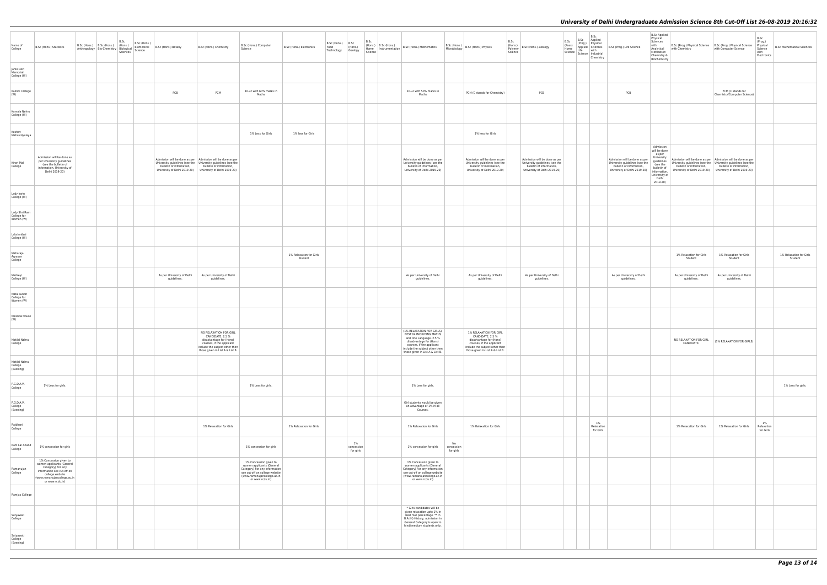| B.Sc (Prog.) Life Science                                                                                                   | <b>B.Sc Applied</b><br>Physical<br>Sciences<br>with<br>Analytical<br>Methods in<br>Chemistry &<br>Biochemistry                                   | B.Sc (Prog.) Physical Science<br>with Chemistry                                                                             | B.Sc (Prog.) Physical Science<br>with Computer Science                                                                      | $_{\rm B. Sc}$<br>(Prog.)<br>Physical<br>Science<br>with<br>Electronics | <b>B.Sc Mathematical Sciences</b>  |
|-----------------------------------------------------------------------------------------------------------------------------|--------------------------------------------------------------------------------------------------------------------------------------------------|-----------------------------------------------------------------------------------------------------------------------------|-----------------------------------------------------------------------------------------------------------------------------|-------------------------------------------------------------------------|------------------------------------|
|                                                                                                                             |                                                                                                                                                  |                                                                                                                             |                                                                                                                             |                                                                         |                                    |
| PCB                                                                                                                         |                                                                                                                                                  |                                                                                                                             | PCM (C stands for<br>Chemistry/Computer Science)                                                                            |                                                                         |                                    |
|                                                                                                                             |                                                                                                                                                  |                                                                                                                             |                                                                                                                             |                                                                         |                                    |
|                                                                                                                             |                                                                                                                                                  |                                                                                                                             |                                                                                                                             |                                                                         |                                    |
| Admission will be done as per<br>University guidelines (see the<br>bulletin of information,<br>University of Delhi 2019-20) | Admission<br>will be done<br>as per<br>University<br>guidelines<br>(see the<br>bulletin of<br>information,<br>University of<br>Delhi<br>2019-20) | Admission will be done as per<br>University guidelines (see the<br>bulletin of information,<br>University of Delhi 2019-20) | Admission will be done as per<br>University guidelines (see the<br>bulletin of information,<br>University of Delhi 2019-20) |                                                                         |                                    |
|                                                                                                                             |                                                                                                                                                  |                                                                                                                             |                                                                                                                             |                                                                         |                                    |
|                                                                                                                             |                                                                                                                                                  |                                                                                                                             |                                                                                                                             |                                                                         |                                    |
|                                                                                                                             |                                                                                                                                                  |                                                                                                                             |                                                                                                                             |                                                                         |                                    |
|                                                                                                                             |                                                                                                                                                  | 1% Relaxation for Girls<br>Student                                                                                          | 1% Relaxation for Girls<br>Student                                                                                          |                                                                         | 1% Relaxation for Girls<br>Student |
| As per University of Delhi<br>guidelines.                                                                                   |                                                                                                                                                  | As per University of Delhi<br>guidelines.                                                                                   | As per University of Delhi<br>guidelines.                                                                                   |                                                                         |                                    |
|                                                                                                                             |                                                                                                                                                  |                                                                                                                             |                                                                                                                             |                                                                         |                                    |
|                                                                                                                             |                                                                                                                                                  |                                                                                                                             |                                                                                                                             |                                                                         |                                    |
|                                                                                                                             |                                                                                                                                                  | NO RELAXATION FOR GIRL<br>CANDIDATE.                                                                                        | (1% RELAXATION FOR GIRLS)                                                                                                   |                                                                         |                                    |
|                                                                                                                             |                                                                                                                                                  |                                                                                                                             |                                                                                                                             |                                                                         |                                    |
|                                                                                                                             |                                                                                                                                                  |                                                                                                                             |                                                                                                                             |                                                                         | 1% Less for girls.                 |
|                                                                                                                             |                                                                                                                                                  |                                                                                                                             |                                                                                                                             |                                                                         |                                    |
|                                                                                                                             |                                                                                                                                                  | 1% Relaxation for Girls                                                                                                     | 1% Relaxation for Girls                                                                                                     | 1%<br>Relaxation<br>for Girls                                           |                                    |
|                                                                                                                             |                                                                                                                                                  |                                                                                                                             |                                                                                                                             |                                                                         |                                    |
|                                                                                                                             |                                                                                                                                                  |                                                                                                                             |                                                                                                                             |                                                                         |                                    |
|                                                                                                                             |                                                                                                                                                  |                                                                                                                             |                                                                                                                             |                                                                         |                                    |
|                                                                                                                             |                                                                                                                                                  |                                                                                                                             |                                                                                                                             |                                                                         |                                    |
|                                                                                                                             |                                                                                                                                                  |                                                                                                                             |                                                                                                                             |                                                                         |                                    |
|                                                                                                                             |                                                                                                                                                  |                                                                                                                             |                                                                                                                             |                                                                         |                                    |

| Name of<br>College                        | B.Sc (Hons.) Statistics                                                                                                                                                     | B.Sc (Hons.) B.Sc (Hons.) B.Sc (Hons.)<br>B.Sc (Hons.)<br>B.Sc (Hons.) B.Sc (Hons.) (Hons.) Biomedical B.Sc (Hons.) Botany<br>Anthropology Bio-Chemistry Biological Science<br>Science Science<br>Sciences |                                           | B.Sc (Hons.) Chemistry                                                                                                                                                                                                  | B.Sc (Hons.) Computer<br>Science                                                                                                                                         | B.Sc (Hons.) Electronics           | B.Sc (Hons.) B.Sc<br>Food<br>Technology Geology | (Hons.)                       | B.Sc<br>$\left  \begin{array}{cc} \text{p.} \\ \text{home} \end{array} \right $ P.Sc (H0NS.) = B.Sc (H0NS.) Mathematics<br>Science                                                                            | B.Sc<br>B.Sc (Hons.)<br>Microbiology B.Sc (Hons.) Physics<br>Science                                                                                                    | (HONS.)<br>Polymer   B.Sc (Hons.) Zoology                                                                                   | B.Sc<br>(Pass)<br>Home<br>Science   Line<br>  Science   Industrial | B.Sc<br>B.Sc Applied<br>(Prog.) Physical<br>Chemistry | Applied Sciences B.Sc (Prog.) Life Science<br>Life with                                                                     | <b>B.Sc Applied</b><br>Physical<br>Sciences<br>B.Sc (Prog.) Physical Science<br>with Chemistry with Computer Science<br>science<br>Science<br>with<br>Analytical with Chemistry<br>Methods in<br>Chemistry &<br>Biochemistry                                                                                   |                                                                                       | B.Sc<br>(Prog.)<br><b>B.Sc Mathematical Scie</b><br>with<br>Electronics |
|-------------------------------------------|-----------------------------------------------------------------------------------------------------------------------------------------------------------------------------|------------------------------------------------------------------------------------------------------------------------------------------------------------------------------------------------------------|-------------------------------------------|-------------------------------------------------------------------------------------------------------------------------------------------------------------------------------------------------------------------------|--------------------------------------------------------------------------------------------------------------------------------------------------------------------------|------------------------------------|-------------------------------------------------|-------------------------------|---------------------------------------------------------------------------------------------------------------------------------------------------------------------------------------------------------------|-------------------------------------------------------------------------------------------------------------------------------------------------------------------------|-----------------------------------------------------------------------------------------------------------------------------|--------------------------------------------------------------------|-------------------------------------------------------|-----------------------------------------------------------------------------------------------------------------------------|----------------------------------------------------------------------------------------------------------------------------------------------------------------------------------------------------------------------------------------------------------------------------------------------------------------|---------------------------------------------------------------------------------------|-------------------------------------------------------------------------|
| Janki Devi<br>Memorial<br>College (W)     |                                                                                                                                                                             |                                                                                                                                                                                                            |                                           |                                                                                                                                                                                                                         |                                                                                                                                                                          |                                    |                                                 |                               |                                                                                                                                                                                                               |                                                                                                                                                                         |                                                                                                                             |                                                                    |                                                       |                                                                                                                             |                                                                                                                                                                                                                                                                                                                |                                                                                       |                                                                         |
| Kalindi College<br>(W)                    |                                                                                                                                                                             |                                                                                                                                                                                                            | PCB                                       | PCM                                                                                                                                                                                                                     | 10+2 with 60% marks in<br>Maths                                                                                                                                          |                                    |                                                 |                               | 10+2 with 50% marks in<br>Maths                                                                                                                                                                               | PCM (C stands for Chemistry)                                                                                                                                            | PCB                                                                                                                         |                                                                    |                                                       | PCB                                                                                                                         |                                                                                                                                                                                                                                                                                                                | PCM (C stands for<br>Chemistry/Computer Science)                                      |                                                                         |
| Kamala Nehru<br>College (W)               |                                                                                                                                                                             |                                                                                                                                                                                                            |                                           |                                                                                                                                                                                                                         |                                                                                                                                                                          |                                    |                                                 |                               |                                                                                                                                                                                                               |                                                                                                                                                                         |                                                                                                                             |                                                                    |                                                       |                                                                                                                             |                                                                                                                                                                                                                                                                                                                |                                                                                       |                                                                         |
| Keshav<br>Mahavidyalaya                   |                                                                                                                                                                             |                                                                                                                                                                                                            |                                           |                                                                                                                                                                                                                         | 1% Less for Girls                                                                                                                                                        | 1% less for Girls                  |                                                 |                               |                                                                                                                                                                                                               | 1% less for Girls                                                                                                                                                       |                                                                                                                             |                                                                    |                                                       |                                                                                                                             |                                                                                                                                                                                                                                                                                                                |                                                                                       |                                                                         |
| Kirori Mal<br>College                     | Admission will be done as<br>per University guidelines<br>(see the bulletin of<br>information, University of<br>Delhi 2019-20)                                              |                                                                                                                                                                                                            | bulletin of information,                  | Admission will be done as per   Admission will be done as per<br>University guidelines (see the University guidelines (see the<br>bulletin of information,<br>University of Delhi 2019-20) University of Delhi 2019-20) |                                                                                                                                                                          |                                    |                                                 |                               | Admission will be done as per<br>University guidelines (see the<br>bulletin of information,<br>University of Delhi 2019-20)                                                                                   | Admission will be done as per<br>University guidelines (see the<br>bulletin of information,<br>University of Delhi 2019-20)                                             | Admission will be done as per<br>University guidelines (see the<br>bulletin of information,<br>University of Delhi 2019-20) |                                                                    |                                                       | Admission will be done as per<br>University guidelines (see the<br>bulletin of information,<br>University of Delhi 2019-20) | Admission<br>will be done<br>as per<br>University<br>Admission will be done as per   Admission will be done as per<br>guidelines<br>University guidelines (see the University guidelines (see the<br>(see the<br>bulletin of information,<br>bulletin of<br>information,<br>University of<br>Delhi<br>2019-20) | bulletin of information,<br>University of Delhi 2019-20) University of Delhi 2019-20) |                                                                         |
| Lady Irwin<br>College (W)                 |                                                                                                                                                                             |                                                                                                                                                                                                            |                                           |                                                                                                                                                                                                                         |                                                                                                                                                                          |                                    |                                                 |                               |                                                                                                                                                                                                               |                                                                                                                                                                         |                                                                                                                             |                                                                    |                                                       |                                                                                                                             |                                                                                                                                                                                                                                                                                                                |                                                                                       |                                                                         |
| Lady Shri Ram<br>College for<br>Women (W) |                                                                                                                                                                             |                                                                                                                                                                                                            |                                           |                                                                                                                                                                                                                         |                                                                                                                                                                          |                                    |                                                 |                               |                                                                                                                                                                                                               |                                                                                                                                                                         |                                                                                                                             |                                                                    |                                                       |                                                                                                                             |                                                                                                                                                                                                                                                                                                                |                                                                                       |                                                                         |
| Lakshmibai<br>College (W)                 |                                                                                                                                                                             |                                                                                                                                                                                                            |                                           |                                                                                                                                                                                                                         |                                                                                                                                                                          |                                    |                                                 |                               |                                                                                                                                                                                                               |                                                                                                                                                                         |                                                                                                                             |                                                                    |                                                       |                                                                                                                             |                                                                                                                                                                                                                                                                                                                |                                                                                       |                                                                         |
| Maharaja<br>Agrasen<br>College            |                                                                                                                                                                             |                                                                                                                                                                                                            |                                           |                                                                                                                                                                                                                         |                                                                                                                                                                          | 1% Relaxation for Girls<br>Student |                                                 |                               |                                                                                                                                                                                                               |                                                                                                                                                                         |                                                                                                                             |                                                                    |                                                       |                                                                                                                             | 1% Relaxation for Girls<br>Student                                                                                                                                                                                                                                                                             | 1% Relaxation for Girls<br>Student                                                    | 1% Relaxation for 0<br>Student                                          |
| Maitreyi<br>College (W)                   |                                                                                                                                                                             |                                                                                                                                                                                                            | As per University of Delhi<br>guidelines. | As per University of Delhi<br>guidelines.                                                                                                                                                                               |                                                                                                                                                                          |                                    |                                                 |                               | As per University of Delhi<br>guidelines.                                                                                                                                                                     | As per University of Delhi<br>guidelines.                                                                                                                               | As per University of Delhi<br>guidelines.                                                                                   |                                                                    |                                                       | As per University of Delhi<br>guidelines.                                                                                   | As per University of Delhi<br>guidelines.                                                                                                                                                                                                                                                                      | As per University of Delhi<br>guidelines.                                             |                                                                         |
| Mata Sundri<br>College for<br>Women (W)   |                                                                                                                                                                             |                                                                                                                                                                                                            |                                           |                                                                                                                                                                                                                         |                                                                                                                                                                          |                                    |                                                 |                               |                                                                                                                                                                                                               |                                                                                                                                                                         |                                                                                                                             |                                                                    |                                                       |                                                                                                                             |                                                                                                                                                                                                                                                                                                                |                                                                                       |                                                                         |
| Miranda House<br>(W)                      |                                                                                                                                                                             |                                                                                                                                                                                                            |                                           |                                                                                                                                                                                                                         |                                                                                                                                                                          |                                    |                                                 |                               |                                                                                                                                                                                                               |                                                                                                                                                                         |                                                                                                                             |                                                                    |                                                       |                                                                                                                             |                                                                                                                                                                                                                                                                                                                |                                                                                       |                                                                         |
| Motilal Nehru<br>College                  |                                                                                                                                                                             |                                                                                                                                                                                                            |                                           | NO RELAXATION FOR GIRL<br>CANDIDATE. 2.5 %<br>disadvantage for (Hons)<br>courses, if the applicant<br>include the subject other then<br>those given in List A & List B.                                                 |                                                                                                                                                                          |                                    |                                                 |                               | (1% RELAXATION FOR GIRLS).<br>BEST 04 INCLUDING MATHS<br>and One Language. 2.5 %<br>disadvantage for (Hons)<br>courses, if the applicant<br>include the subject other then<br>those given in List A & List B. | 1% RELAXATION FOR GIRL<br>CANDIDATE. 2.5 %<br>disadvantage for (Hons)<br>courses, if the applicant<br>include the subject other then<br>those given in List A & List B. |                                                                                                                             |                                                                    |                                                       |                                                                                                                             | NO RELAXATION FOR GIRL (1% RELAXATION FOR GIRLS)<br>CANDIDATE.                                                                                                                                                                                                                                                 |                                                                                       |                                                                         |
| Motilal Nehru<br>College<br>(Evening)     |                                                                                                                                                                             |                                                                                                                                                                                                            |                                           |                                                                                                                                                                                                                         |                                                                                                                                                                          |                                    |                                                 |                               |                                                                                                                                                                                                               |                                                                                                                                                                         |                                                                                                                             |                                                                    |                                                       |                                                                                                                             |                                                                                                                                                                                                                                                                                                                |                                                                                       |                                                                         |
| P.G.D.A.V.<br>College                     | 1% Less for girls.                                                                                                                                                          |                                                                                                                                                                                                            |                                           |                                                                                                                                                                                                                         | 1% Less for girls.                                                                                                                                                       |                                    |                                                 |                               | 1% Less for girls.                                                                                                                                                                                            |                                                                                                                                                                         |                                                                                                                             |                                                                    |                                                       |                                                                                                                             |                                                                                                                                                                                                                                                                                                                |                                                                                       | 1% Less for girls                                                       |
| P.G.D.A.V.<br>College<br>(Evening)        |                                                                                                                                                                             |                                                                                                                                                                                                            |                                           |                                                                                                                                                                                                                         |                                                                                                                                                                          |                                    |                                                 |                               | Girl students would be given<br>an advantage of 1% in all<br>Courses.                                                                                                                                         |                                                                                                                                                                         |                                                                                                                             |                                                                    |                                                       |                                                                                                                             |                                                                                                                                                                                                                                                                                                                |                                                                                       |                                                                         |
| Rajdhani<br>College                       |                                                                                                                                                                             |                                                                                                                                                                                                            |                                           | 1% Relaxation for Girls                                                                                                                                                                                                 |                                                                                                                                                                          | 1% Relaxation for Girls            |                                                 |                               | 1% Relaxation for Girls                                                                                                                                                                                       | 1% Relaxation for Girls                                                                                                                                                 |                                                                                                                             |                                                                    | 1%<br>Relaxation<br>for Girls                         |                                                                                                                             | 1% Relaxation for Girls                                                                                                                                                                                                                                                                                        | 1% Relaxation for Girls                                                               | 1%<br>Relaxation<br>for Girls                                           |
| Ram Lal Anand<br>College                  | 1% concession for girls                                                                                                                                                     |                                                                                                                                                                                                            |                                           |                                                                                                                                                                                                                         | 1% concession for girls                                                                                                                                                  |                                    |                                                 | 1%<br>concession<br>for girls | No<br>1% concession for girls<br>concession<br>for girls                                                                                                                                                      |                                                                                                                                                                         |                                                                                                                             |                                                                    |                                                       |                                                                                                                             |                                                                                                                                                                                                                                                                                                                |                                                                                       |                                                                         |
| Ramanujan<br>College                      | 1% Concession given to<br>women applicants (General<br>Category) For any<br>information see cut-off on<br>college website<br>(www.ramanujancollege.ac.in<br>or www.rcdu.in) |                                                                                                                                                                                                            |                                           |                                                                                                                                                                                                                         | 1% Concession given to<br>women applicants (General<br>Category) For any information<br>see cut-off on college website<br>(www.ramanujancollege.ac.in<br>or www.rcdu.in) |                                    |                                                 |                               | 1% Concession given to<br>women applicants (General<br>Category) For any information<br>see cut-off on college website<br>(www.ramanujancollege.ac.in<br>or www.rcdu.in)                                      |                                                                                                                                                                         |                                                                                                                             |                                                                    |                                                       |                                                                                                                             |                                                                                                                                                                                                                                                                                                                |                                                                                       |                                                                         |
| Ramjas College                            |                                                                                                                                                                             |                                                                                                                                                                                                            |                                           |                                                                                                                                                                                                                         |                                                                                                                                                                          |                                    |                                                 |                               |                                                                                                                                                                                                               |                                                                                                                                                                         |                                                                                                                             |                                                                    |                                                       |                                                                                                                             |                                                                                                                                                                                                                                                                                                                |                                                                                       |                                                                         |
| Satyawati<br>College                      |                                                                                                                                                                             |                                                                                                                                                                                                            |                                           |                                                                                                                                                                                                                         |                                                                                                                                                                          |                                    |                                                 |                               | * Girls candidates will be<br>given relaxation upto 1% in<br>best four percentage. ** In<br>B.A.(H) History, admission in<br>General Category is open to<br>hindi medium students only.                       |                                                                                                                                                                         |                                                                                                                             |                                                                    |                                                       |                                                                                                                             |                                                                                                                                                                                                                                                                                                                |                                                                                       |                                                                         |
| Satyawati<br>College<br>(Evening)         |                                                                                                                                                                             |                                                                                                                                                                                                            |                                           |                                                                                                                                                                                                                         |                                                                                                                                                                          |                                    |                                                 |                               |                                                                                                                                                                                                               |                                                                                                                                                                         |                                                                                                                             |                                                                    |                                                       |                                                                                                                             |                                                                                                                                                                                                                                                                                                                |                                                                                       |                                                                         |